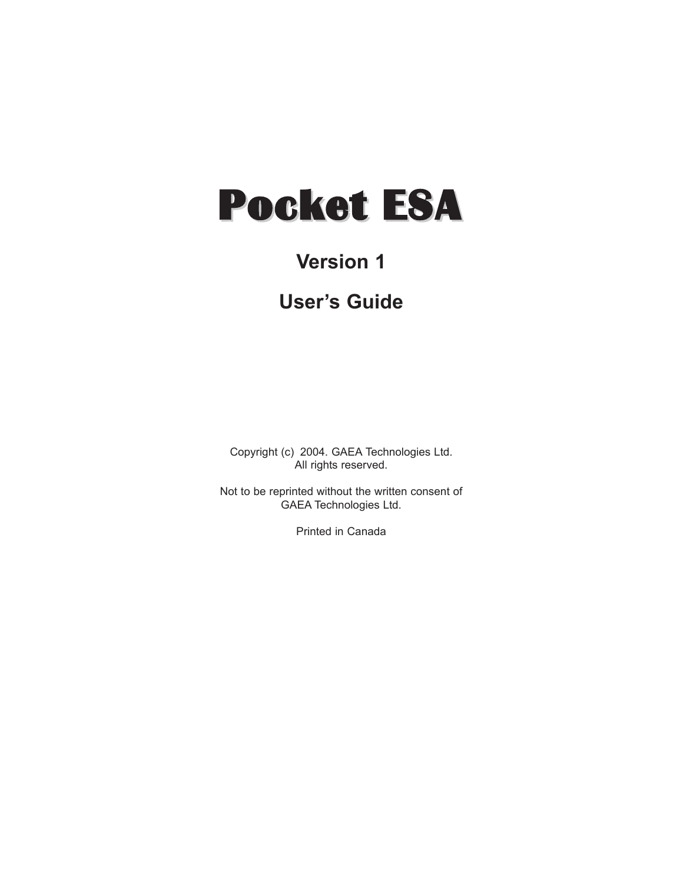# Pocket ESA

# **Version 1**

# **User's Guide**

Copyright (c) 2004. GAEA Technologies Ltd. All rights reserved.

Not to be reprinted without the written consent of GAEA Technologies Ltd.

Printed in Canada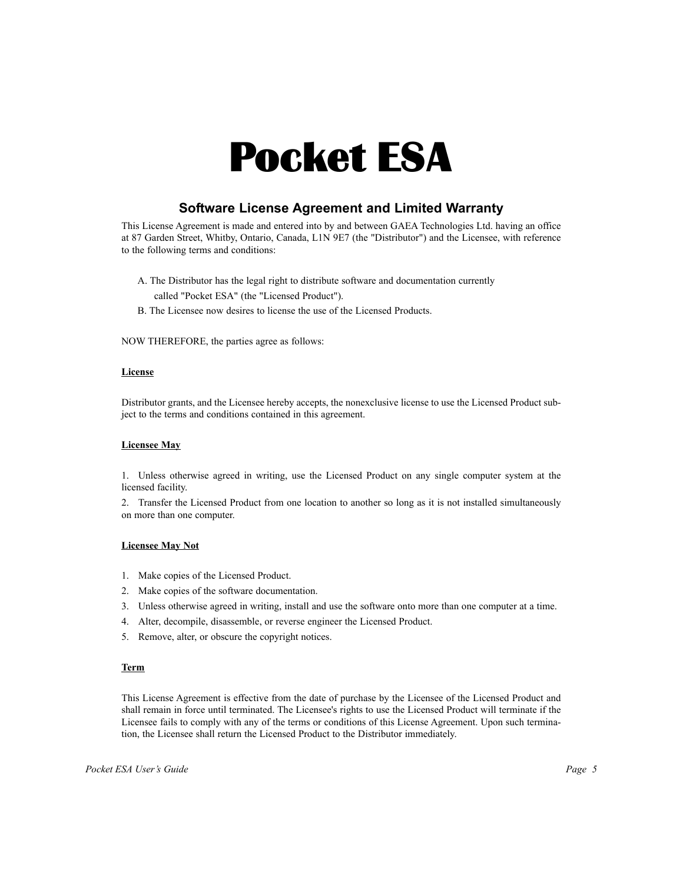# Pocket ESA

# **Software License Agreement and Limited Warranty**

This License Agreement is made and entered into by and between GAEA Technologies Ltd. having an office at 87 Garden Street, Whitby, Ontario, Canada, L1N 9E7 (the "Distributor") and the Licensee, with reference to the following terms and conditions:

- A. The Distributor has the legal right to distribute software and documentation currently called "Pocket ESA" (the "Licensed Product").
- B. The Licensee now desires to license the use of the Licensed Products.

NOW THEREFORE, the parties agree as follows:

#### **License**

Distributor grants, and the Licensee hereby accepts, the nonexclusive license to use the Licensed Product subject to the terms and conditions contained in this agreement.

#### **Licensee May**

1. Unless otherwise agreed in writing, use the Licensed Product on any single computer system at the licensed facility.

2. Transfer the Licensed Product from one location to another so long as it is not installed simultaneously on more than one computer.

#### **Licensee May Not**

- 1. Make copies of the Licensed Product.
- 2. Make copies of the software documentation.
- 3. Unless otherwise agreed in writing, install and use the software onto more than one computer at a time.
- 4. Alter, decompile, disassemble, or reverse engineer the Licensed Product.
- 5. Remove, alter, or obscure the copyright notices.

#### **Term**

This License Agreement is effective from the date of purchase by the Licensee of the Licensed Product and shall remain in force until terminated. The Licensee's rights to use the Licensed Product will terminate if the Licensee fails to comply with any of the terms or conditions of this License Agreement. Upon such termination, the Licensee shall return the Licensed Product to the Distributor immediately.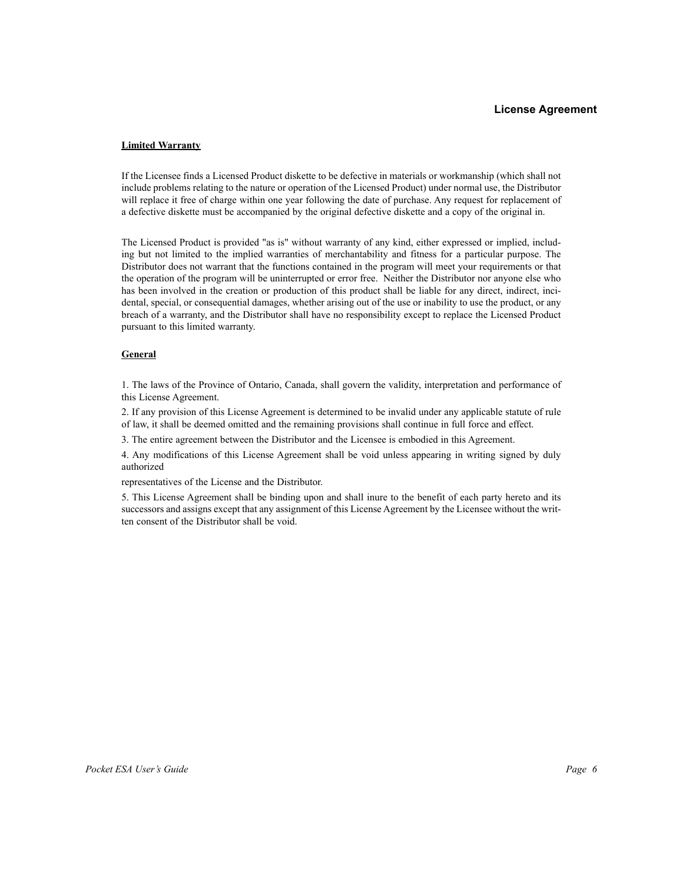#### **License Agreement**

#### **Limited Warranty**

If the Licensee finds a Licensed Product diskette to be defective in materials or workmanship (which shall not include problems relating to the nature or operation of the Licensed Product) under normal use, the Distributor will replace it free of charge within one year following the date of purchase. Any request for replacement of a defective diskette must be accompanied by the original defective diskette and a copy of the original in.

The Licensed Product is provided "as is" without warranty of any kind, either expressed or implied, including but not limited to the implied warranties of merchantability and fitness for a particular purpose. The Distributor does not warrant that the functions contained in the program will meet your requirements or that the operation of the program will be uninterrupted or error free. Neither the Distributor nor anyone else who has been involved in the creation or production of this product shall be liable for any direct, indirect, incidental, special, or consequential damages, whether arising out of the use or inability to use the product, or any breach of a warranty, and the Distributor shall have no responsibility except to replace the Licensed Product pursuant to this limited warranty.

#### **General**

1. The laws of the Province of Ontario, Canada, shall govern the validity, interpretation and performance of this License Agreement.

2. If any provision of this License Agreement is determined to be invalid under any applicable statute of rule of law, it shall be deemed omitted and the remaining provisions shall continue in full force and effect.

3. The entire agreement between the Distributor and the Licensee is embodied in this Agreement.

4. Any modifications of this License Agreement shall be void unless appearing in writing signed by duly authorized

representatives of the License and the Distributor.

5. This License Agreement shall be binding upon and shall inure to the benefit of each party hereto and its successors and assigns except that any assignment of this License Agreement by the Licensee without the written consent of the Distributor shall be void.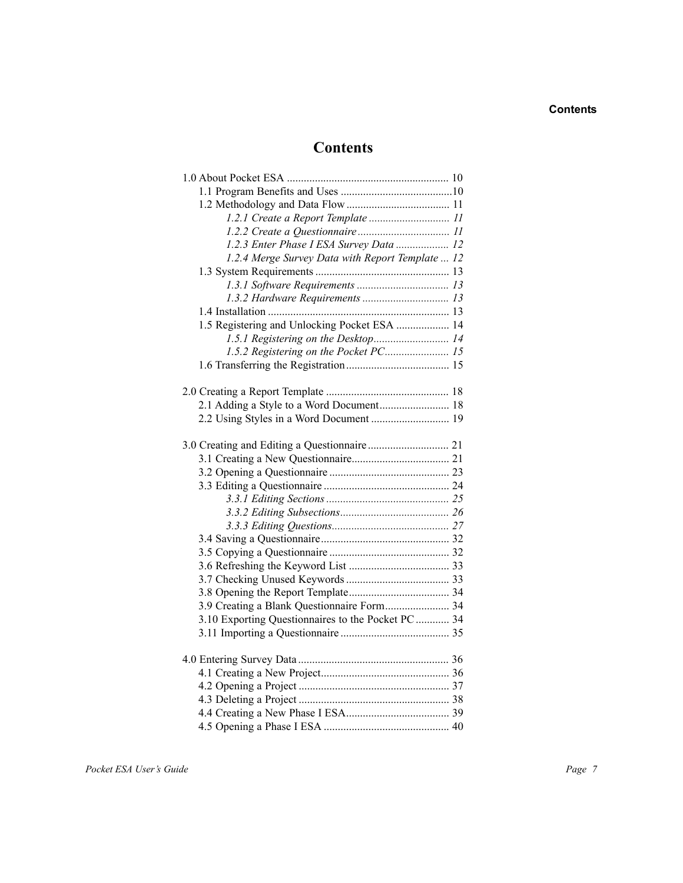## **Contents**

# **Contents**

| 1.2.1 Create a Report Template  11                 |  |
|----------------------------------------------------|--|
|                                                    |  |
| 1.2.3 Enter Phase I ESA Survey Data  12            |  |
| 1.2.4 Merge Survey Data with Report Template  12   |  |
|                                                    |  |
|                                                    |  |
|                                                    |  |
|                                                    |  |
| 1.5 Registering and Unlocking Pocket ESA  14       |  |
| 1.5.1 Registering on the Desktop 14                |  |
| 1.5.2 Registering on the Pocket PC 15              |  |
|                                                    |  |
|                                                    |  |
|                                                    |  |
| 2.1 Adding a Style to a Word Document 18           |  |
|                                                    |  |
|                                                    |  |
|                                                    |  |
|                                                    |  |
|                                                    |  |
|                                                    |  |
|                                                    |  |
|                                                    |  |
|                                                    |  |
|                                                    |  |
|                                                    |  |
|                                                    |  |
|                                                    |  |
|                                                    |  |
| 3.9 Creating a Blank Questionnaire Form 34         |  |
| 3.10 Exporting Questionnaires to the Pocket PC  34 |  |
|                                                    |  |
|                                                    |  |
|                                                    |  |
|                                                    |  |
|                                                    |  |
|                                                    |  |
|                                                    |  |
|                                                    |  |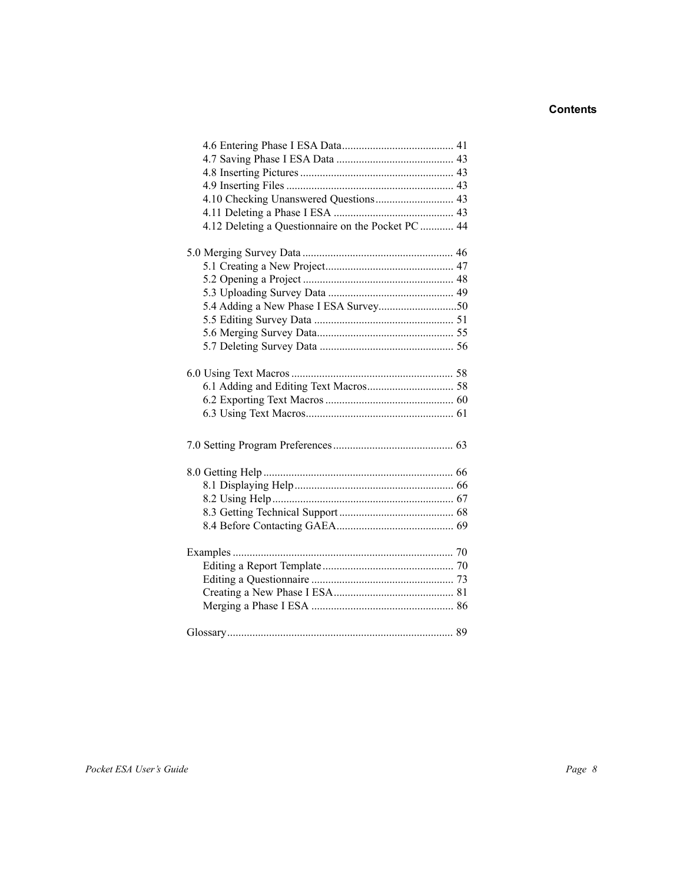# **Contents**

| 4.10 Checking Unanswered Questions 43              |  |
|----------------------------------------------------|--|
|                                                    |  |
| 4.12 Deleting a Questionnaire on the Pocket PC  44 |  |
|                                                    |  |
|                                                    |  |
|                                                    |  |
|                                                    |  |
|                                                    |  |
|                                                    |  |
|                                                    |  |
|                                                    |  |
|                                                    |  |
|                                                    |  |
|                                                    |  |
|                                                    |  |
|                                                    |  |
|                                                    |  |
|                                                    |  |
|                                                    |  |
|                                                    |  |
|                                                    |  |
|                                                    |  |
|                                                    |  |
|                                                    |  |
|                                                    |  |
|                                                    |  |
|                                                    |  |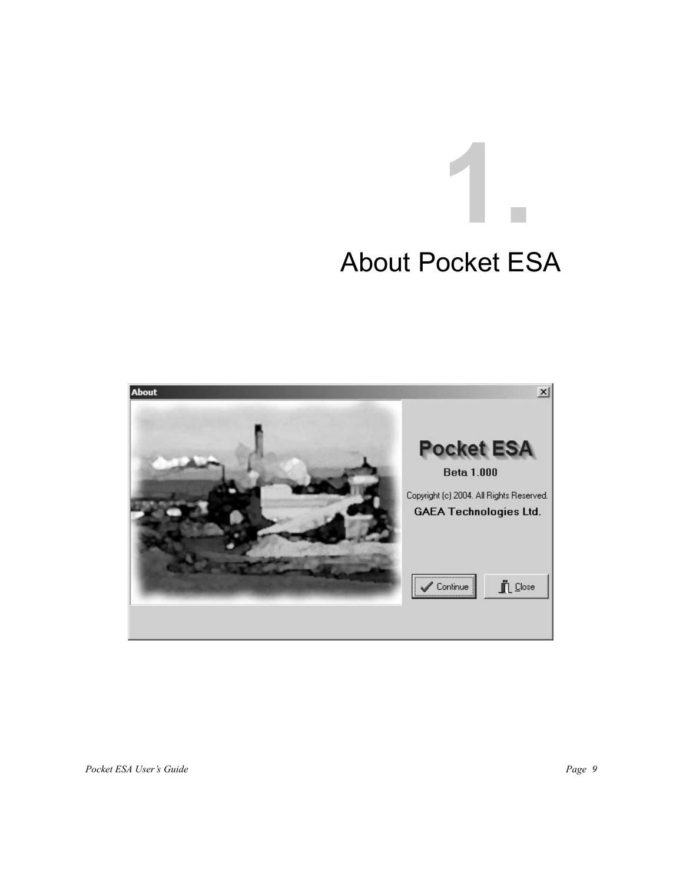# **1.** About Pocket ESA

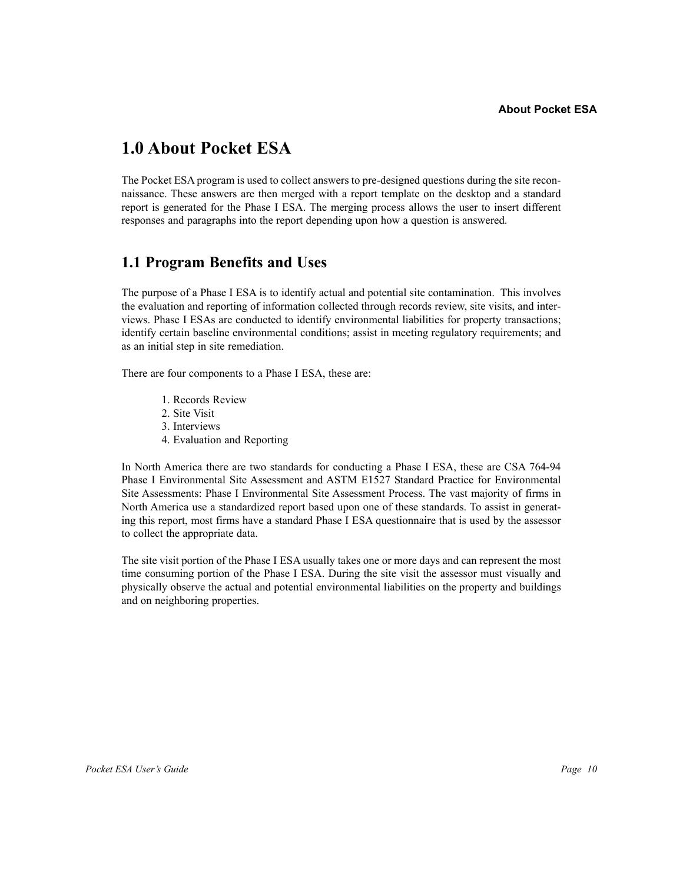# **1.0 About Pocket ESA**

The Pocket ESA program is used to collect answers to pre-designed questions during the site reconnaissance. These answers are then merged with a report template on the desktop and a standard report is generated for the Phase I ESA. The merging process allows the user to insert different responses and paragraphs into the report depending upon how a question is answered.

# **1.1 Program Benefits and Uses**

The purpose of a Phase I ESA is to identify actual and potential site contamination. This involves the evaluation and reporting of information collected through records review, site visits, and interviews. Phase I ESAs are conducted to identify environmental liabilities for property transactions; identify certain baseline environmental conditions; assist in meeting regulatory requirements; and as an initial step in site remediation.

There are four components to a Phase I ESA, these are:

- 1. Records Review
- 2. Site Visit
- 3. Interviews
- 4. Evaluation and Reporting

In North America there are two standards for conducting a Phase I ESA, these are CSA 764-94 Phase I Environmental Site Assessment and ASTM E1527 Standard Practice for Environmental Site Assessments: Phase I Environmental Site Assessment Process. The vast majority of firms in North America use a standardized report based upon one of these standards. To assist in generating this report, most firms have a standard Phase I ESA questionnaire that is used by the assessor to collect the appropriate data.

The site visit portion of the Phase I ESA usually takes one or more days and can represent the most time consuming portion of the Phase I ESA. During the site visit the assessor must visually and physically observe the actual and potential environmental liabilities on the property and buildings and on neighboring properties.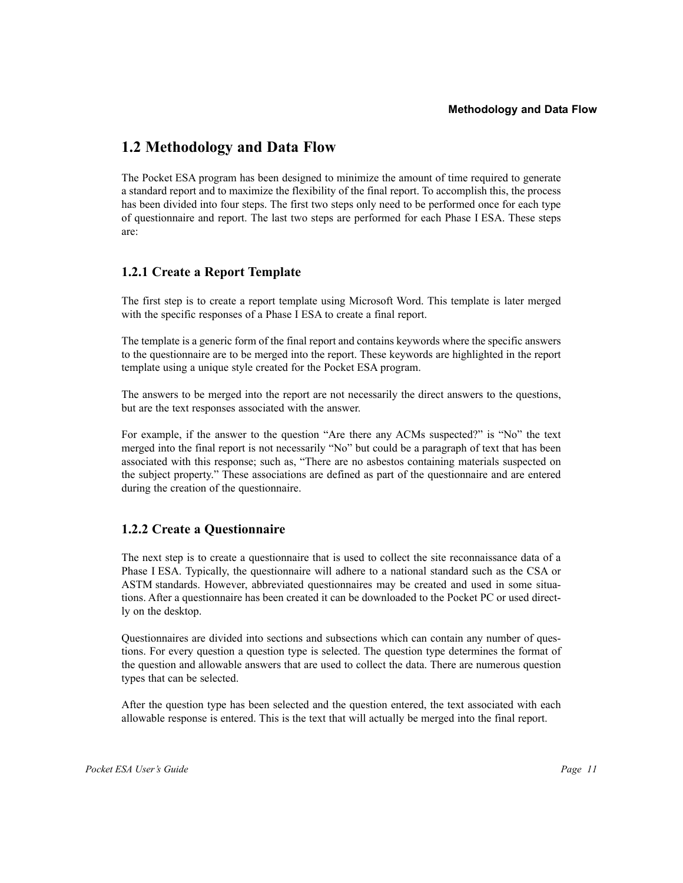# **1.2 Methodology and Data Flow**

The Pocket ESA program has been designed to minimize the amount of time required to generate a standard report and to maximize the flexibility of the final report. To accomplish this, the process has been divided into four steps. The first two steps only need to be performed once for each type of questionnaire and report. The last two steps are performed for each Phase I ESA. These steps are:

# **1.2.1 Create a Report Template**

The first step is to create a report template using Microsoft Word. This template is later merged with the specific responses of a Phase I ESA to create a final report.

The template is a generic form of the final report and contains keywords where the specific answers to the questionnaire are to be merged into the report. These keywords are highlighted in the report template using a unique style created for the Pocket ESA program.

The answers to be merged into the report are not necessarily the direct answers to the questions, but are the text responses associated with the answer.

For example, if the answer to the question "Are there any ACMs suspected?" is "No" the text merged into the final report is not necessarily "No" but could be a paragraph of text that has been associated with this response; such as, "There are no asbestos containing materials suspected on the subject property." These associations are defined as part of the questionnaire and are entered during the creation of the questionnaire.

# **1.2.2 Create a Questionnaire**

The next step is to create a questionnaire that is used to collect the site reconnaissance data of a Phase I ESA. Typically, the questionnaire will adhere to a national standard such as the CSA or ASTM standards. However, abbreviated questionnaires may be created and used in some situations. After a questionnaire has been created it can be downloaded to the Pocket PC or used directly on the desktop.

Questionnaires are divided into sections and subsections which can contain any number of questions. For every question a question type is selected. The question type determines the format of the question and allowable answers that are used to collect the data. There are numerous question types that can be selected.

After the question type has been selected and the question entered, the text associated with each allowable response is entered. This is the text that will actually be merged into the final report.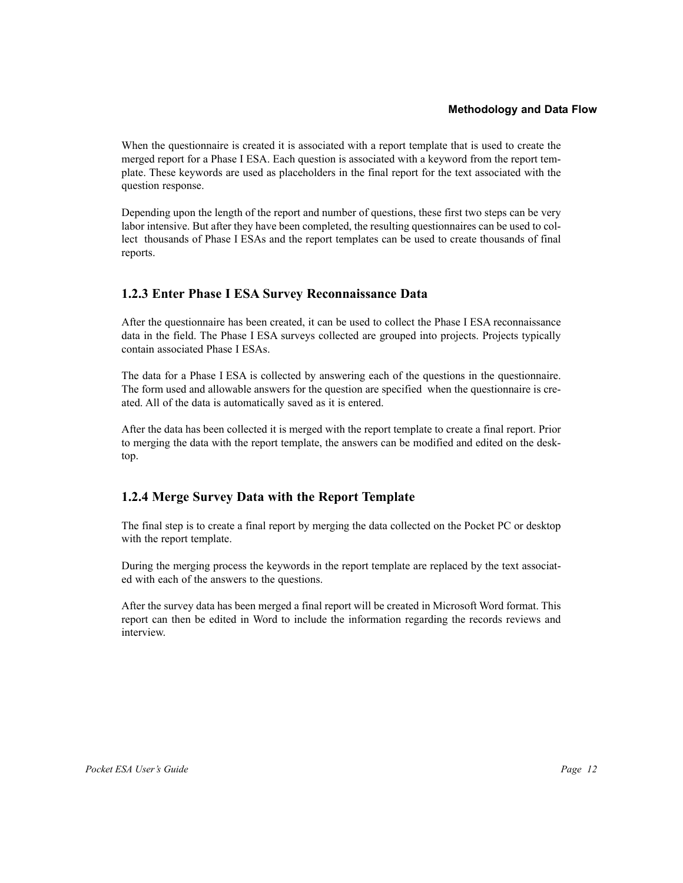When the questionnaire is created it is associated with a report template that is used to create the merged report for a Phase I ESA. Each question is associated with a keyword from the report template. These keywords are used as placeholders in the final report for the text associated with the question response.

Depending upon the length of the report and number of questions, these first two steps can be very labor intensive. But after they have been completed, the resulting questionnaires can be used to collect thousands of Phase I ESAs and the report templates can be used to create thousands of final reports.

# **1.2.3 Enter Phase I ESA Survey Reconnaissance Data**

After the questionnaire has been created, it can be used to collect the Phase I ESA reconnaissance data in the field. The Phase I ESA surveys collected are grouped into projects. Projects typically contain associated Phase I ESAs.

The data for a Phase I ESA is collected by answering each of the questions in the questionnaire. The form used and allowable answers for the question are specified when the questionnaire is created. All of the data is automatically saved as it is entered.

After the data has been collected it is merged with the report template to create a final report. Prior to merging the data with the report template, the answers can be modified and edited on the desktop.

# **1.2.4 Merge Survey Data with the Report Template**

The final step is to create a final report by merging the data collected on the Pocket PC or desktop with the report template.

During the merging process the keywords in the report template are replaced by the text associated with each of the answers to the questions.

After the survey data has been merged a final report will be created in Microsoft Word format. This report can then be edited in Word to include the information regarding the records reviews and interview.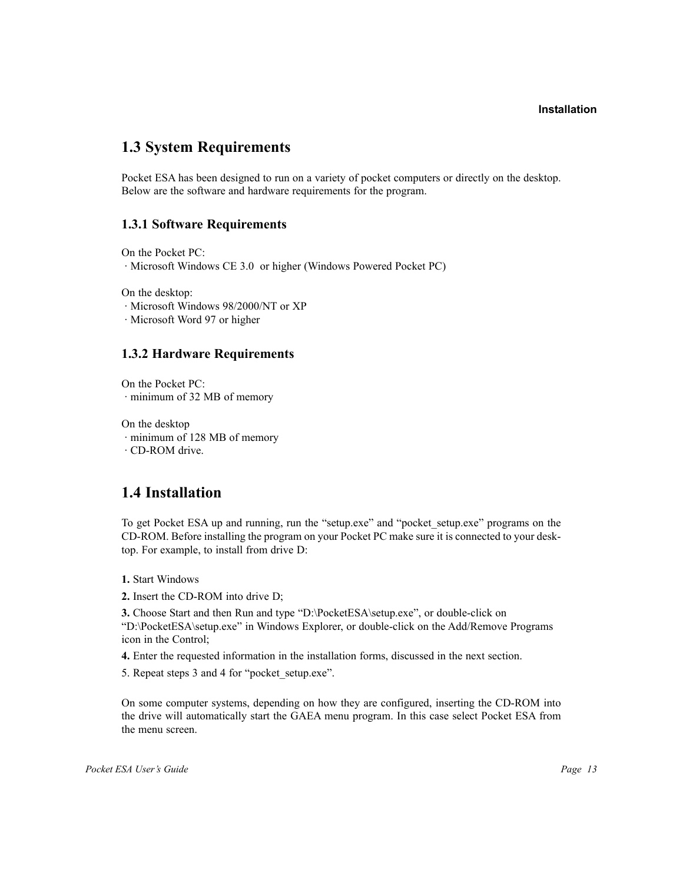# **1.3 System Requirements**

Pocket ESA has been designed to run on a variety of pocket computers or directly on the desktop. Below are the software and hardware requirements for the program.

# **1.3.1 Software Requirements**

On the Pocket PC:

· Microsoft Windows CE 3.0 or higher (Windows Powered Pocket PC)

On the desktop:

· Microsoft Windows 98/2000/NT or XP

· Microsoft Word 97 or higher

# **1.3.2 Hardware Requirements**

On the Pocket PC: · minimum of 32 MB of memory

On the desktop · minimum of 128 MB of memory · CD-ROM drive.

# **1.4 Installation**

To get Pocket ESA up and running, run the "setup.exe" and "pocket setup.exe" programs on the CD-ROM. Before installing the program on your Pocket PC make sure it is connected to your desktop. For example, to install from drive D:

**1.** Start Windows

**2.** Insert the CD-ROM into drive D;

**3.** Choose Start and then Run and type "D:\PocketESA\setup.exe", or double-click on "D:\PocketESA\setup.exe" in Windows Explorer, or double-click on the Add/Remove Programs icon in the Control;

**4.** Enter the requested information in the installation forms, discussed in the next section.

5. Repeat steps 3 and 4 for "pocket setup.exe".

On some computer systems, depending on how they are configured, inserting the CD-ROM into the drive will automatically start the GAEA menu program. In this case select Pocket ESA from the menu screen.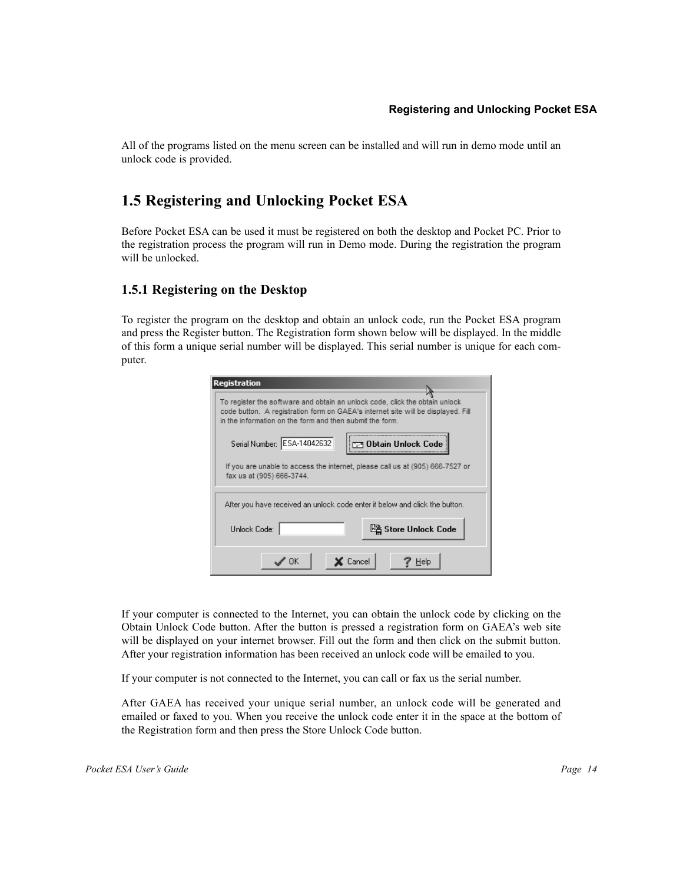All of the programs listed on the menu screen can be installed and will run in demo mode until an unlock code is provided.

# **1.5 Registering and Unlocking Pocket ESA**

Before Pocket ESA can be used it must be registered on both the desktop and Pocket PC. Prior to the registration process the program will run in Demo mode. During the registration the program will be unlocked.

# **1.5.1 Registering on the Desktop**

To register the program on the desktop and obtain an unlock code, run the Pocket ESA program and press the Register button. The Registration form shown below will be displayed. In the middle of this form a unique serial number will be displayed. This serial number is unique for each computer.

| <b>Registration</b>                                                                                                                                                                                                         |
|-----------------------------------------------------------------------------------------------------------------------------------------------------------------------------------------------------------------------------|
| To register the software and obtain an unlock code, click the obtain unlock<br>code button. A registration form on GAEA's internet site will be displayed. Fill<br>in the information on the form and then submit the form. |
| Serial Number: ESA-14042632<br>Obtain Unlock Code                                                                                                                                                                           |
| If you are unable to access the internet, please call us at (905) 666-7527 or<br>fax us at (905) 666-3744.                                                                                                                  |
| After you have received an unlock code enter it below and click the button.                                                                                                                                                 |
| La Store Unlock Code<br>Unlock Code:                                                                                                                                                                                        |
| ∕ OK<br>K Cancel<br>Help                                                                                                                                                                                                    |

If your computer is connected to the Internet, you can obtain the unlock code by clicking on the Obtain Unlock Code button. After the button is pressed a registration form on GAEA's web site will be displayed on your internet browser. Fill out the form and then click on the submit button. After your registration information has been received an unlock code will be emailed to you.

If your computer is not connected to the Internet, you can call or fax us the serial number.

After GAEA has received your unique serial number, an unlock code will be generated and emailed or faxed to you. When you receive the unlock code enter it in the space at the bottom of the Registration form and then press the Store Unlock Code button.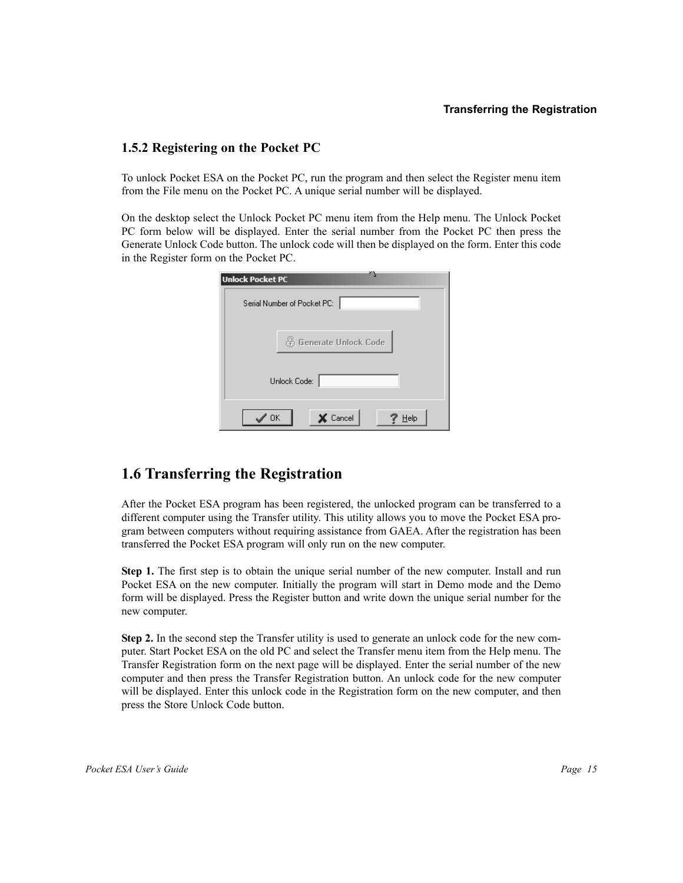#### **Transferring the Registration**

# **1.5.2 Registering on the Pocket PC**

To unlock Pocket ESA on the Pocket PC, run the program and then select the Register menu item from the File menu on the Pocket PC. A unique serial number will be displayed.

On the desktop select the Unlock Pocket PC menu item from the Help menu. The Unlock Pocket PC form below will be displayed. Enter the serial number from the Pocket PC then press the Generate Unlock Code button. The unlock code will then be displayed on the form. Enter this code in the Register form on the Pocket PC.

| ×.<br><b>Unlock Pocket PC</b> |
|-------------------------------|
| Serial Number of Pocket PC:   |
|                               |
| <b>A</b> Generate Unlock Code |
|                               |
| Unlock Code:                  |
|                               |
| OK<br>Cancel<br>Help          |

# **1.6 Transferring the Registration**

After the Pocket ESA program has been registered, the unlocked program can be transferred to a different computer using the Transfer utility. This utility allows you to move the Pocket ESA program between computers without requiring assistance from GAEA. After the registration has been transferred the Pocket ESA program will only run on the new computer.

**Step 1.** The first step is to obtain the unique serial number of the new computer. Install and run Pocket ESA on the new computer. Initially the program will start in Demo mode and the Demo form will be displayed. Press the Register button and write down the unique serial number for the new computer.

**Step 2.** In the second step the Transfer utility is used to generate an unlock code for the new computer. Start Pocket ESA on the old PC and select the Transfer menu item from the Help menu. The Transfer Registration form on the next page will be displayed. Enter the serial number of the new computer and then press the Transfer Registration button. An unlock code for the new computer will be displayed. Enter this unlock code in the Registration form on the new computer, and then press the Store Unlock Code button.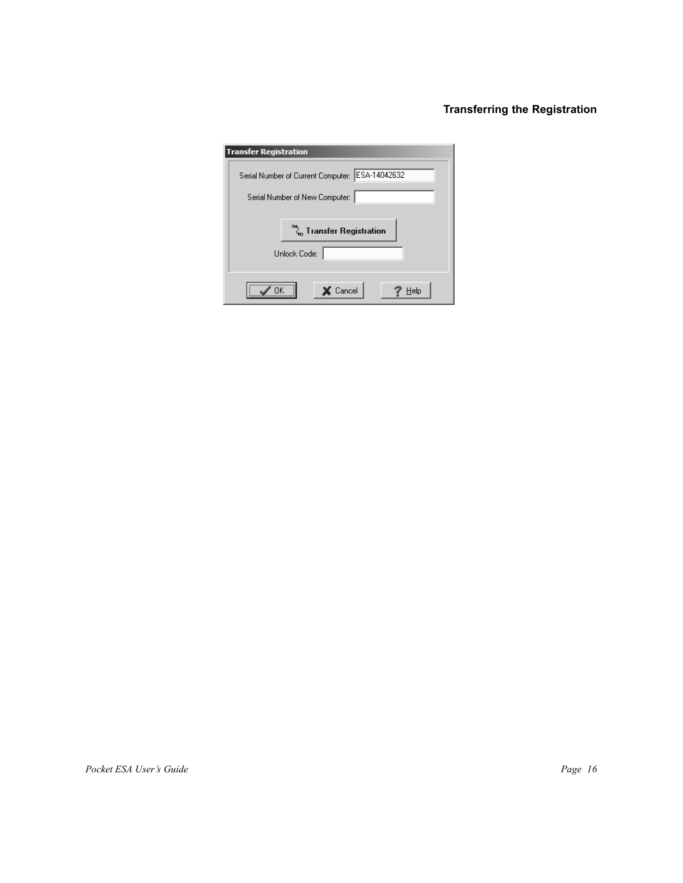# **Transferring the Registration**

| <b>Transfer Registration</b>                    |  |
|-------------------------------------------------|--|
| Serial Number of Current Computer: ESA-14042632 |  |
| Serial Number of New Computer:                  |  |
| $\sqrt[\mathbf{a}_n]{ }$ Transfer Registration  |  |
| Unlock Code:                                    |  |
| Cancel<br>Help                                  |  |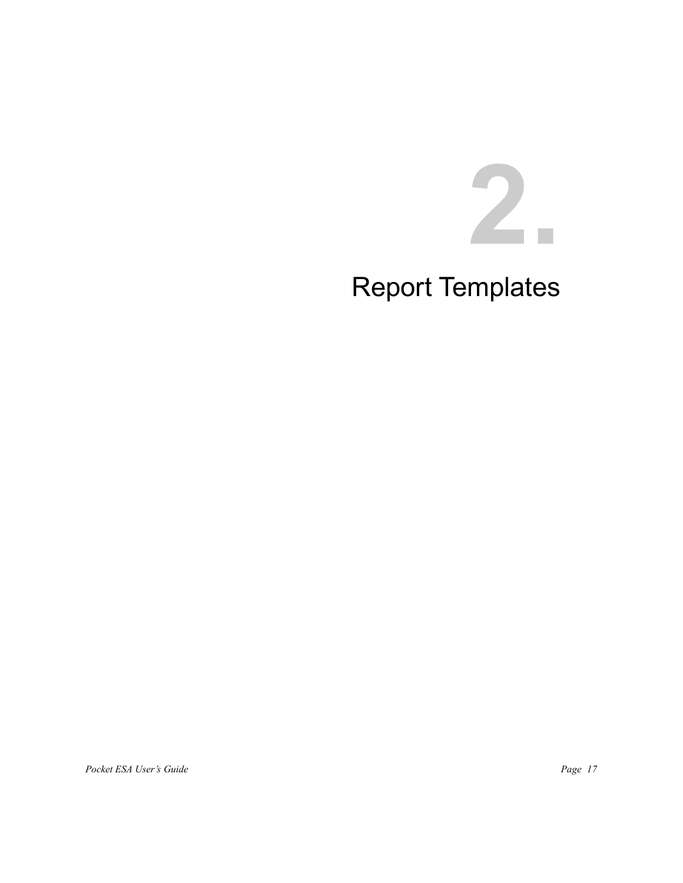# **2.**

# Report Templates

Pocket ESA User's Guide Page 17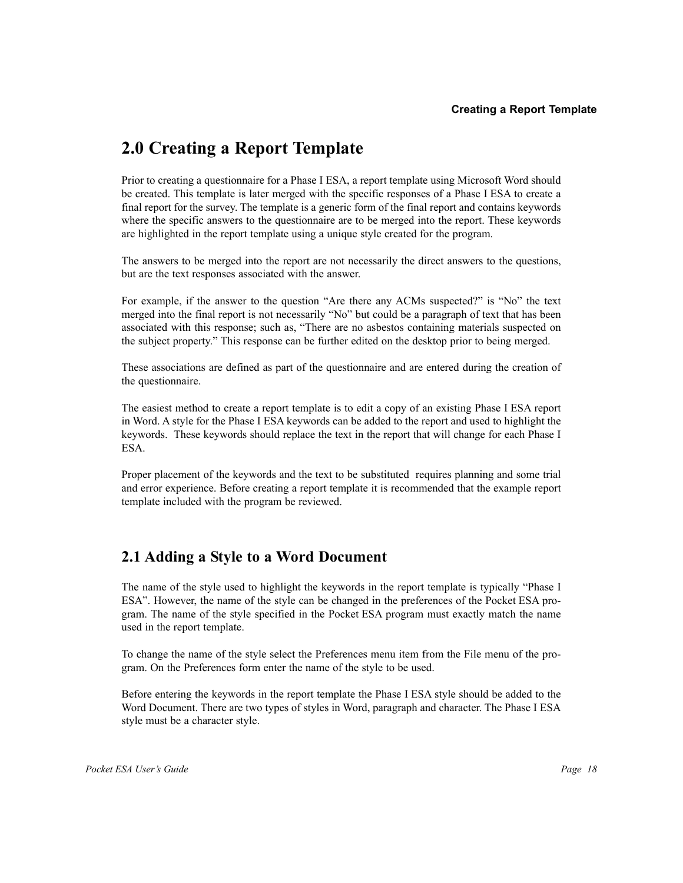# **2.0 Creating a Report Template**

Prior to creating a questionnaire for a Phase I ESA, a report template using Microsoft Word should be created. This template is later merged with the specific responses of a Phase I ESA to create a final report for the survey. The template is a generic form of the final report and contains keywords where the specific answers to the questionnaire are to be merged into the report. These keywords are highlighted in the report template using a unique style created for the program.

The answers to be merged into the report are not necessarily the direct answers to the questions, but are the text responses associated with the answer.

For example, if the answer to the question "Are there any ACMs suspected?" is "No" the text merged into the final report is not necessarily "No" but could be a paragraph of text that has been associated with this response; such as, "There are no asbestos containing materials suspected on the subject property." This response can be further edited on the desktop prior to being merged.

These associations are defined as part of the questionnaire and are entered during the creation of the questionnaire.

The easiest method to create a report template is to edit a copy of an existing Phase I ESA report in Word. A style for the Phase I ESA keywords can be added to the report and used to highlight the keywords. These keywords should replace the text in the report that will change for each Phase I ESA.

Proper placement of the keywords and the text to be substituted requires planning and some trial and error experience. Before creating a report template it is recommended that the example report template included with the program be reviewed.

# **2.1 Adding a Style to a Word Document**

The name of the style used to highlight the keywords in the report template is typically "Phase I ESA". However, the name of the style can be changed in the preferences of the Pocket ESA program. The name of the style specified in the Pocket ESA program must exactly match the name used in the report template.

To change the name of the style select the Preferences menu item from the File menu of the program. On the Preferences form enter the name of the style to be used.

Before entering the keywords in the report template the Phase I ESA style should be added to the Word Document. There are two types of styles in Word, paragraph and character. The Phase I ESA style must be a character style.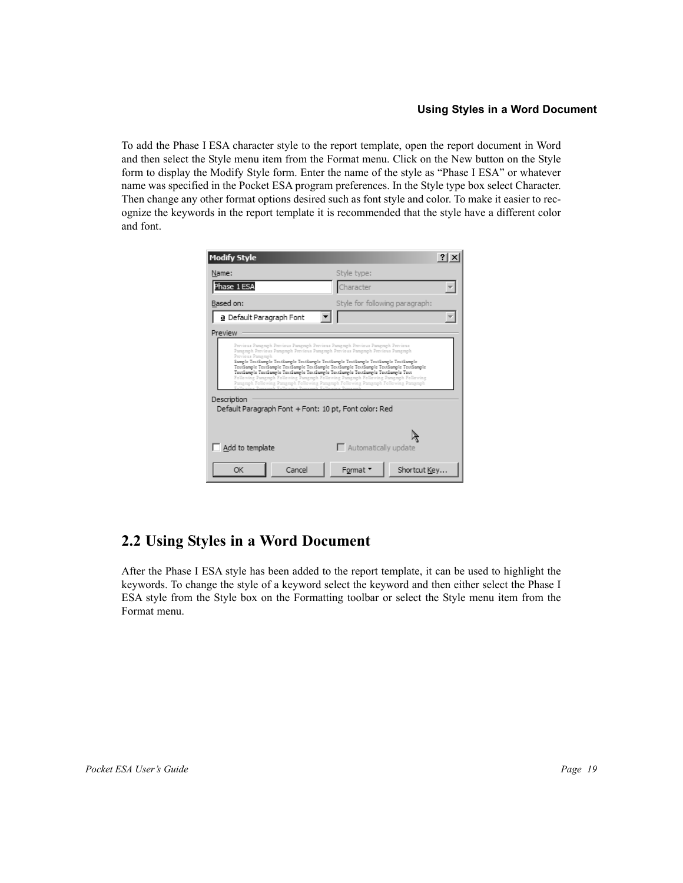# **Using Styles in a Word Document**

To add the Phase I ESA character style to the report template, open the report document in Word and then select the Style menu item from the Format menu. Click on the New button on the Style form to display the Modify Style form. Enter the name of the style as "Phase I ESA" or whatever name was specified in the Pocket ESA program preferences. In the Style type box select Character. Then change any other format options desired such as font style and color. To make it easier to recognize the keywords in the report template it is recommended that the style have a different color and font.

| <b>Modify Style</b>                                                                                                                                                                                                                                                                                                                                                                                                                                                                                                                                                                                                                                                                                                  |                                |  |
|----------------------------------------------------------------------------------------------------------------------------------------------------------------------------------------------------------------------------------------------------------------------------------------------------------------------------------------------------------------------------------------------------------------------------------------------------------------------------------------------------------------------------------------------------------------------------------------------------------------------------------------------------------------------------------------------------------------------|--------------------------------|--|
| Name:                                                                                                                                                                                                                                                                                                                                                                                                                                                                                                                                                                                                                                                                                                                | Style type:                    |  |
| Phase 1 ESA                                                                                                                                                                                                                                                                                                                                                                                                                                                                                                                                                                                                                                                                                                          | Character                      |  |
| Based on:                                                                                                                                                                                                                                                                                                                                                                                                                                                                                                                                                                                                                                                                                                            | Style for following paragraph: |  |
| a Default Paragraph Font                                                                                                                                                                                                                                                                                                                                                                                                                                                                                                                                                                                                                                                                                             |                                |  |
| Preview                                                                                                                                                                                                                                                                                                                                                                                                                                                                                                                                                                                                                                                                                                              |                                |  |
| Previous Paragraph Previous Paragraph Previous Paragraph Previous Paragraph Previous<br>Pangngh Previous Pangngh Previous Pangngh Previous Pangngh Previous Pangngh.<br>Previous Pangraph<br>Sample TextSample TextSample TextSample TextSample TextSample TextSample TextSample<br>TextSample TextSample TextSample TextSample TextSample TextSample TextSample TextSample<br>TextSample TextSample TextSample TextSample TextSample TextSample TextSample Text<br>Following Pangraph Following Pangraph Following Pangraph Following Pangraph Following<br>Pangngh Following Pangngh Following Pangngh Following Pangngh Following Pangngh<br>Description<br>Default Paragraph Font + Font: 10 pt, Font color: Red |                                |  |
| Add to template                                                                                                                                                                                                                                                                                                                                                                                                                                                                                                                                                                                                                                                                                                      | $\Box$ Automatically update    |  |
| Cancel<br>OK                                                                                                                                                                                                                                                                                                                                                                                                                                                                                                                                                                                                                                                                                                         | Shortcut Key<br>Format *       |  |

# **2.2 Using Styles in a Word Document**

After the Phase I ESA style has been added to the report template, it can be used to highlight the keywords. To change the style of a keyword select the keyword and then either select the Phase I ESA style from the Style box on the Formatting toolbar or select the Style menu item from the Format menu.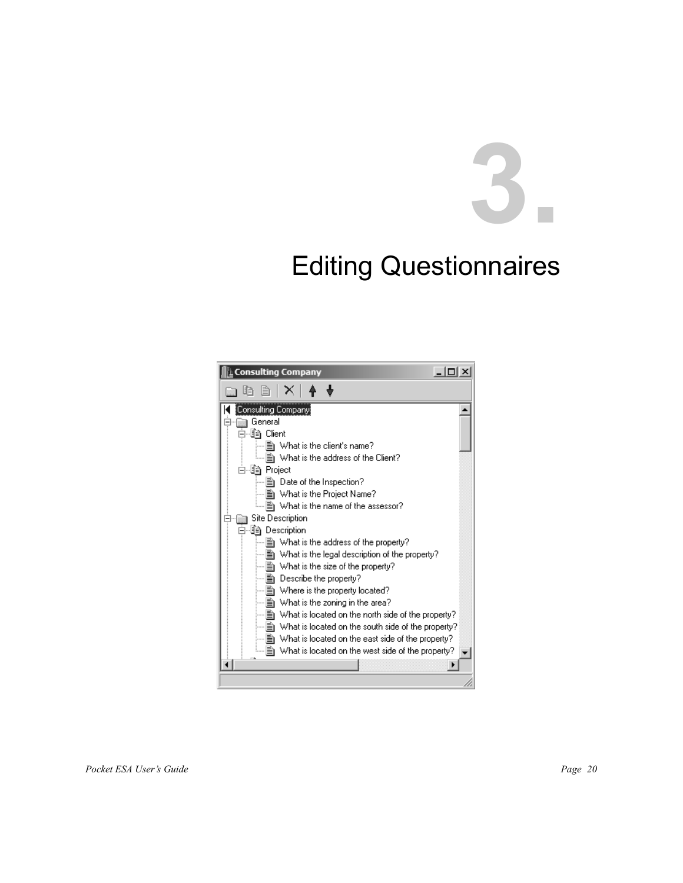# **3.**

# Editing Questionnaires

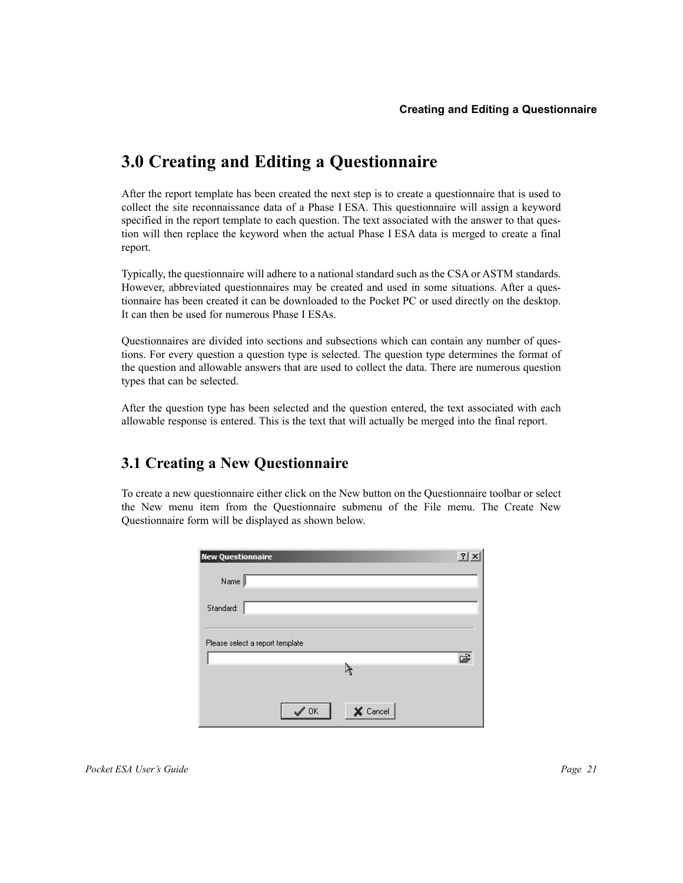# **3.0 Creating and Editing a Questionnaire**

After the report template has been created the next step is to create a questionnaire that is used to collect the site reconnaissance data of a Phase I ESA. This questionnaire will assign a keyword specified in the report template to each question. The text associated with the answer to that question will then replace the keyword when the actual Phase I ESA data is merged to create a final report.

Typically, the questionnaire will adhere to a national standard such as the CSA or ASTM standards. However, abbreviated questionnaires may be created and used in some situations. After a questionnaire has been created it can be downloaded to the Pocket PC or used directly on the desktop. It can then be used for numerous Phase I ESAs.

Questionnaires are divided into sections and subsections which can contain any number of questions. For every question a question type is selected. The question type determines the format of the question and allowable answers that are used to collect the data. There are numerous question types that can be selected.

After the question type has been selected and the question entered, the text associated with each allowable response is entered. This is the text that will actually be merged into the final report.

# **3.1 Creating a New Questionnaire**

To create a new questionnaire either click on the New button on the Questionnaire toolbar or select the New menu item from the Questionnaire submenu of the File menu. The Create New Questionnaire form will be displayed as shown below.

| <b>New Questionnaire</b> |                                 |          | $\overline{?}$ |
|--------------------------|---------------------------------|----------|----------------|
| Name                     |                                 |          |                |
| Standard:                |                                 |          |                |
|                          | Please select a report template |          |                |
|                          |                                 |          | È              |
|                          |                                 |          |                |
|                          | $\mathscr{S}$ ok                | X Cancel |                |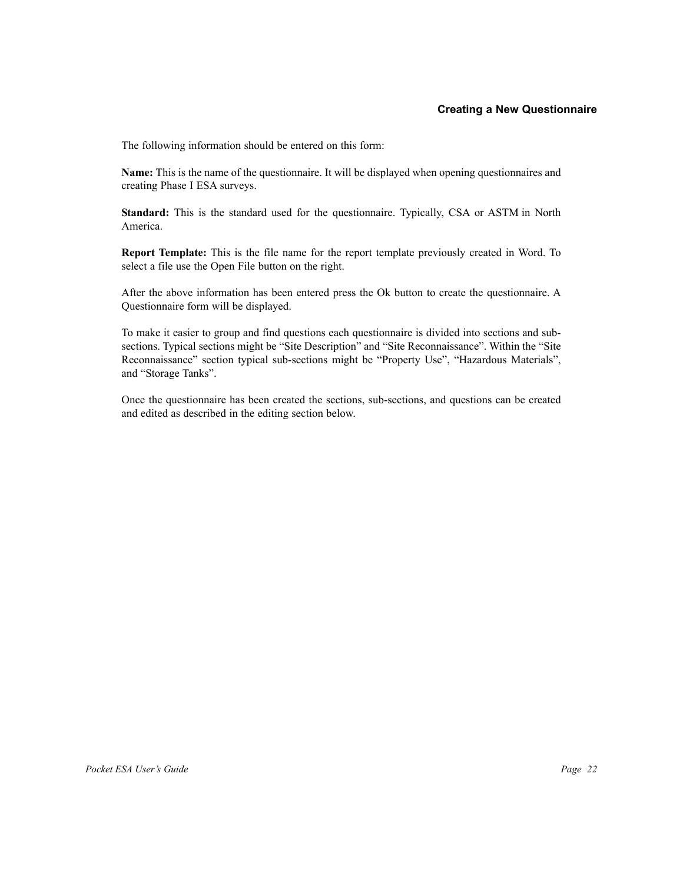## **Creating a New Questionnaire**

The following information should be entered on this form:

**Name:** This is the name of the questionnaire. It will be displayed when opening questionnaires and creating Phase I ESA surveys.

**Standard:** This is the standard used for the questionnaire. Typically, CSA or ASTM in North America.

**Report Template:** This is the file name for the report template previously created in Word. To select a file use the Open File button on the right.

After the above information has been entered press the Ok button to create the questionnaire. A Questionnaire form will be displayed.

To make it easier to group and find questions each questionnaire is divided into sections and subsections. Typical sections might be "Site Description" and "Site Reconnaissance". Within the "Site Reconnaissance" section typical sub-sections might be "Property Use", "Hazardous Materials", and "Storage Tanks".

Once the questionnaire has been created the sections, sub-sections, and questions can be created and edited as described in the editing section below.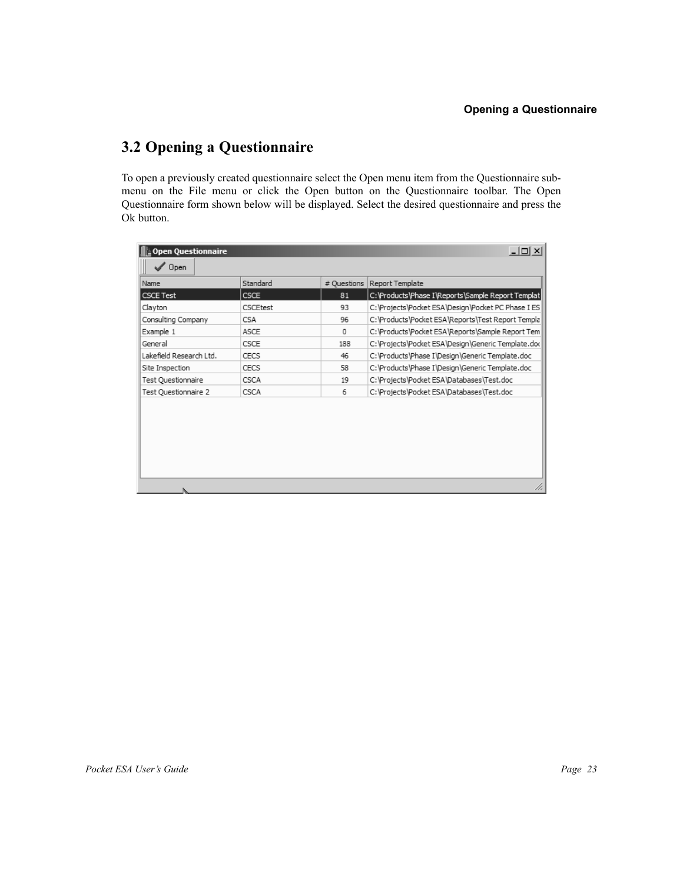# **3.2 Opening a Questionnaire**

To open a previously created questionnaire select the Open menu item from the Questionnaire submenu on the File menu or click the Open button on the Questionnaire toolbar. The Open Questionnaire form shown below will be displayed. Select the desired questionnaire and press the Ok button.

| $ \Box$ $\times$<br><b>Open Questionnaire</b> |             |             |                                                    |  |
|-----------------------------------------------|-------------|-------------|----------------------------------------------------|--|
| $\sqrt{ }$ Open                               |             |             |                                                    |  |
| Name                                          | Standard    | # Questions | Report Template                                    |  |
| CSCE Test                                     | <b>CSCE</b> | 81          | C:\Products\Phase I\Reports\Sample Report Templat  |  |
| Clayton                                       | CSCEtest    | 93          | C:\Projects\Pocket ESA\Design\Pocket PC Phase I ES |  |
| Consulting Company                            | CSA         | 96          | C:\Products\Pocket ESA\Reports\Test Report Templa  |  |
| Example 1                                     | ASCE        | 0           | C: \Products\Pocket ESA\Reports\Sample Report Tem  |  |
| General                                       | CSCE        | 188         | C:\Projects\Pocket ESA\Design\Generic Template.do( |  |
| Lakefield Research Ltd.                       | CECS        | 46          | C: \Products\Phase I\Design\Generic Template.doc   |  |
| Site Inspection                               | CECS        | 58          | C: \Products\Phase I\Design\Generic Template.doc   |  |
| Test Questionnaire                            | CSCA        | 19          | C:\Projects\Pocket ESA\Databases\Test.doc          |  |
| Test Questionnaire 2                          | CSCA        | 6           | C:\Projects\Pocket ESA\Databases\Test.doc          |  |
|                                               |             |             |                                                    |  |
|                                               |             |             |                                                    |  |
|                                               |             |             |                                                    |  |
|                                               |             |             |                                                    |  |
|                                               |             |             |                                                    |  |
|                                               |             |             |                                                    |  |
|                                               |             |             |                                                    |  |
|                                               |             |             | h                                                  |  |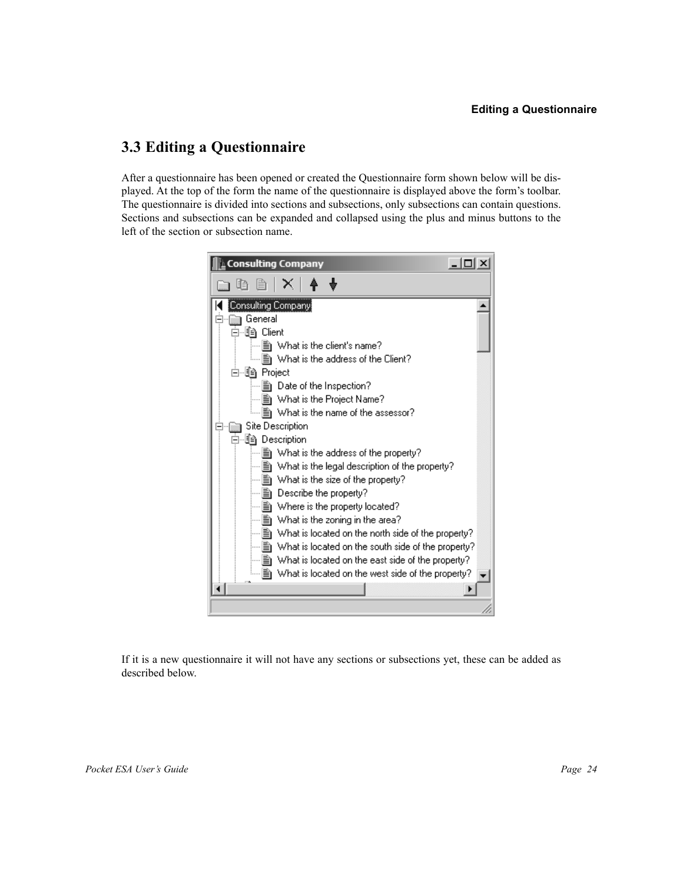# **3.3 Editing a Questionnaire**

After a questionnaire has been opened or created the Questionnaire form shown below will be displayed. At the top of the form the name of the questionnaire is displayed above the form's toolbar. The questionnaire is divided into sections and subsections, only subsections can contain questions. Sections and subsections can be expanded and collapsed using the plus and minus buttons to the left of the section or subsection name.



If it is a new questionnaire it will not have any sections or subsections yet, these can be added as described below.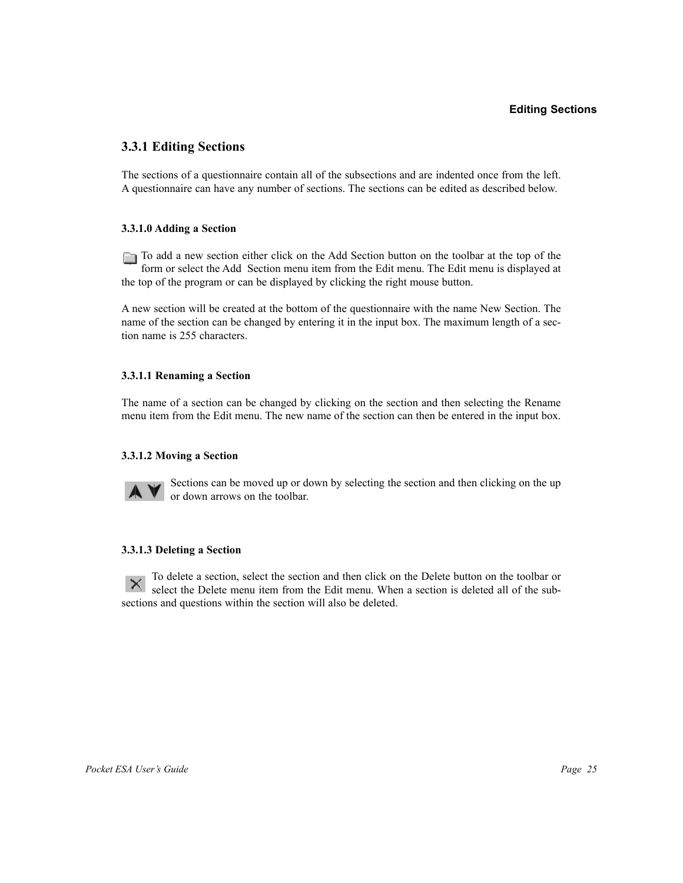# **3.3.1 Editing Sections**

The sections of a questionnaire contain all of the subsections and are indented once from the left. A questionnaire can have any number of sections. The sections can be edited as described below.

#### **3.3.1.0 Adding a Section**

To add a new section either click on the Add Section button on the toolbar at the top of the form or select the Add Section menu item from the Edit menu. The Edit menu is displayed at the top of the program or can be displayed by clicking the right mouse button.

A new section will be created at the bottom of the questionnaire with the name New Section. The name of the section can be changed by entering it in the input box. The maximum length of a section name is 255 characters.

#### **3.3.1.1 Renaming a Section**

The name of a section can be changed by clicking on the section and then selecting the Rename menu item from the Edit menu. The new name of the section can then be entered in the input box.

#### **3.3.1.2 Moving a Section**



Sections can be moved up or down by selecting the section and then clicking on the up or down arrows on the toolbar.

#### **3.3.1.3 Deleting a Section**

To delete a section, select the section and then click on the Delete button on the toolbar or Select the Delete menu item from the Edit menu. When a section is deleted all of the subsections and questions within the section will also be deleted.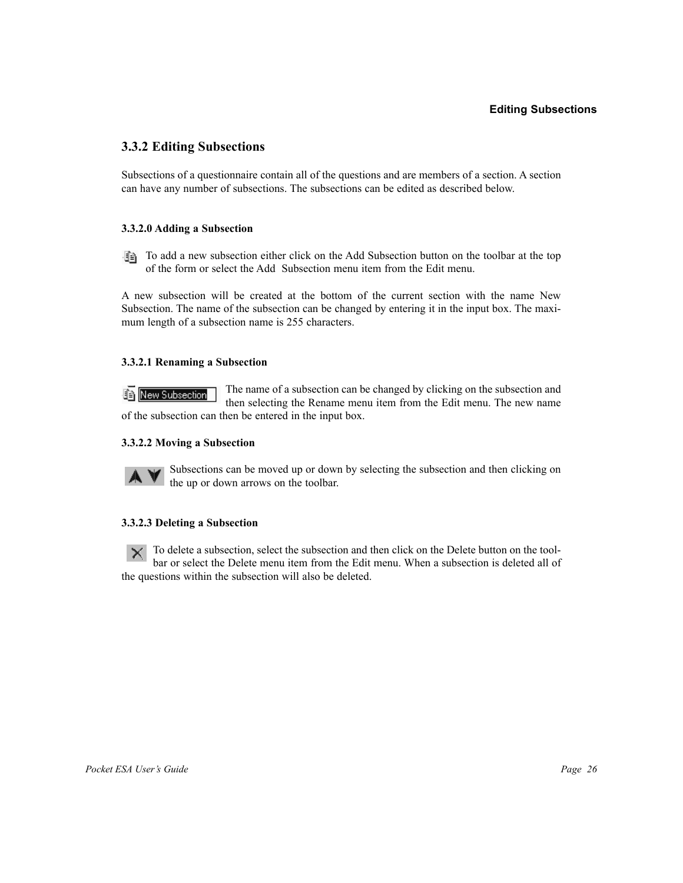# **3.3.2 Editing Subsections**

Subsections of a questionnaire contain all of the questions and are members of a section. A section can have any number of subsections. The subsections can be edited as described below.

#### **3.3.2.0 Adding a Subsection**

To add a new subsection either click on the Add Subsection button on the toolbar at the top of the form or select the Add Subsection menu item from the Edit menu.

A new subsection will be created at the bottom of the current section with the name New Subsection. The name of the subsection can be changed by entering it in the input box. The maximum length of a subsection name is 255 characters.

### **3.3.2.1 Renaming a Subsection**

The name of a subsection can be changed by clicking on the subsection and **En New Subsection** then selecting the Rename menu item from the Edit menu. The new name of the subsection can then be entered in the input box.

## **3.3.2.2 Moving a Subsection**



Subsections can be moved up or down by selecting the subsection and then clicking on the up or down arrows on the toolbar.

#### **3.3.2.3 Deleting a Subsection**

To delete a subsection, select the subsection and then click on the Delete button on the tool- $\times$ bar or select the Delete menu item from the Edit menu. When a subsection is deleted all of the questions within the subsection will also be deleted.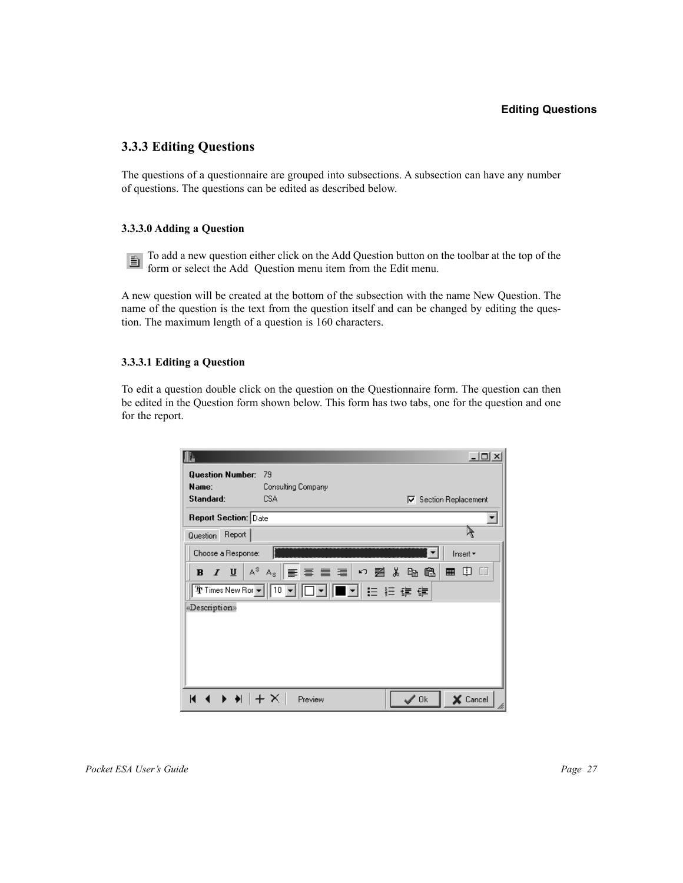# **Editing Questions**

# **3.3.3 Editing Questions**

The questions of a questionnaire are grouped into subsections. A subsection can have any number of questions. The questions can be edited as described below.

### **3.3.3.0 Adding a Question**

To add a new question either click on the Add Question button on the toolbar at the top of the 直 form or select the Add Question menu item from the Edit menu.

A new question will be created at the bottom of the subsection with the name New Question. The name of the question is the text from the question itself and can be changed by editing the question. The maximum length of a question is 160 characters.

# **3.3.3.1 Editing a Question**

To edit a question double click on the question on the Questionnaire form. The question can then be edited in the Question form shown below. This form has two tabs, one for the question and one for the report.

|                             |                                                 | $\Box$                             |
|-----------------------------|-------------------------------------------------|------------------------------------|
| <b>Question Number:</b>     | - 79                                            |                                    |
| Name:                       | Consulting Company                              |                                    |
| Standard:                   | CSA                                             | <b>▽</b> Section Replacement       |
| <b>Report Section: Date</b> |                                                 |                                    |
| Report<br><b>Question</b>   |                                                 |                                    |
| Choose a Response:          |                                                 | Insert *                           |
| $B$ $I$ $U$                 | $A^s$ $A_s$ $\equiv$ 三 三 三 一 つ 者 る 亀 亀          | ■ 中                                |
|                             | काimes New Ror▼   10 ▼   □■   ■ ■     ≡ 月 日 伊 伊 |                                    |
| «Description»               |                                                 |                                    |
|                             |                                                 |                                    |
|                             |                                                 |                                    |
|                             |                                                 |                                    |
|                             |                                                 |                                    |
|                             |                                                 |                                    |
| $ A \rightarrow M +X $      | Preview                                         | $\mathscr{L}$ Ok<br>X Cancel<br>hi |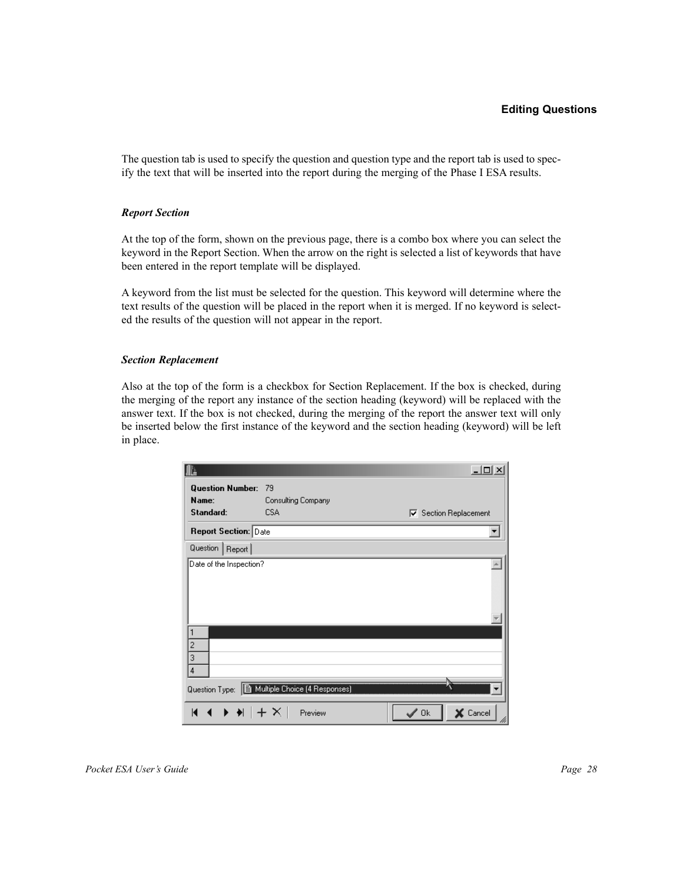The question tab is used to specify the question and question type and the report tab is used to specify the text that will be inserted into the report during the merging of the Phase I ESA results.

#### *Report Section*

At the top of the form, shown on the previous page, there is a combo box where you can select the keyword in the Report Section. When the arrow on the right is selected a list of keywords that have been entered in the report template will be displayed.

A keyword from the list must be selected for the question. This keyword will determine where the text results of the question will be placed in the report when it is merged. If no keyword is selected the results of the question will not appear in the report.

#### *Section Replacement*

Also at the top of the form is a checkbox for Section Replacement. If the box is checked, during the merging of the report any instance of the section heading (keyword) will be replaced with the answer text. If the box is not checked, during the merging of the report the answer text will only be inserted below the first instance of the keyword and the section heading (keyword) will be left in place.

|                             |                                                                                        | $\Box$                             |
|-----------------------------|----------------------------------------------------------------------------------------|------------------------------------|
| <b>Question Number:</b>     | 79                                                                                     |                                    |
| Name:                       | Consulting Company                                                                     |                                    |
| Standard:                   | <b>CSA</b>                                                                             | <b>▽</b> Section Replacement       |
| <b>Report Section: Date</b> |                                                                                        |                                    |
| Question   Report           |                                                                                        |                                    |
| Date of the Inspection?     |                                                                                        |                                    |
|                             |                                                                                        |                                    |
|                             |                                                                                        |                                    |
|                             |                                                                                        |                                    |
|                             |                                                                                        |                                    |
| 1                           |                                                                                        |                                    |
| $\overline{\mathbf{c}}$     |                                                                                        |                                    |
| 3                           |                                                                                        |                                    |
| 4                           |                                                                                        |                                    |
|                             | Question Type:   图 Multiple Choice (4 Responses)                                       |                                    |
| К                           | $\left  \left  \left  \left  \right  + \left  \right  \right  \right  \right $ Preview | $\mathscr{S}$ Ok<br>X Cancel<br>hi |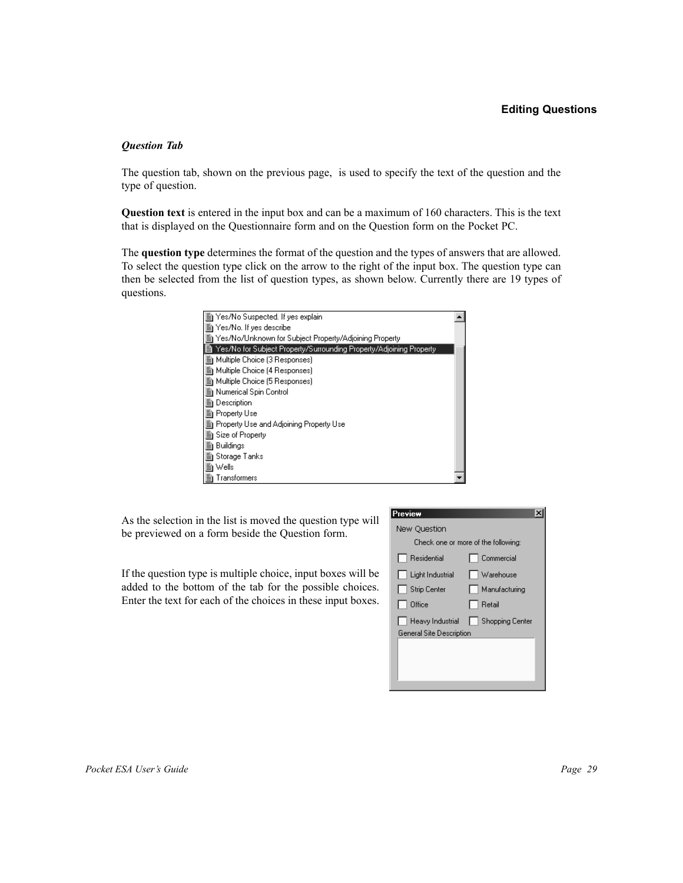### **Editing Questions**

#### *Question Tab*

The question tab, shown on the previous page, is used to specify the text of the question and the type of question.

**Question text** is entered in the input box and can be a maximum of 160 characters. This is the text that is displayed on the Questionnaire form and on the Question form on the Pocket PC.

The **question type** determines the format of the question and the types of answers that are allowed. To select the question type click on the arrow to the right of the input box. The question type can then be selected from the list of question types, as shown below. Currently there are 19 types of questions.



As the selection in the list is moved the question type will be previewed on a form beside the Question form.

If the question type is multiple choice, input boxes will be added to the bottom of the tab for the possible choices. Enter the text for each of the choices in these input boxes.

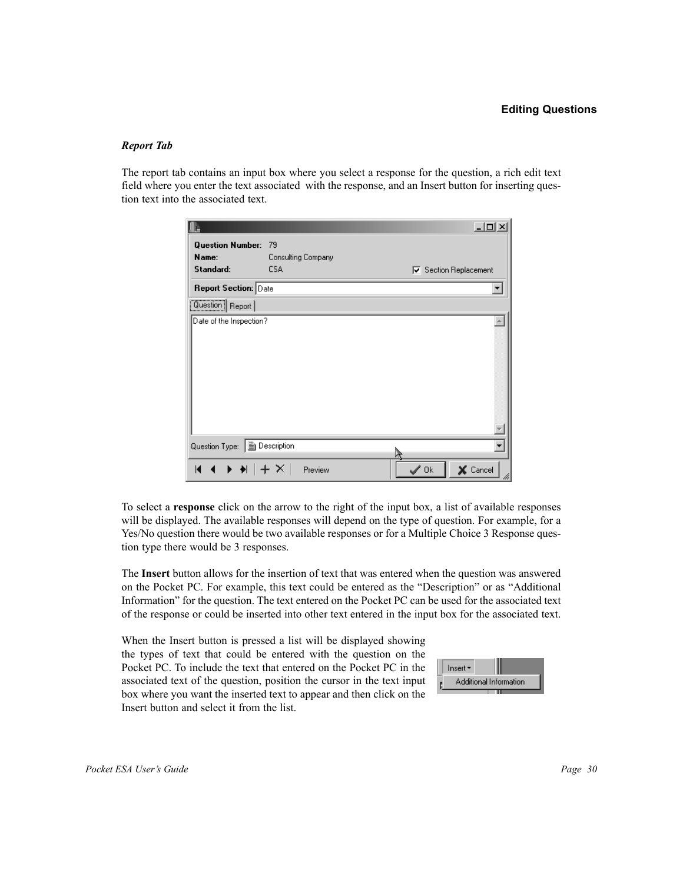#### *Report Tab*

The report tab contains an input box where you select a response for the question, a rich edit text field where you enter the text associated with the response, and an Insert button for inserting question text into the associated text.

|                                  |                          |                  | $-10 \times$                 |
|----------------------------------|--------------------------|------------------|------------------------------|
| <b>Question Number:</b><br>Name: | 79<br>Consulting Company |                  |                              |
| Standard:                        | CSA                      |                  | <b>▽</b> Section Replacement |
| <b>Report Section: Date</b>      |                          |                  |                              |
| Question Report                  |                          |                  |                              |
| Date of the Inspection?          |                          |                  |                              |
| Question Type: 图 Description     |                          | À                |                              |
| $ A \rightarrow M +X $           | Preview                  | $\mathscr{S}$ Ok | X Cancel<br>hì               |

To select a **response** click on the arrow to the right of the input box, a list of available responses will be displayed. The available responses will depend on the type of question. For example, for a Yes/No question there would be two available responses or for a Multiple Choice 3 Response question type there would be 3 responses.

The **Insert** button allows for the insertion of text that was entered when the question was answered on the Pocket PC. For example, this text could be entered as the "Description" or as "Additional Information" for the question. The text entered on the Pocket PC can be used for the associated text of the response or could be inserted into other text entered in the input box for the associated text.

When the Insert button is pressed a list will be displayed showing the types of text that could be entered with the question on the Pocket PC. To include the text that entered on the Pocket PC in the associated text of the question, position the cursor in the text input box where you want the inserted text to appear and then click on the Insert button and select it from the list.

| Insert $\star$ |                        |
|----------------|------------------------|
|                | Additional Information |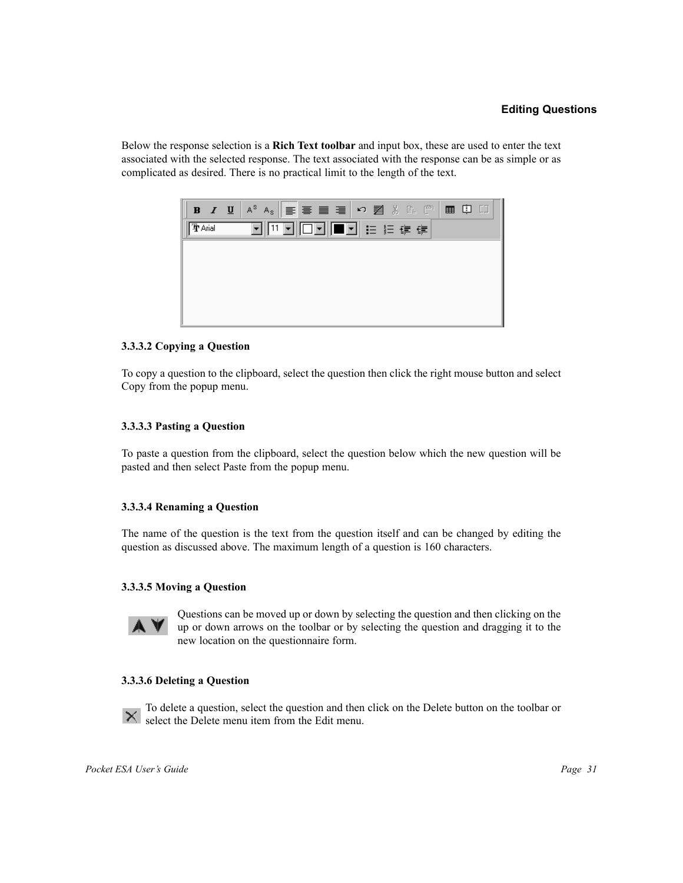Below the response selection is a **Rich Text toolbar** and input box, these are used to enter the text associated with the selected response. The text associated with the response can be as simple or as complicated as desired. There is no practical limit to the length of the text.



# **3.3.3.2 Copying a Question**

To copy a question to the clipboard, select the question then click the right mouse button and select Copy from the popup menu.

#### **3.3.3.3 Pasting a Question**

To paste a question from the clipboard, select the question below which the new question will be pasted and then select Paste from the popup menu.

#### **3.3.3.4 Renaming a Question**

The name of the question is the text from the question itself and can be changed by editing the question as discussed above. The maximum length of a question is 160 characters.

### **3.3.3.5 Moving a Question**



Questions can be moved up or down by selecting the question and then clicking on the up or down arrows on the toolbar or by selecting the question and dragging it to the new location on the questionnaire form.

#### **3.3.3.6 Deleting a Question**



To delete a question, select the question and then click on the Delete button on the toolbar or  $\mathsf{R}$  select the Delete menu item from the Edit menu.

*Pocket ESA User's Guide* Page 31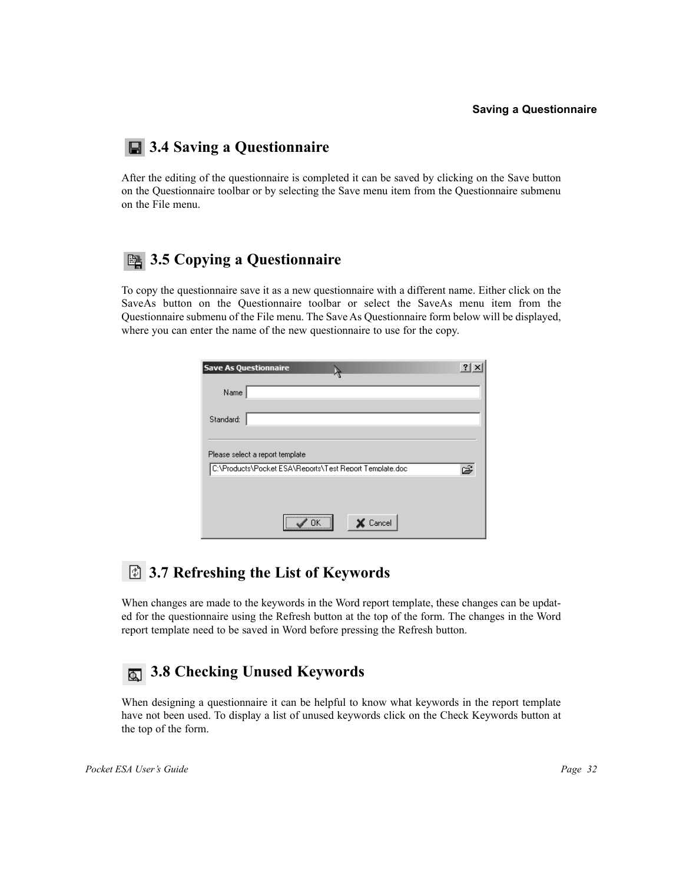#### **Saving a Questionnaire**

# $\Box$  3.4 Saving a Questionnaire

After the editing of the questionnaire is completed it can be saved by clicking on the Save button on the Questionnaire toolbar or by selecting the Save menu item from the Questionnaire submenu on the File menu.

# **<b>3.5 Copying a Questionnaire**

To copy the questionnaire save it as a new questionnaire with a different name. Either click on the SaveAs button on the Questionnaire toolbar or select the SaveAs menu item from the Questionnaire submenu of the File menu. The Save As Questionnaire form below will be displayed, where you can enter the name of the new questionnaire to use for the copy.

| <b>Save As Questionnaire</b>                            | ? |
|---------------------------------------------------------|---|
| Name                                                    |   |
| Standard:                                               |   |
| Please select a report template                         |   |
| C:\Products\Pocket ESA\Reports\Test Report Template.doc | ⊯ |
|                                                         |   |
| <br>$\times$ Cancel                                     |   |

# **3.7 Refreshing the List of Keywords**

When changes are made to the keywords in the Word report template, these changes can be updated for the questionnaire using the Refresh button at the top of the form. The changes in the Word report template need to be saved in Word before pressing the Refresh button.

# **3.8 Checking Unused Keywords**

When designing a questionnaire it can be helpful to know what keywords in the report template have not been used. To display a list of unused keywords click on the Check Keywords button at the top of the form.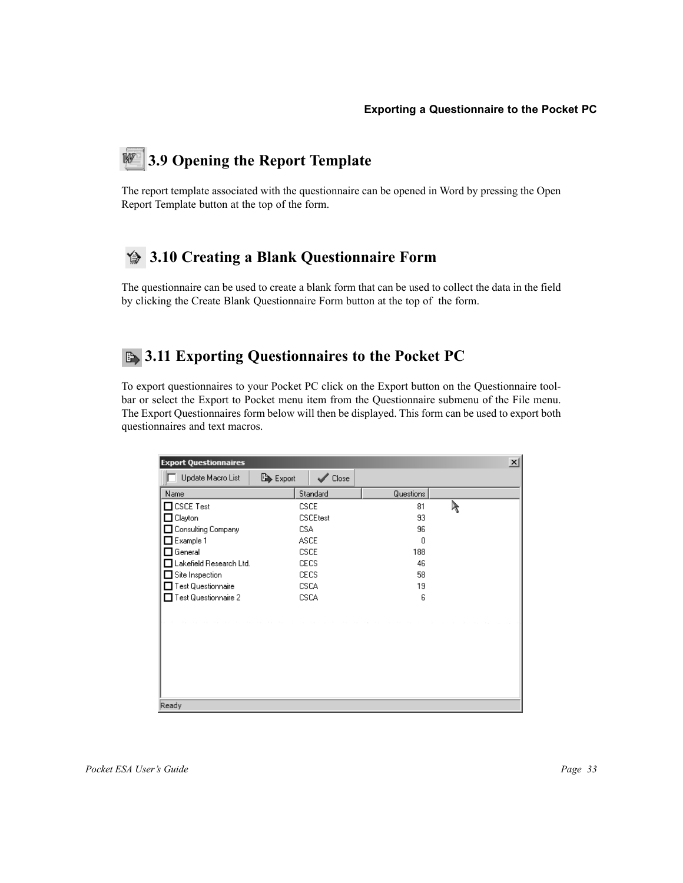#### **3.9 Opening the Report Template** W

The report template associated with the questionnaire can be opened in Word by pressing the Open Report Template button at the top of the form.

# **3.10 Creating a Blank Questionnaire Form**

The questionnaire can be used to create a blank form that can be used to collect the data in the field by clicking the Create Blank Questionnaire Form button at the top of the form.

# **B** 3.11 Exporting Questionnaires to the Pocket PC

To export questionnaires to your Pocket PC click on the Export button on the Questionnaire toolbar or select the Export to Pocket menu item from the Questionnaire submenu of the File menu. The Export Questionnaires form below will then be displayed. This form can be used to export both questionnaires and text macros.

| $\vert x \vert$<br><b>Export Questionnaires</b> |                               |           |   |  |  |
|-------------------------------------------------|-------------------------------|-----------|---|--|--|
| Update Macro List                               | Export<br>$\mathcal{S}$ Close |           |   |  |  |
| Name                                            | Standard                      | Questions |   |  |  |
| $\Box$ CSCE Test                                | <b>CSCE</b>                   | 81        | R |  |  |
| Clayton                                         | <b>CSCEtest</b>               | 93        |   |  |  |
| Consulting Company                              | CSA                           | 96        |   |  |  |
| Example 1                                       | <b>ASCE</b>                   | 0         |   |  |  |
| General                                         | <b>CSCE</b>                   | 188       |   |  |  |
| Lakefield Research Ltd.                         | <b>CECS</b>                   | 46        |   |  |  |
| Site Inspection                                 | <b>CECS</b>                   | 58        |   |  |  |
| Test Questionnaire                              | <b>CSCA</b>                   | 19        |   |  |  |
| Test Questionnaire 2                            | CSCA                          | 6         |   |  |  |
|                                                 |                               |           |   |  |  |
|                                                 |                               |           |   |  |  |
|                                                 |                               |           |   |  |  |
|                                                 |                               |           |   |  |  |
|                                                 |                               |           |   |  |  |
|                                                 |                               |           |   |  |  |
|                                                 |                               |           |   |  |  |
|                                                 |                               |           |   |  |  |
| Ready                                           |                               |           |   |  |  |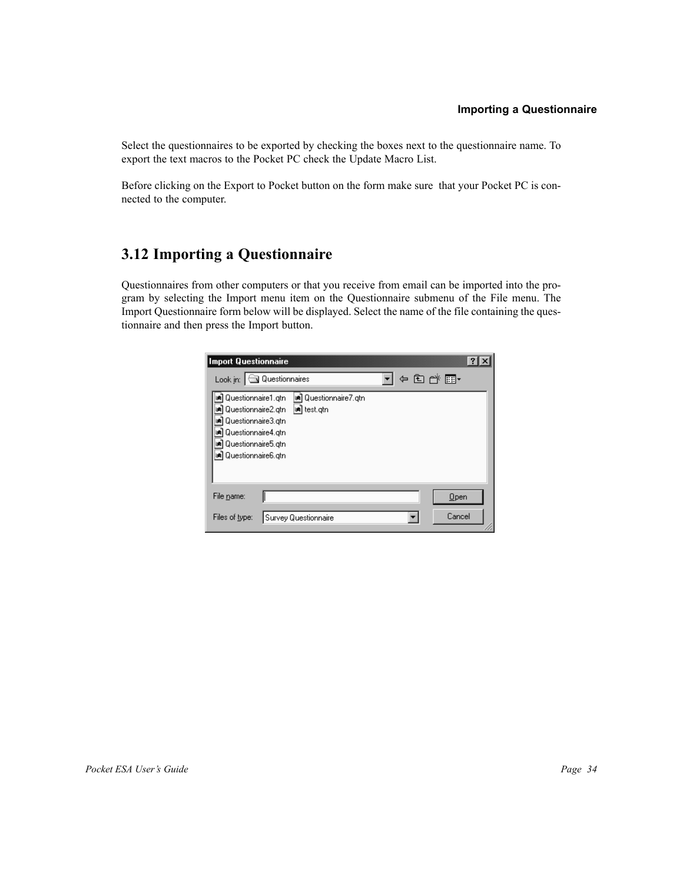# **Importing a Questionnaire**

Select the questionnaires to be exported by checking the boxes next to the questionnaire name. To export the text macros to the Pocket PC check the Update Macro List.

Before clicking on the Export to Pocket button on the form make sure that your Pocket PC is connected to the computer.

# **3.12 Importing a Questionnaire**

Questionnaires from other computers or that you receive from email can be imported into the program by selecting the Import menu item on the Questionnaire submenu of the File menu. The Import Questionnaire form below will be displayed. Select the name of the file containing the questionnaire and then press the Import button.

| Import Questionnaire                                                                                                                       |                         |                                        |  |        |  |
|--------------------------------------------------------------------------------------------------------------------------------------------|-------------------------|----------------------------------------|--|--------|--|
| Look in:                                                                                                                                   | <b>J</b> Questionnaires |                                        |  | ⊱国合国   |  |
| <b>ு)</b> Questionnaire1.gtn<br>Questionnaire2.gtn<br>Questionnaire3.gtn<br>Questionnaire4.gtn<br>Questionnaire5.gtn<br>Questionnaire6.gtn |                         | an Questionnaire7.gtn<br> æn] test.gtn |  |        |  |
| File name:                                                                                                                                 |                         |                                        |  | Open   |  |
| Files of type:                                                                                                                             |                         | Survey Questionnaire                   |  | Cancel |  |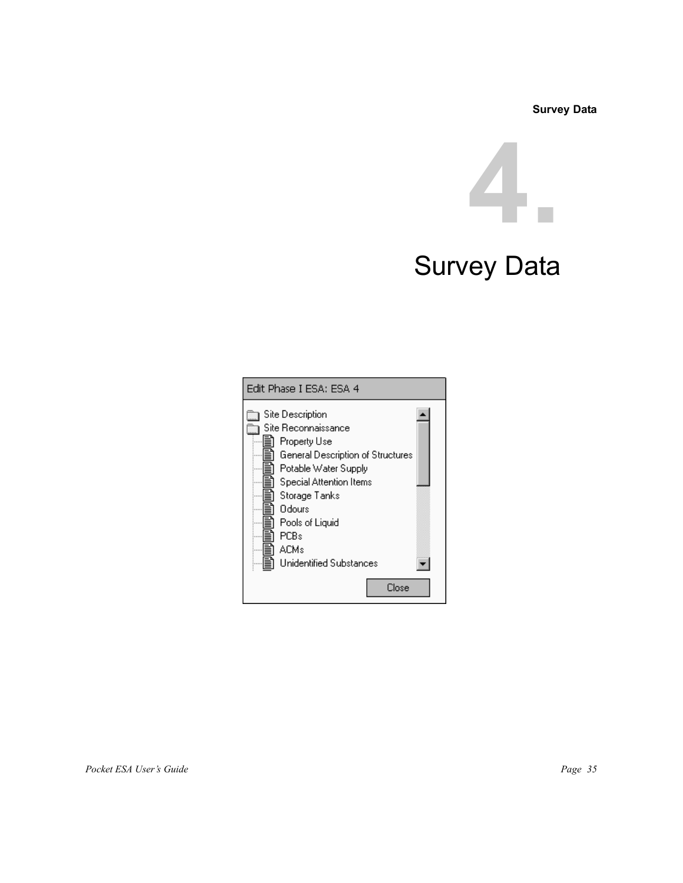**Survey Data**



# Survey Data

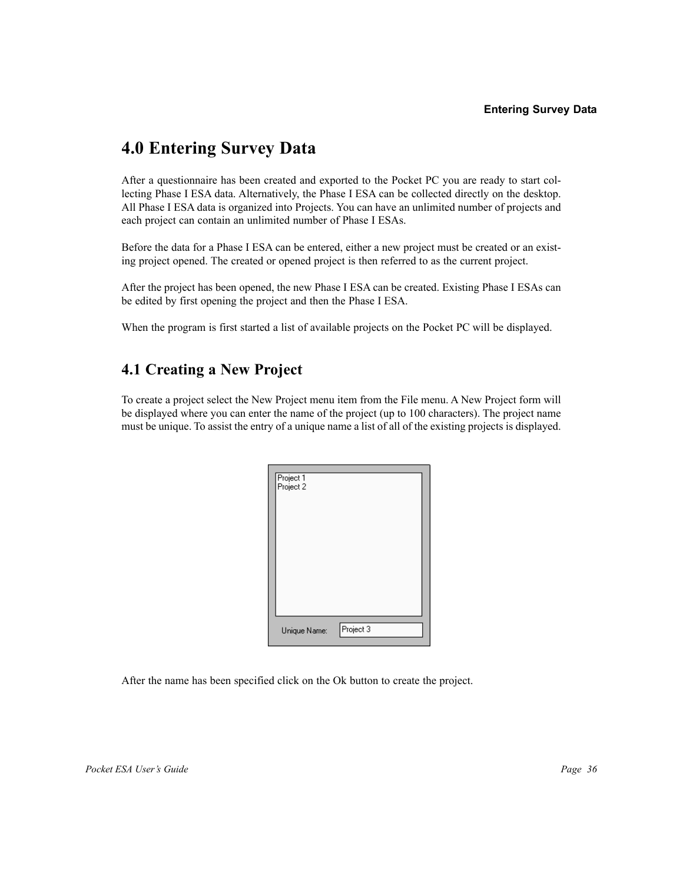# **4.0 Entering Survey Data**

After a questionnaire has been created and exported to the Pocket PC you are ready to start collecting Phase I ESA data. Alternatively, the Phase I ESA can be collected directly on the desktop. All Phase I ESA data is organized into Projects. You can have an unlimited number of projects and each project can contain an unlimited number of Phase I ESAs.

Before the data for a Phase I ESA can be entered, either a new project must be created or an existing project opened. The created or opened project is then referred to as the current project.

After the project has been opened, the new Phase I ESA can be created. Existing Phase I ESAs can be edited by first opening the project and then the Phase I ESA.

When the program is first started a list of available projects on the Pocket PC will be displayed.

# **4.1 Creating a New Project**

To create a project select the New Project menu item from the File menu. A New Project form will be displayed where you can enter the name of the project (up to 100 characters). The project name must be unique. To assist the entry of a unique name a list of all of the existing projects is displayed.

| Project 1<br>Project 2 |           |
|------------------------|-----------|
| Unique Name:           | Project 3 |

After the name has been specified click on the Ok button to create the project.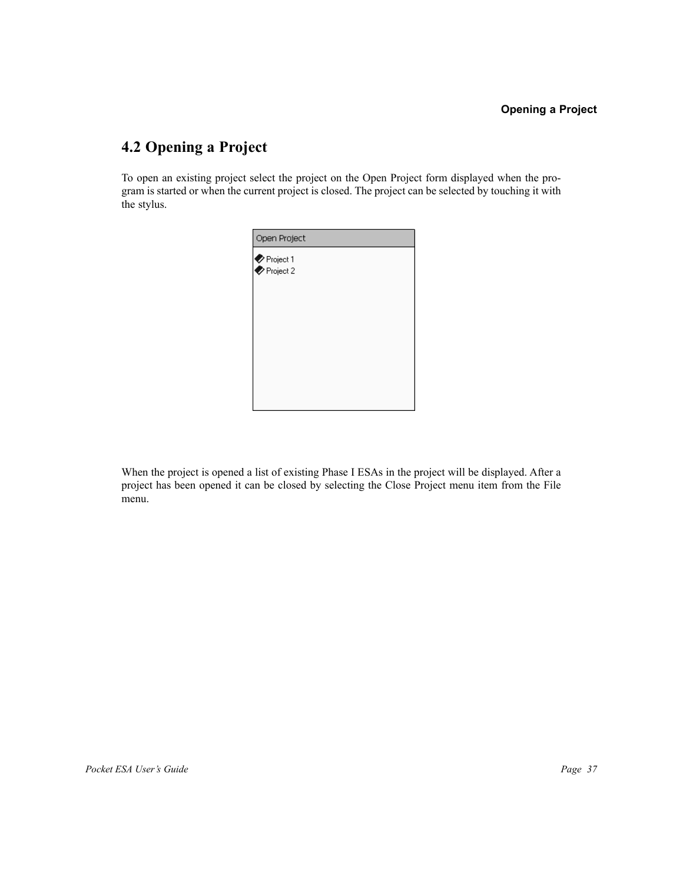### **4.2 Opening a Project**

To open an existing project select the project on the Open Project form displayed when the program is started or when the current project is closed. The project can be selected by touching it with the stylus.

| Open Project                 |  |
|------------------------------|--|
| Se Project 1<br>Se Project 2 |  |
|                              |  |

When the project is opened a list of existing Phase I ESAs in the project will be displayed. After a project has been opened it can be closed by selecting the Close Project menu item from the File menu.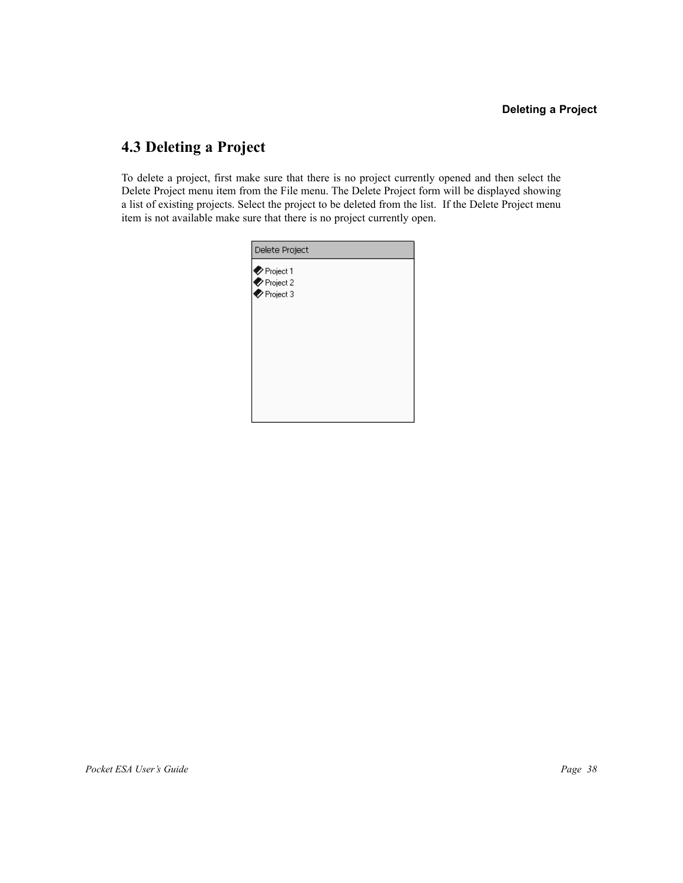### **4.3 Deleting a Project**

To delete a project, first make sure that there is no project currently opened and then select the Delete Project menu item from the File menu. The Delete Project form will be displayed showing a list of existing projects. Select the project to be deleted from the list. If the Delete Project menu item is not available make sure that there is no project currently open.

| Delete Project                                                                |  |
|-------------------------------------------------------------------------------|--|
| $\bullet$ Project 1<br>$\blacktriangleright$ Project 2<br>$\bullet$ Project 3 |  |
|                                                                               |  |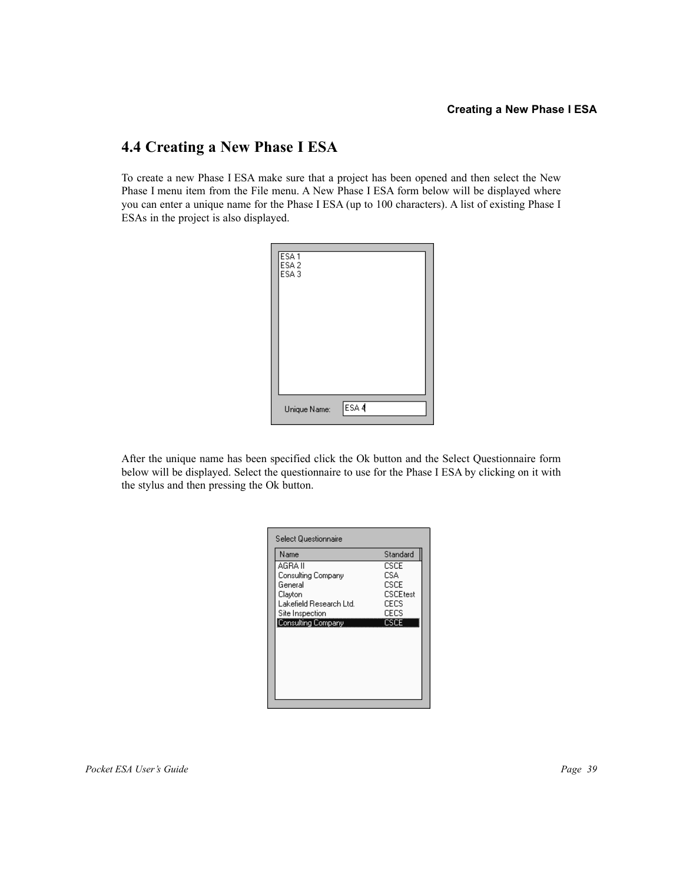### **4.4 Creating a New Phase I ESA**

To create a new Phase I ESA make sure that a project has been opened and then select the New Phase I menu item from the File menu. A New Phase I ESA form below will be displayed where you can enter a unique name for the Phase I ESA (up to 100 characters). A list of existing Phase I ESAs in the project is also displayed.



After the unique name has been specified click the Ok button and the Select Questionnaire form below will be displayed. Select the questionnaire to use for the Phase I ESA by clicking on it with the stylus and then pressing the Ok button.

| Name                    | Standard        |
|-------------------------|-----------------|
| AGRA II                 | CSCE.           |
| Consulting Company      | CSA             |
| General                 | CSCE            |
| Clayton                 | <b>CSCEtest</b> |
| Lakefield Research Ltd. | CECS            |
| Site Inspection         | CECS            |
| Consulting Company      | CSCE            |
|                         |                 |
|                         |                 |
|                         |                 |
|                         |                 |
|                         |                 |
|                         |                 |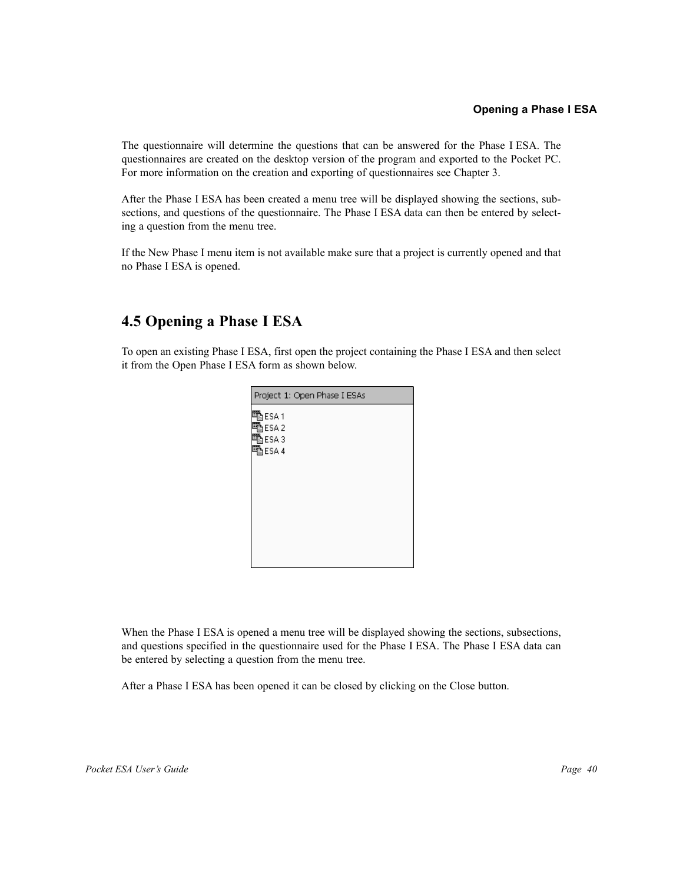The questionnaire will determine the questions that can be answered for the Phase I ESA. The questionnaires are created on the desktop version of the program and exported to the Pocket PC. For more information on the creation and exporting of questionnaires see Chapter 3.

After the Phase I ESA has been created a menu tree will be displayed showing the sections, subsections, and questions of the questionnaire. The Phase I ESA data can then be entered by selecting a question from the menu tree.

If the New Phase I menu item is not available make sure that a project is currently opened and that no Phase I ESA is opened.

### **4.5 Opening a Phase I ESA**

To open an existing Phase I ESA, first open the project containing the Phase I ESA and then select it from the Open Phase I ESA form as shown below.

| Project 1: Open Phase I ESAs |
|------------------------------|
| 马ESA1                        |
| ∄ESA2                        |
| 電ESA3                        |
| 電ESA 4                       |
|                              |
|                              |
|                              |
|                              |
|                              |
|                              |
|                              |
|                              |
|                              |

When the Phase I ESA is opened a menu tree will be displayed showing the sections, subsections, and questions specified in the questionnaire used for the Phase I ESA. The Phase I ESA data can be entered by selecting a question from the menu tree.

After a Phase I ESA has been opened it can be closed by clicking on the Close button.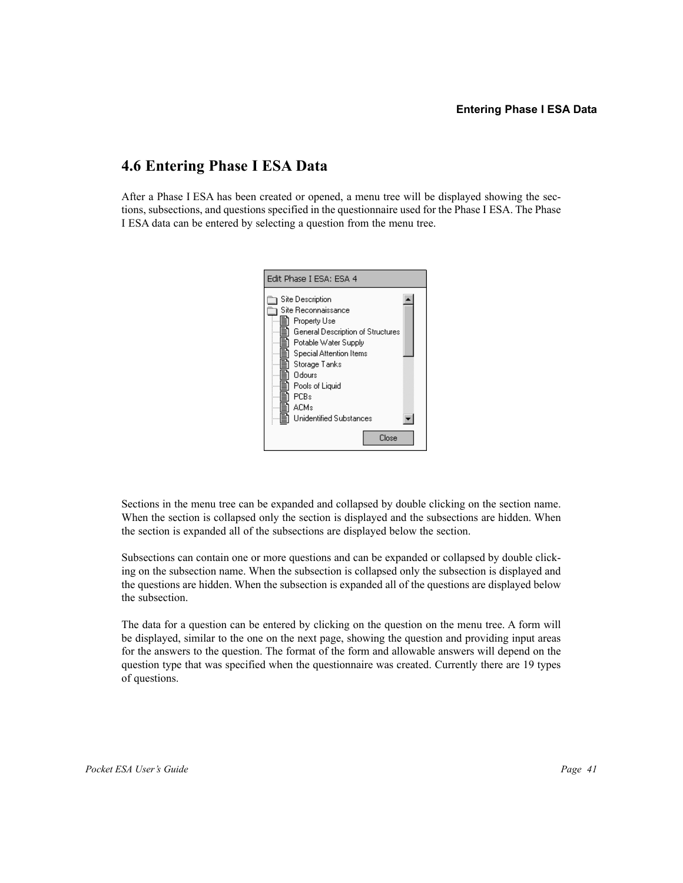### **4.6 Entering Phase I ESA Data**

After a Phase I ESA has been created or opened, a menu tree will be displayed showing the sections, subsections, and questions specified in the questionnaire used for the Phase I ESA. The Phase I ESA data can be entered by selecting a question from the menu tree.



Sections in the menu tree can be expanded and collapsed by double clicking on the section name. When the section is collapsed only the section is displayed and the subsections are hidden. When the section is expanded all of the subsections are displayed below the section.

Subsections can contain one or more questions and can be expanded or collapsed by double clicking on the subsection name. When the subsection is collapsed only the subsection is displayed and the questions are hidden. When the subsection is expanded all of the questions are displayed below the subsection.

The data for a question can be entered by clicking on the question on the menu tree. A form will be displayed, similar to the one on the next page, showing the question and providing input areas for the answers to the question. The format of the form and allowable answers will depend on the question type that was specified when the questionnaire was created. Currently there are 19 types of questions.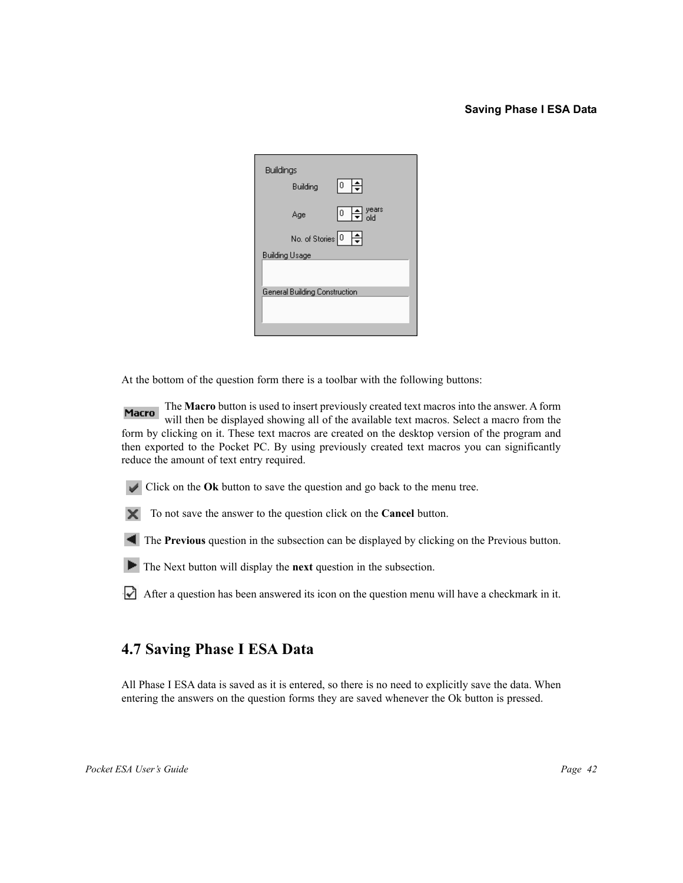### **Saving Phase I ESA Data**

| <b>Buildings</b><br>اڳ<br>10 I<br>Building |
|--------------------------------------------|
| years<br>old<br> ○  ≑ <br>Age              |
| No. of Stories $\boxed{0}$                 |
| <b>Building Usage</b>                      |
|                                            |
| General Building Construction              |
|                                            |
|                                            |
|                                            |

At the bottom of the question form there is a toolbar with the following buttons:

**Macro** The **Macro** button is used to insert previously created text macros into the answer. A form will then be displayed showing all of the available text macros. Select a macro from the form by clicking on it. These text macros are created on the desktop version of the program and then exported to the Pocket PC. By using previously created text macros you can significantly reduce the amount of text entry required.

Click on the **Ok** button to save the question and go back to the menu tree.

To not save the answer to the question click on the **Cancel** button.

The **Previous** question in the subsection can be displayed by clicking on the Previous button.

The Next button will display the **next** question in the subsection.

After a question has been answered its icon on the question menu will have a checkmark in it.

### **4.7 Saving Phase I ESA Data**

All Phase I ESA data is saved as it is entered, so there is no need to explicitly save the data. When entering the answers on the question forms they are saved whenever the Ok button is pressed.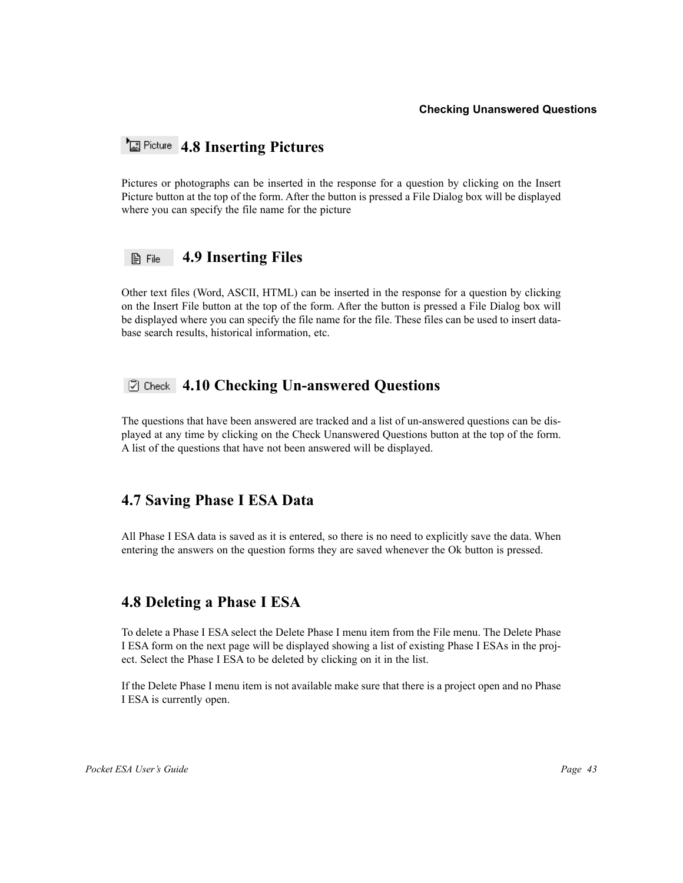### *Ficture* 4.8 Inserting Pictures

Pictures or photographs can be inserted in the response for a question by clicking on the Insert Picture button at the top of the form. After the button is pressed a File Dialog box will be displayed where you can specify the file name for the picture

#### **4.9 Inserting Files** 图 File

Other text files (Word, ASCII, HTML) can be inserted in the response for a question by clicking on the Insert File button at the top of the form. After the button is pressed a File Dialog box will be displayed where you can specify the file name for the file. These files can be used to insert database search results, historical information, etc.

### **4.10 Checking Un-answered Questions**

The questions that have been answered are tracked and a list of un-answered questions can be displayed at any time by clicking on the Check Unanswered Questions button at the top of the form. A list of the questions that have not been answered will be displayed.

### **4.7 Saving Phase I ESA Data**

All Phase I ESA data is saved as it is entered, so there is no need to explicitly save the data. When entering the answers on the question forms they are saved whenever the Ok button is pressed.

### **4.8 Deleting a Phase I ESA**

To delete a Phase I ESA select the Delete Phase I menu item from the File menu. The Delete Phase I ESA form on the next page will be displayed showing a list of existing Phase I ESAs in the project. Select the Phase I ESA to be deleted by clicking on it in the list.

If the Delete Phase I menu item is not available make sure that there is a project open and no Phase I ESA is currently open.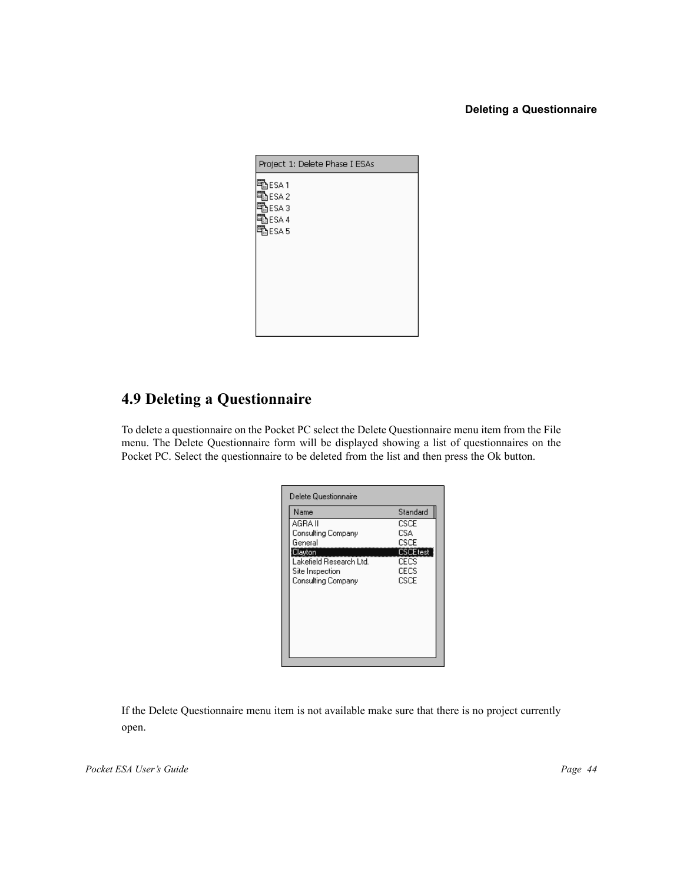### **Deleting a Questionnaire**



### **4.9 Deleting a Questionnaire**

To delete a questionnaire on the Pocket PC select the Delete Questionnaire menu item from the File menu. The Delete Questionnaire form will be displayed showing a list of questionnaires on the Pocket PC. Select the questionnaire to be deleted from the list and then press the Ok button.

| Standard        |
|-----------------|
|                 |
| <b>CSCE</b>     |
|                 |
| CSCE            |
| <b>CSCEtest</b> |
| CECS            |
| CECS            |
| CSCE            |
|                 |
|                 |
|                 |
|                 |
|                 |
|                 |
|                 |
|                 |

If the Delete Questionnaire menu item is not available make sure that there is no project currently open.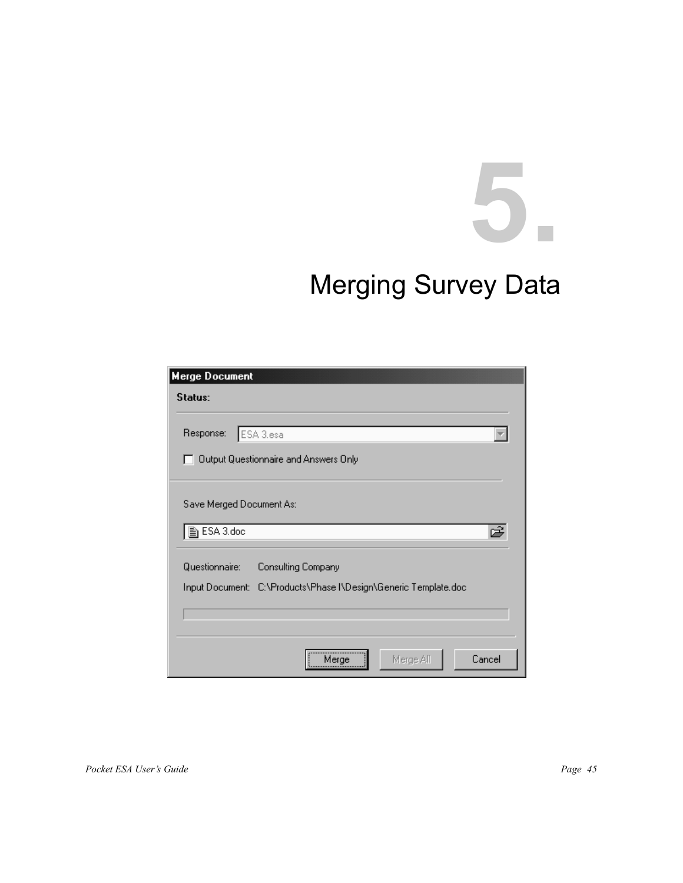# **5.** Merging Survey Data

| <b>Merge Document</b>                                                                                   |
|---------------------------------------------------------------------------------------------------------|
| Status:                                                                                                 |
| Response:<br>ESA 3.esa<br>Output Questionnaire and Answers Only                                         |
| Save Merged Document As:<br>h ESA 3.doc<br>œ                                                            |
| Questionnaire:<br>Consulting Company<br>Input Document: C:\Products\Phase I\Design\Generic Template.doc |
|                                                                                                         |
| Cancel<br>Merge All<br>Merge                                                                            |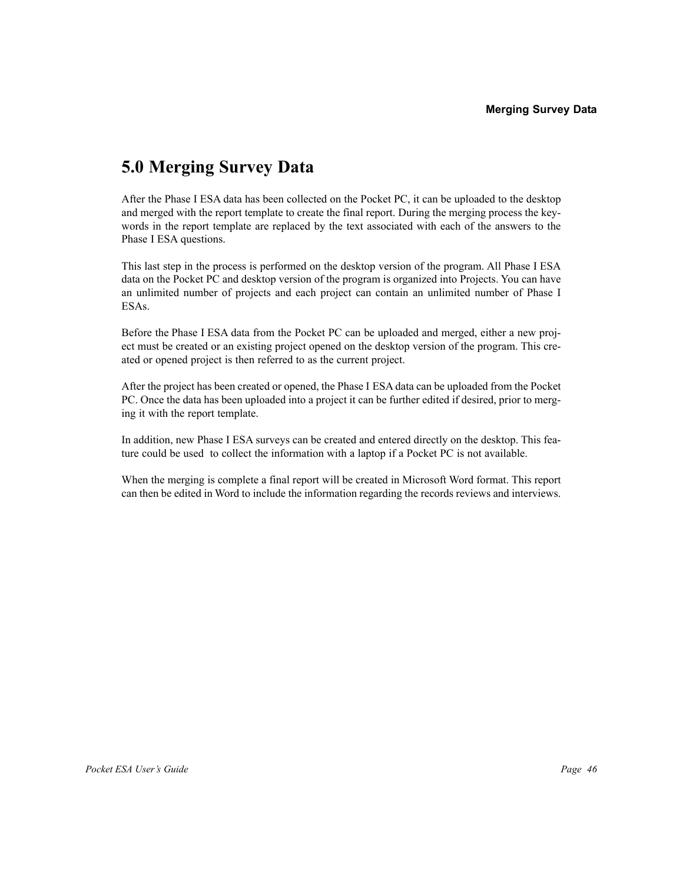### **5.0 Merging Survey Data**

After the Phase I ESA data has been collected on the Pocket PC, it can be uploaded to the desktop and merged with the report template to create the final report. During the merging process the keywords in the report template are replaced by the text associated with each of the answers to the Phase I ESA questions.

This last step in the process is performed on the desktop version of the program. All Phase I ESA data on the Pocket PC and desktop version of the program is organized into Projects. You can have an unlimited number of projects and each project can contain an unlimited number of Phase I ESAs.

Before the Phase I ESA data from the Pocket PC can be uploaded and merged, either a new project must be created or an existing project opened on the desktop version of the program. This created or opened project is then referred to as the current project.

After the project has been created or opened, the Phase I ESA data can be uploaded from the Pocket PC. Once the data has been uploaded into a project it can be further edited if desired, prior to merging it with the report template.

In addition, new Phase I ESA surveys can be created and entered directly on the desktop. This feature could be used to collect the information with a laptop if a Pocket PC is not available.

When the merging is complete a final report will be created in Microsoft Word format. This report can then be edited in Word to include the information regarding the records reviews and interviews.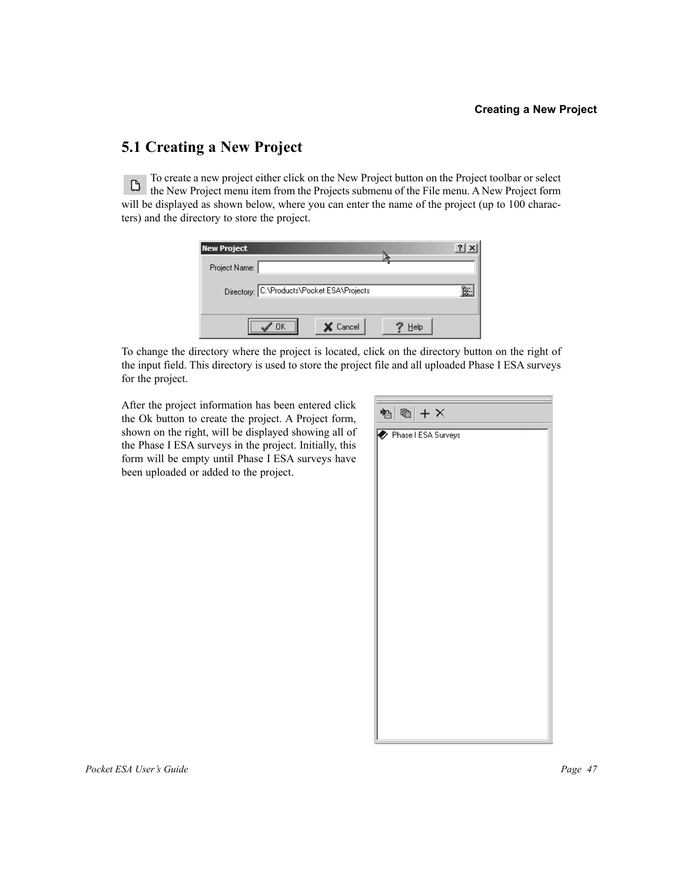### **5.1 Creating a New Project**

To create a new project either click on the New Project button on the Project toolbar or select To create a new project entired client of the Trojects submenu of the File menu. A New Project form<br>the New Project menu item from the Projects submenu of the File menu. A New Project form will be displayed as shown below, where you can enter the name of the project (up to 100 characters) and the directory to store the project.

| <b>New Project</b>                         |      |    |
|--------------------------------------------|------|----|
| Project Name:                              |      |    |
| Directory: C:\Products\Pocket ESA\Projects |      | Ŕ. |
| <br>X Cancel                               | Help |    |

To change the directory where the project is located, click on the directory button on the right of the input field. This directory is used to store the project file and all uploaded Phase I ESA surveys for the project.

After the project information has been entered click the Ok button to create the project. A Project form, shown on the right, will be displayed showing all of the Phase I ESA surveys in the project. Initially, this form will be empty until Phase I ESA surveys have been uploaded or added to the project.

| 個 $ \mathbf{m}  + \mathsf{X}$ |
|-------------------------------|
| Phase I ESA Surveys           |
|                               |
|                               |
|                               |
|                               |
|                               |
|                               |
|                               |
|                               |
|                               |
|                               |
|                               |
|                               |
|                               |
|                               |
|                               |
|                               |
|                               |
|                               |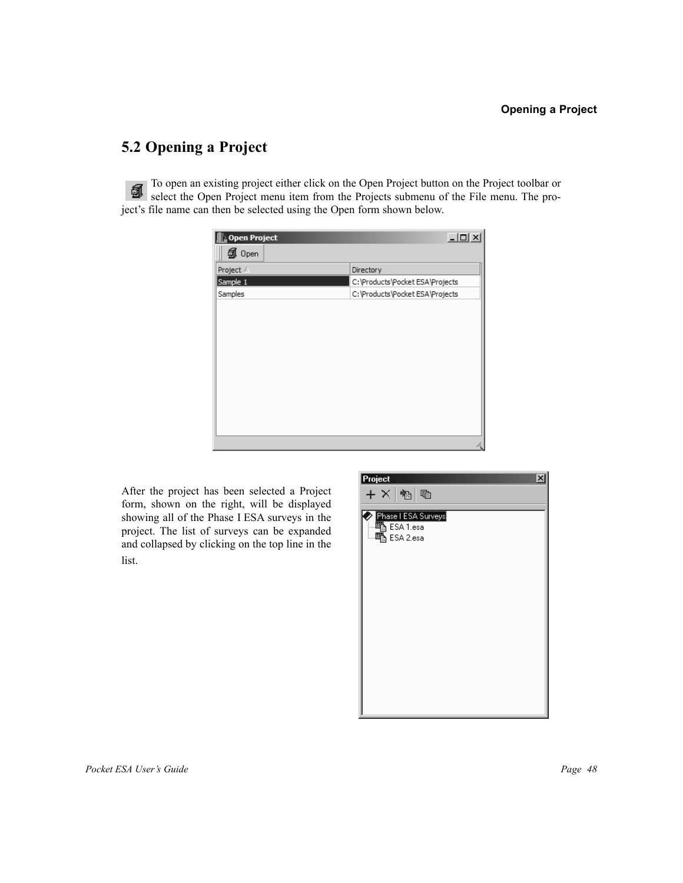### **5.2 Opening a Project**

To open an existing project either click on the Open Project button on the Project toolbar or 氤 select the Open Project menu item from the Projects submenu of the File menu. The project's file name can then be selected using the Open form shown below.

| open Project | $-10x$                          |
|--------------|---------------------------------|
| 创 Open       |                                 |
| Project /    | Directory                       |
| Sample 1     | C:\Products\Pocket ESA\Projects |
| Samples      | C:\Products\Pocket ESA\Projects |
|              |                                 |
|              |                                 |
|              |                                 |
|              |                                 |
|              |                                 |
|              |                                 |
|              |                                 |
|              |                                 |
|              |                                 |
|              | h                               |
|              |                                 |

After the project has been selected a Project form, shown on the right, will be displayed showing all of the Phase I ESA surveys in the project. The list of surveys can be expanded and collapsed by clicking on the top line in the list.

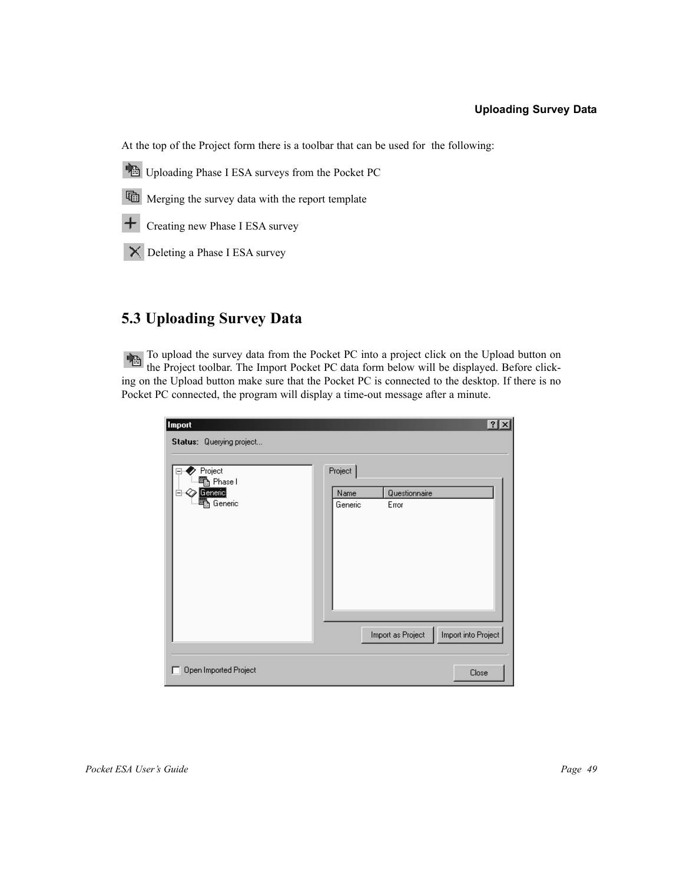### **Uploading Survey Data**

At the top of the Project form there is a toolbar that can be used for the following:

Uploading Phase I ESA surveys from the Pocket PC



**The Merging the survey data with the report template** 

Creating new Phase I ESA survey

Deleting a Phase I ESA survey

### **5.3 Uploading Survey Data**

To upload the survey data from the Pocket PC into a project click on the Upload button on the Project toolbar. The Import Pocket PC data form below will be displayed. Before clicking on the Upload button make sure that the Pocket PC is connected to the desktop. If there is no Pocket PC connected, the program will display a time-out message after a minute.

| <b>Import</b>                                                                                  |                                         |                        | $\overline{? X }$   |
|------------------------------------------------------------------------------------------------|-----------------------------------------|------------------------|---------------------|
| Status: Querying project<br>Project<br>電 Phase I<br>$\oslash$ Generic<br>╒<br><b>电 Generic</b> | Project <sup>1</sup><br>Name<br>Generic | Questionnaire<br>Error |                     |
|                                                                                                |                                         | Import as Project      | Import into Project |
| Open Imported Project<br>П                                                                     |                                         |                        | Close               |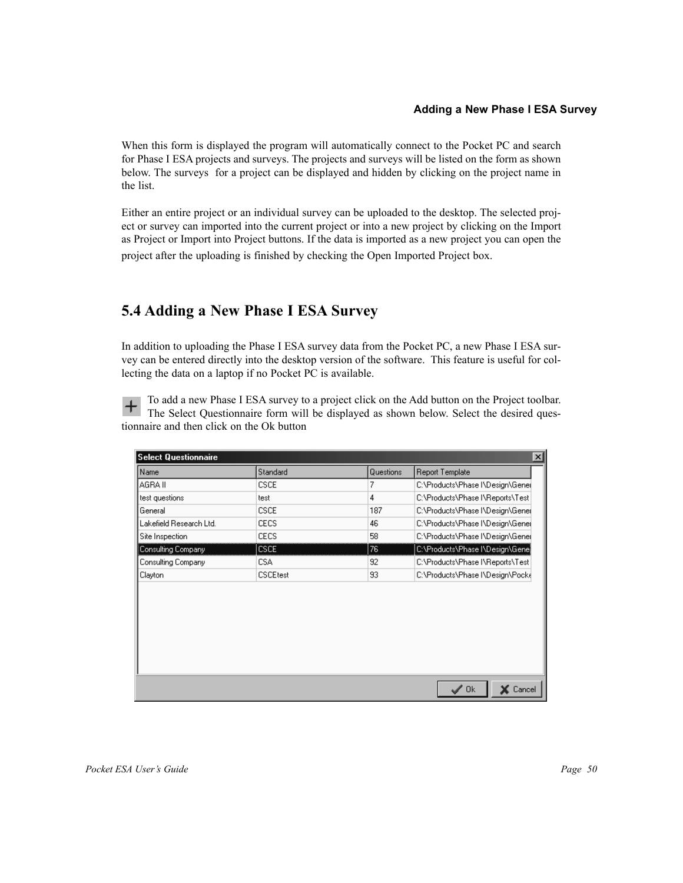### **Adding a New Phase I ESA Survey**

When this form is displayed the program will automatically connect to the Pocket PC and search for Phase I ESA projects and surveys. The projects and surveys will be listed on the form as shown below. The surveys for a project can be displayed and hidden by clicking on the project name in the list.

Either an entire project or an individual survey can be uploaded to the desktop. The selected project or survey can imported into the current project or into a new project by clicking on the Import as Project or Import into Project buttons. If the data is imported as a new project you can open the project after the uploading is finished by checking the Open Imported Project box.

### **5.4 Adding a New Phase I ESA Survey**

In addition to uploading the Phase I ESA survey data from the Pocket PC, a new Phase I ESA survey can be entered directly into the desktop version of the software. This feature is useful for collecting the data on a laptop if no Pocket PC is available.

To add a new Phase I ESA survey to a project click on the Add button on the Project toolbar. The Select Questionnaire form will be displayed as shown below. Select the desired questionnaire and then click on the Ok button

| <b>Select Questionnaire</b><br>× |                 |           |                                  |
|----------------------------------|-----------------|-----------|----------------------------------|
| Name                             | Standard        | Questions | <b>Report Template</b>           |
| AGRA II                          | <b>CSCE</b>     | 7         | C:\Products\Phase I\Design\Genel |
| test questions                   | test            | 4         | C:\Products\Phase I\Reports\Test |
| General                          | <b>CSCE</b>     | 187       | C:\Products\Phase I\Design\Gene  |
| Lakefield Research Ltd.          | <b>CECS</b>     | 46        | C:\Products\Phase I\Design\Gene  |
| Site Inspection                  | <b>CECS</b>     | 58        | C:\Products\Phase I\Design\Gene( |
| Consulting Company               | <b>CSCE</b>     | 76        | C:\Products\Phase I\Design\Gene  |
| Consulting Company               | <b>CSA</b>      | 92        | C:\Products\Phase I\Reports\Test |
| Clayton                          | <b>CSCEtest</b> | 93        | C:\Products\Phase I\Design\Pock{ |
|                                  |                 |           |                                  |
|                                  |                 |           | $\mathscr{S}$ Ok<br>Cancel       |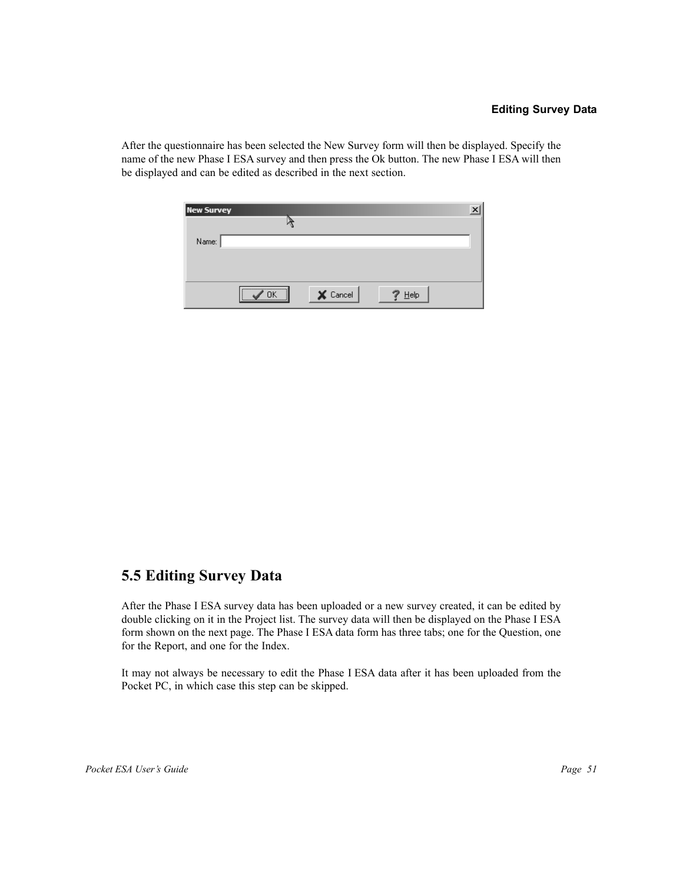After the questionnaire has been selected the New Survey form will then be displayed. Specify the name of the new Phase I ESA survey and then press the Ok button. The new Phase I ESA will then be displayed and can be edited as described in the next section.

| New Survey |                     |         |  |
|------------|---------------------|---------|--|
|            |                     |         |  |
| Name:      |                     |         |  |
|            |                     |         |  |
|            |                     |         |  |
|            | <br>$\times$ Cancel | $He$ lp |  |

### **5.5 Editing Survey Data**

After the Phase I ESA survey data has been uploaded or a new survey created, it can be edited by double clicking on it in the Project list. The survey data will then be displayed on the Phase I ESA form shown on the next page. The Phase I ESA data form has three tabs; one for the Question, one for the Report, and one for the Index.

It may not always be necessary to edit the Phase I ESA data after it has been uploaded from the Pocket PC, in which case this step can be skipped.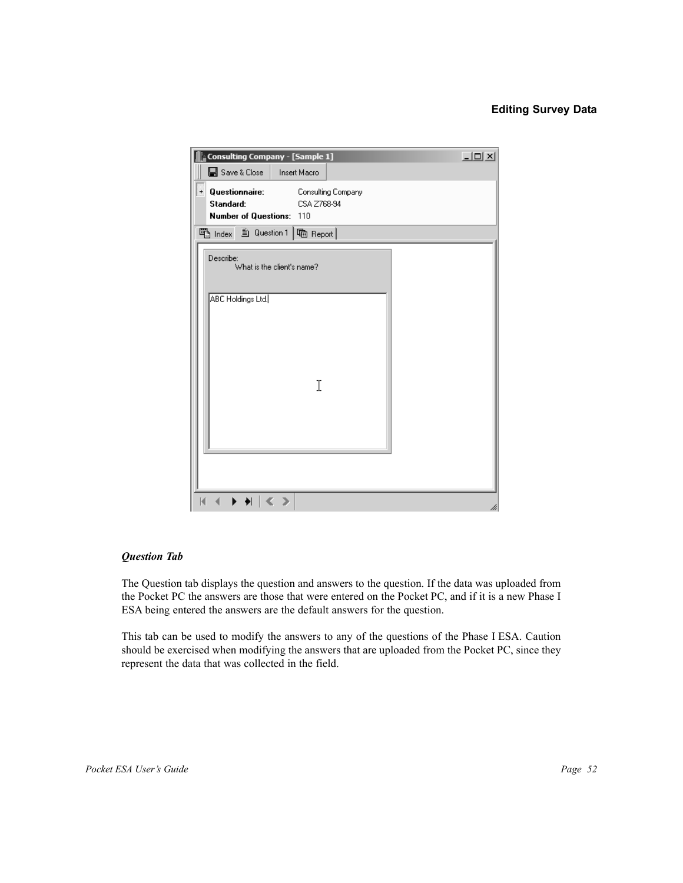### **Editing Survey Data**

| Consulting Company - [Sample 1]                                                                               | $\Box$ |
|---------------------------------------------------------------------------------------------------------------|--------|
| ■ Save & Close<br>Insert Macro                                                                                |        |
| Questionnaire:<br>Consulting Company<br>$+$<br>Standard:<br>CSA Z768-94<br><b>Number of Questions:</b><br>110 |        |
| <b>ပြ</b> Index 自 Question 1  <br>heport                                                                      |        |
| Describe:<br>What is the client's name?                                                                       |        |
| ABC Holdings Ltd.<br>I                                                                                        |        |
| Ø                                                                                                             | h      |

### *Question Tab*

The Question tab displays the question and answers to the question. If the data was uploaded from the Pocket PC the answers are those that were entered on the Pocket PC, and if it is a new Phase I ESA being entered the answers are the default answers for the question.

This tab can be used to modify the answers to any of the questions of the Phase I ESA. Caution should be exercised when modifying the answers that are uploaded from the Pocket PC, since they represent the data that was collected in the field.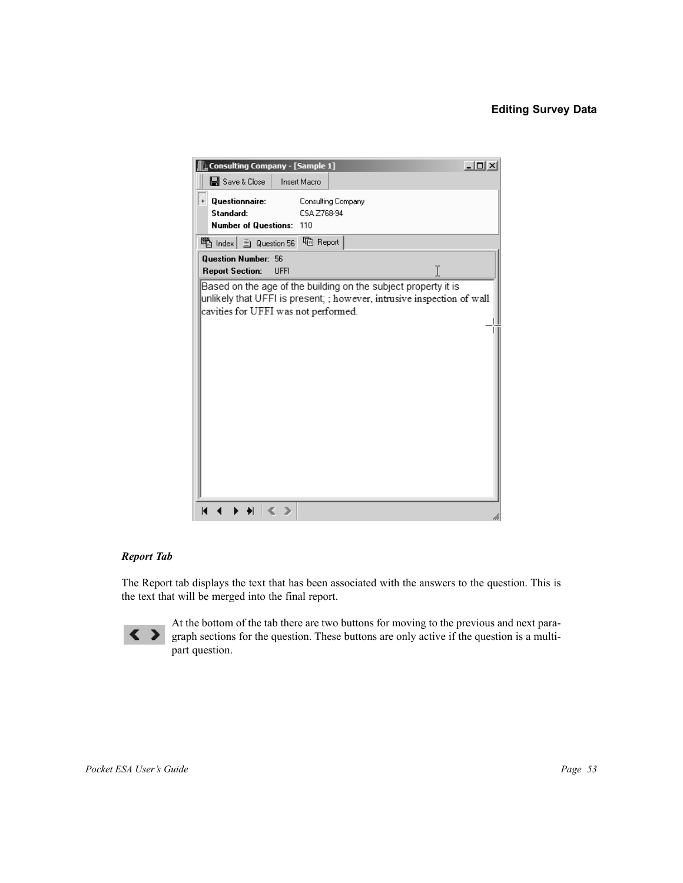### **Editing Survey Data**



### *Report Tab*

The Report tab displays the text that has been associated with the answers to the question. This is the text that will be merged into the final report.



At the bottom of the tab there are two buttons for moving to the previous and next paragraph sections for the question. These buttons are only active if the question is a multipart question.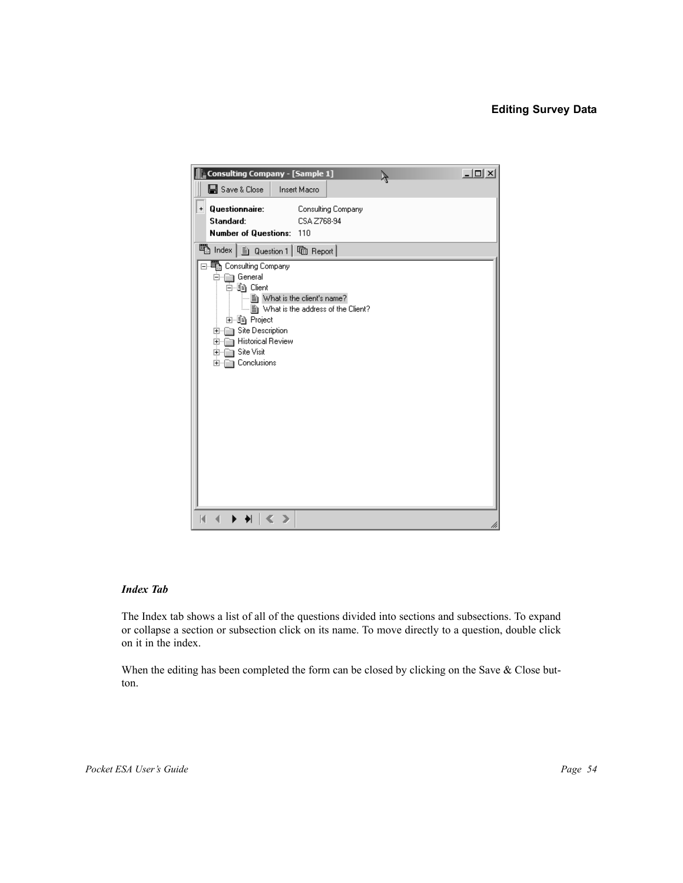### **Editing Survey Data**



### *Index Tab*

The Index tab shows a list of all of the questions divided into sections and subsections. To expand or collapse a section or subsection click on its name. To move directly to a question, double click on it in the index.

When the editing has been completed the form can be closed by clicking on the Save & Close button.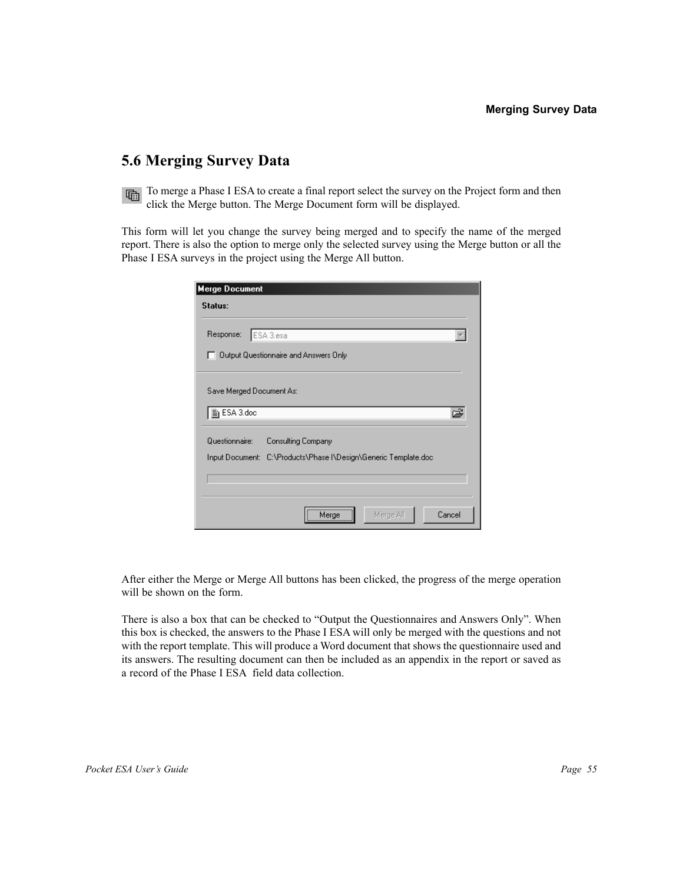### **5.6 Merging Survey Data**

To merge a Phase I ESA to create a final report select the survey on the Project form and then click the Merge button. The Merge Document form will be displayed.

This form will let you change the survey being merged and to specify the name of the merged report. There is also the option to merge only the selected survey using the Merge button or all the Phase I ESA surveys in the project using the Merge All button.

| <b>Merge Document</b>                                           |
|-----------------------------------------------------------------|
| Status:                                                         |
|                                                                 |
| ESA 3.esa<br>Response:                                          |
| Output Questionnaire and Answers Only                           |
|                                                                 |
| Save Merged Document As:                                        |
| he ESA 3.doc                                                    |
|                                                                 |
| Questionnaire:<br>Consulting Company                            |
| Input Document: C:\Products\Phase I\Design\Generic Template.doc |
|                                                                 |
|                                                                 |
| Cancel<br>Merge All<br>Merge                                    |

After either the Merge or Merge All buttons has been clicked, the progress of the merge operation will be shown on the form.

There is also a box that can be checked to "Output the Questionnaires and Answers Only". When this box is checked, the answers to the Phase I ESA will only be merged with the questions and not with the report template. This will produce a Word document that shows the questionnaire used and its answers. The resulting document can then be included as an appendix in the report or saved as a record of the Phase I ESA field data collection.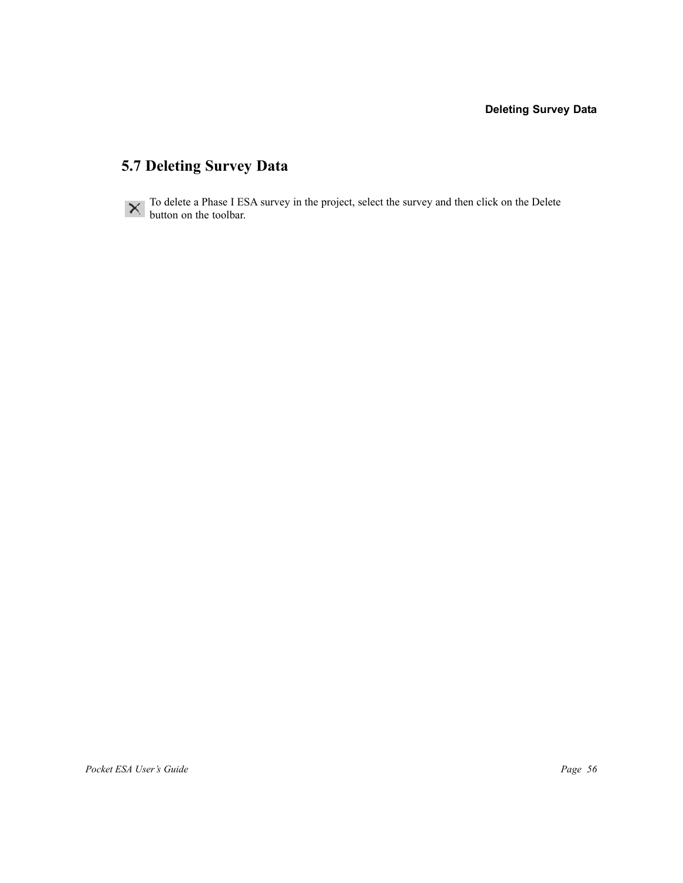### **5.7 Deleting Survey Data**



To delete a Phase I ESA survey in the project, select the survey and then click on the Delete button on the toolbar.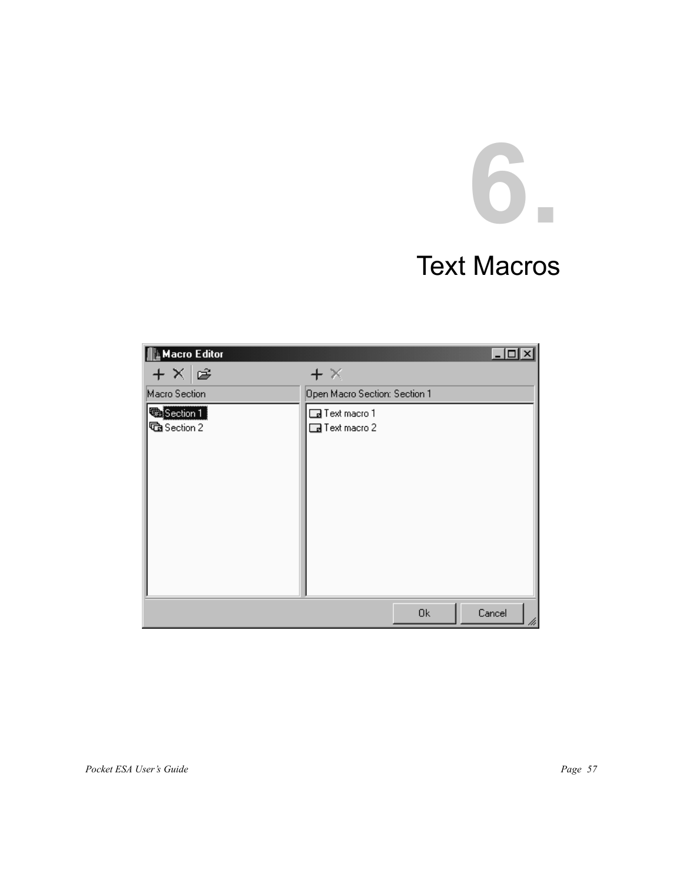# **6.**

### Text Macros

| <b>Nacro Editor</b>       |                                                |    | 1 . J 0      |
|---------------------------|------------------------------------------------|----|--------------|
| $+ \times \mathbf{r}$     | $+ \times$                                     |    |              |
| Macro Section             | Open Macro Section: Section 1                  |    |              |
| Section 1<br>Ga Section 2 | <b>B</b> Text macro 1<br><b>B</b> Text macro 2 |    |              |
|                           |                                                | 0k | Cancel<br>hi |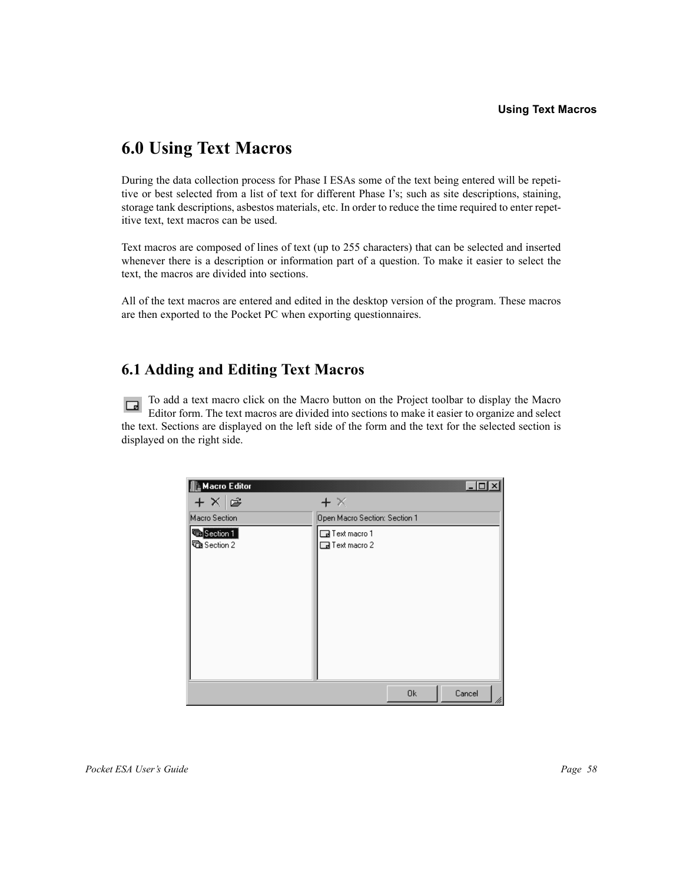### **6.0 Using Text Macros**

During the data collection process for Phase I ESAs some of the text being entered will be repetitive or best selected from a list of text for different Phase I's; such as site descriptions, staining, storage tank descriptions, asbestos materials, etc. In order to reduce the time required to enter repetitive text, text macros can be used.

Text macros are composed of lines of text (up to 255 characters) that can be selected and inserted whenever there is a description or information part of a question. To make it easier to select the text, the macros are divided into sections.

All of the text macros are entered and edited in the desktop version of the program. These macros are then exported to the Pocket PC when exporting questionnaires.

### **6.1 Adding and Editing Text Macros**

To add a text macro click on the Macro button on the Project toolbar to display the Macro  $\Box$ Editor form. The text macros are divided into sections to make it easier to organize and select the text. Sections are displayed on the left side of the form and the text for the selected section is displayed on the right side.

| <b>Macro Editor</b>              |                                                |    |              |
|----------------------------------|------------------------------------------------|----|--------------|
| $+ \times \approx$               | $+ \times$                                     |    |              |
| Macro Section                    | Open Macro Section: Section 1                  |    |              |
| <b>Section 1</b><br>Ga Section 2 | <b>B</b> Text macro 1<br><b>B</b> Text macro 2 |    |              |
|                                  |                                                |    |              |
|                                  |                                                | 0k | Cancel<br>hì |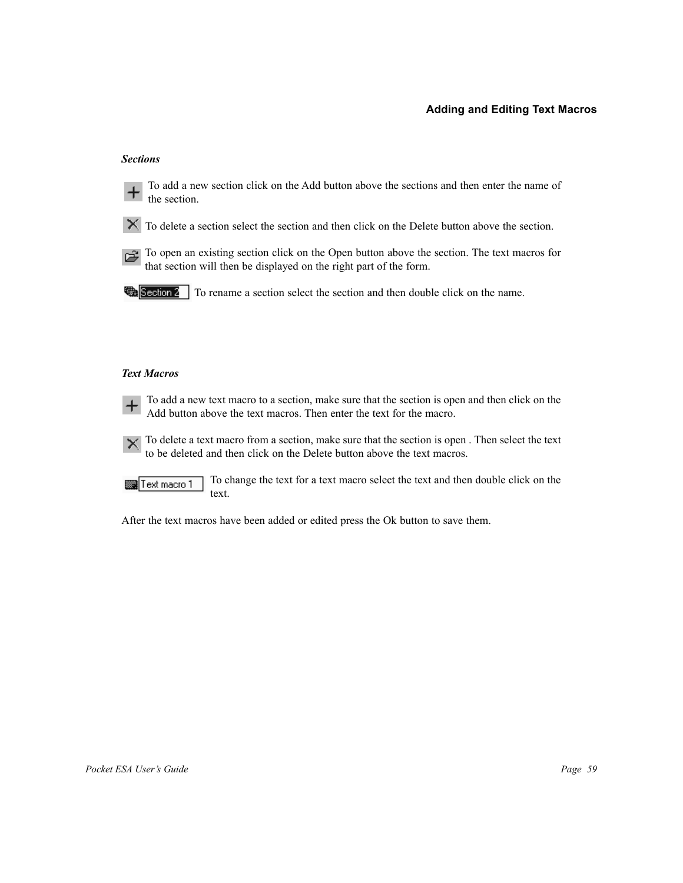### **Adding and Editing Text Macros**

### *Sections*



To add a new section click on the Add button above the sections and then enter the name of the section.

- $\mathbf{\times}$  To delete a section select the section and then click on the Delete button above the section.
- To open an existing section click on the Open button above the section. The text macros for that section will then be displayed on the right part of the form.

**The Section 2** To rename a section select the section and then double click on the name.

### *Text Macros*

To add a new text macro to a section, make sure that the section is open and then click on the Add button above the text macros. Then enter the text for the macro.

 $\mathsf{X}$  To delete a text macro from a section, make sure that the section is open . Then select the text to be deleted and then click on the Delete button above the text macros.

To change the text for a text macro select the text and then double click on the Text macro 1 text.

After the text macros have been added or edited press the Ok button to save them.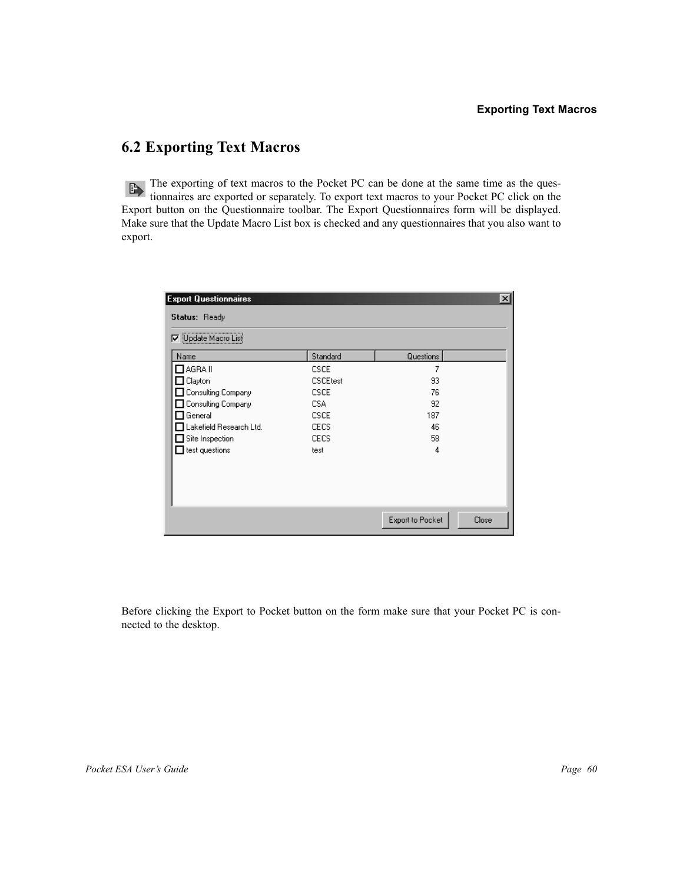### **6.2 Exporting Text Macros**

The exporting of text macros to the Pocket PC can be done at the same time as the questionnaires are exported or separately. To export text macros to your Pocket PC click on the Export button on the Questionnaire toolbar. The Export Questionnaires form will be displayed. Make sure that the Update Macro List box is checked and any questionnaires that you also want to export.

| Update Macro List<br>罓  |                 |           |  |
|-------------------------|-----------------|-----------|--|
| Name                    | Standard        | Questions |  |
| $\Box$ AGRA II          | <b>CSCE</b>     | 7         |  |
| Clayton                 | <b>CSCEtest</b> | 93        |  |
| Consulting Company      | <b>CSCE</b>     | 76        |  |
| Consulting Company      | CSA             | 92        |  |
| General                 | <b>CSCE</b>     | 187       |  |
| Lakefield Research Ltd. | <b>CECS</b>     | 46        |  |
| Site Inspection         | <b>CECS</b>     | 58        |  |
| test questions          | test            | 4         |  |
|                         |                 |           |  |

Before clicking the Export to Pocket button on the form make sure that your Pocket PC is connected to the desktop.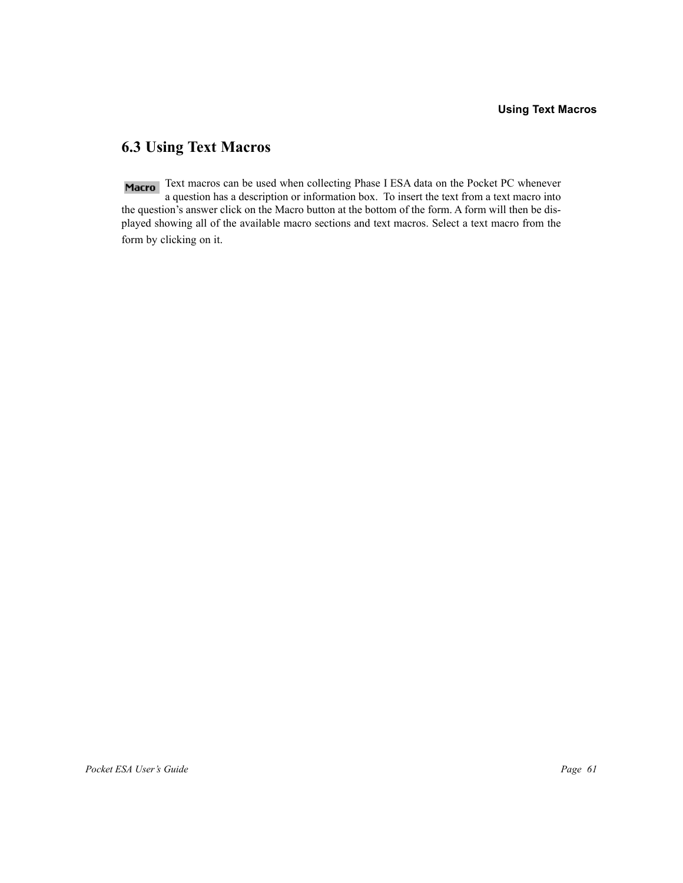### **6.3 Using Text Macros**

Macro Text macros can be used when collecting Phase I ESA data on the Pocket PC whenever a question has a description or information box. To insert the text from a text macro into the question's answer click on the Macro button at the bottom of the form. A form will then be displayed showing all of the available macro sections and text macros. Select a text macro from the form by clicking on it.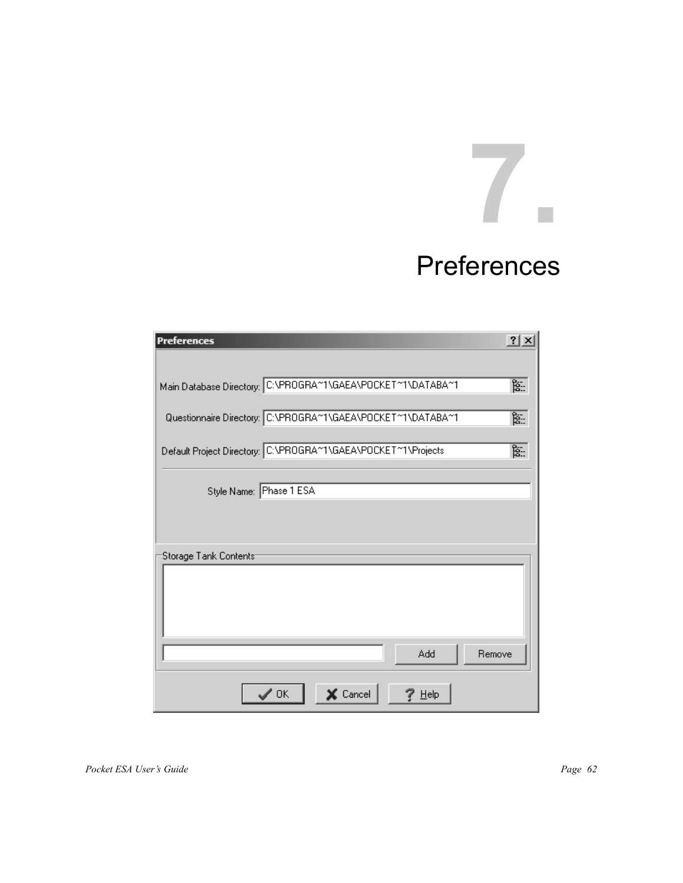# **7.**

### Preferences

| Preferences                                                   | $?$ $\times$ |
|---------------------------------------------------------------|--------------|
| Main Database Directory: C:\PROGRA~1\GAEA\POCKET~1\DATABA~1   | 寍            |
|                                                               |              |
| Questionnaire Directory: C:\PROGRA^1\GAEA\POCKET^1\DATABA^1   | 寍            |
| Default Project Directory: C:\PROGRA*1\GAEA\POCKET*1\Projects | 冨            |
| Style Name: Phase 1 ESA                                       |              |
|                                                               |              |
| Storage Tank Contents                                         |              |
|                                                               |              |
|                                                               |              |
|                                                               |              |
| Remove<br>Add                                                 |              |
| $\times$ Cancel<br>0K<br>Help                                 |              |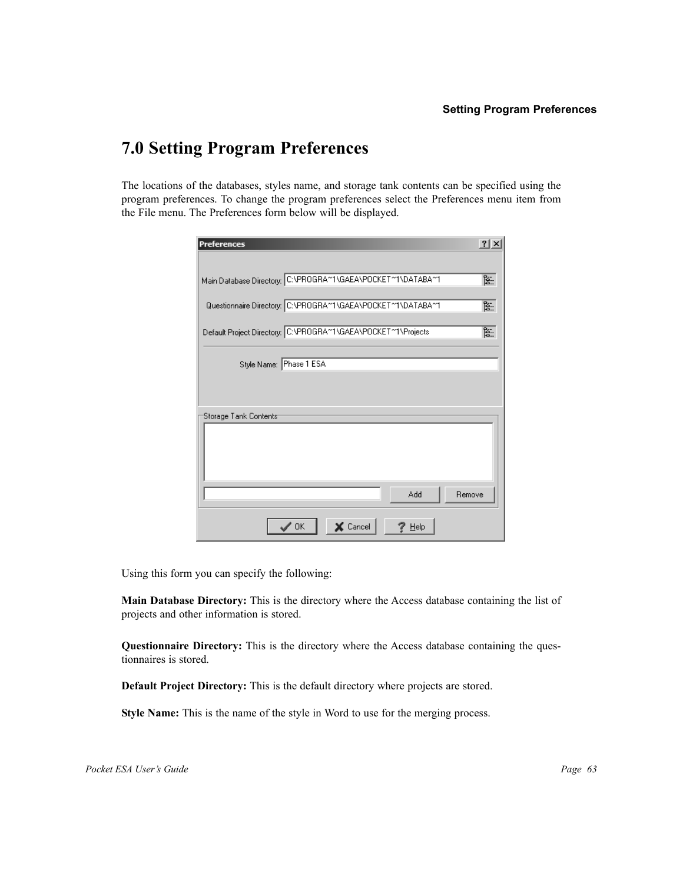### **7.0 Setting Program Preferences**

The locations of the databases, styles name, and storage tank contents can be specified using the program preferences. To change the program preferences select the Preferences menu item from the File menu. The Preferences form below will be displayed.

| Preferences                                                   | ?     |
|---------------------------------------------------------------|-------|
| Main Database Directory: C:\PROGRA~1\GAEA\POCKET~1\DATABA~1   | ंड्से |
| Questionnaire Directory: C:\PROGRA^1\GAEA\POCKET^1\DATABA^1   | 冨     |
| Default Project Directory: C:\PROGRA~1\GAEA\POCKET~1\Projects | ंद्री |
| Style Name: Phase 1 ESA                                       |       |
|                                                               |       |
| Storage Tank Contents <sup>.</sup>                            |       |
|                                                               |       |
|                                                               |       |
| Add<br>Remove                                                 |       |
| $\times$ Cancel<br>0K<br>Help                                 |       |

Using this form you can specify the following:

**Main Database Directory:** This is the directory where the Access database containing the list of projects and other information is stored.

**Questionnaire Directory:** This is the directory where the Access database containing the questionnaires is stored.

**Default Project Directory:** This is the default directory where projects are stored.

**Style Name:** This is the name of the style in Word to use for the merging process.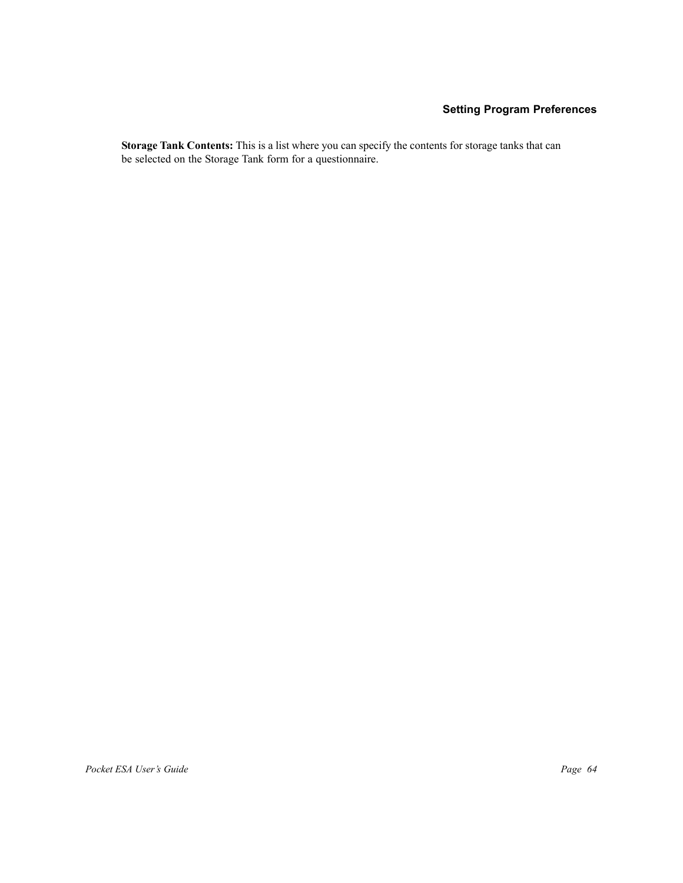### **Setting Program Preferences**

**Storage Tank Contents:** This is a list where you can specify the contents for storage tanks that can be selected on the Storage Tank form for a questionnaire.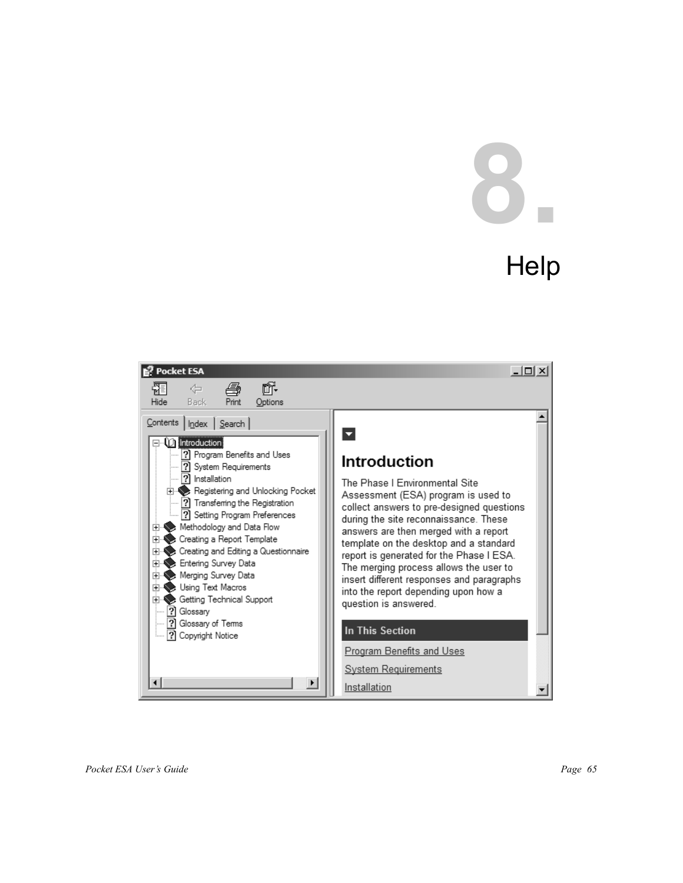# **8.**

## **Help**

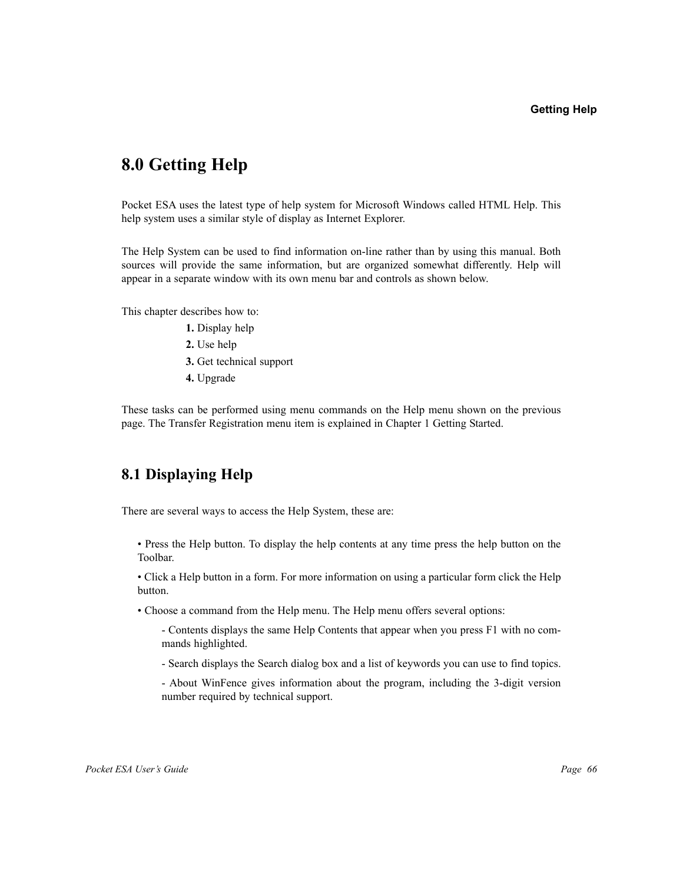### **8.0 Getting Help**

Pocket ESA uses the latest type of help system for Microsoft Windows called HTML Help. This help system uses a similar style of display as Internet Explorer.

The Help System can be used to find information on-line rather than by using this manual. Both sources will provide the same information, but are organized somewhat differently. Help will appear in a separate window with its own menu bar and controls as shown below.

This chapter describes how to:

- **1.** Display help
- **2.** Use help
- **3.** Get technical support
- **4.** Upgrade

These tasks can be performed using menu commands on the Help menu shown on the previous page. The Transfer Registration menu item is explained in Chapter 1 Getting Started.

### **8.1 Displaying Help**

There are several ways to access the Help System, these are:

• Press the Help button. To display the help contents at any time press the help button on the Toolbar.

• Click a Help button in a form. For more information on using a particular form click the Help button.

• Choose a command from the Help menu. The Help menu offers several options:

- Contents displays the same Help Contents that appear when you press F1 with no commands highlighted.

- Search displays the Search dialog box and a list of keywords you can use to find topics.

- About WinFence gives information about the program, including the 3-digit version number required by technical support.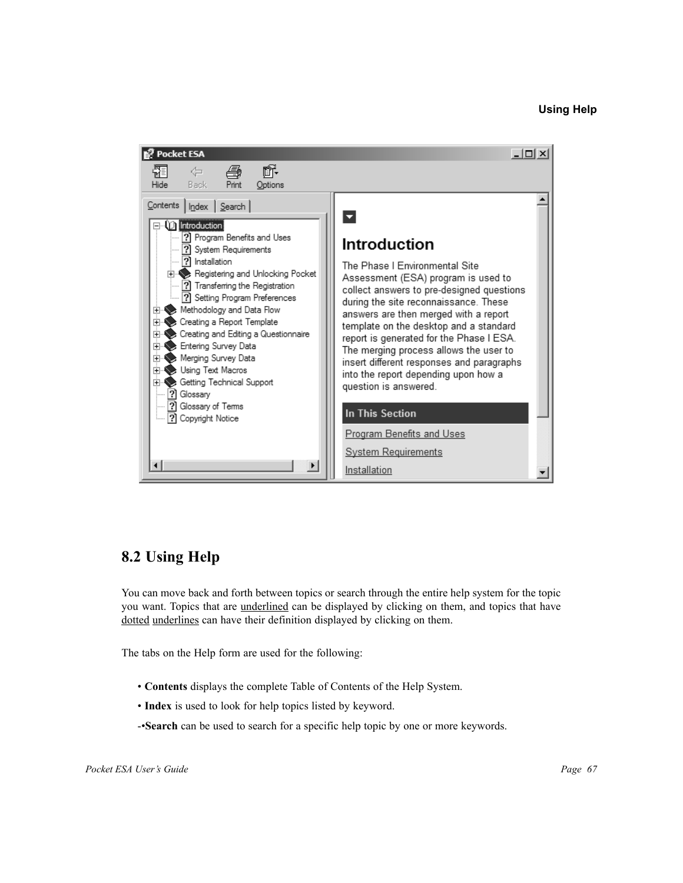### **Using Help**



### **8.2 Using Help**

You can move back and forth between topics or search through the entire help system for the topic you want. Topics that are <u>underlined</u> can be displayed by clicking on them, and topics that have dotted underlines can have their definition displayed by clicking on them.

The tabs on the Help form are used for the following:

- **Contents** displays the complete Table of Contents of the Help System.
- **Index** is used to look for help topics listed by keyword.

-•**Search** can be used to search for a specific help topic by one or more keywords.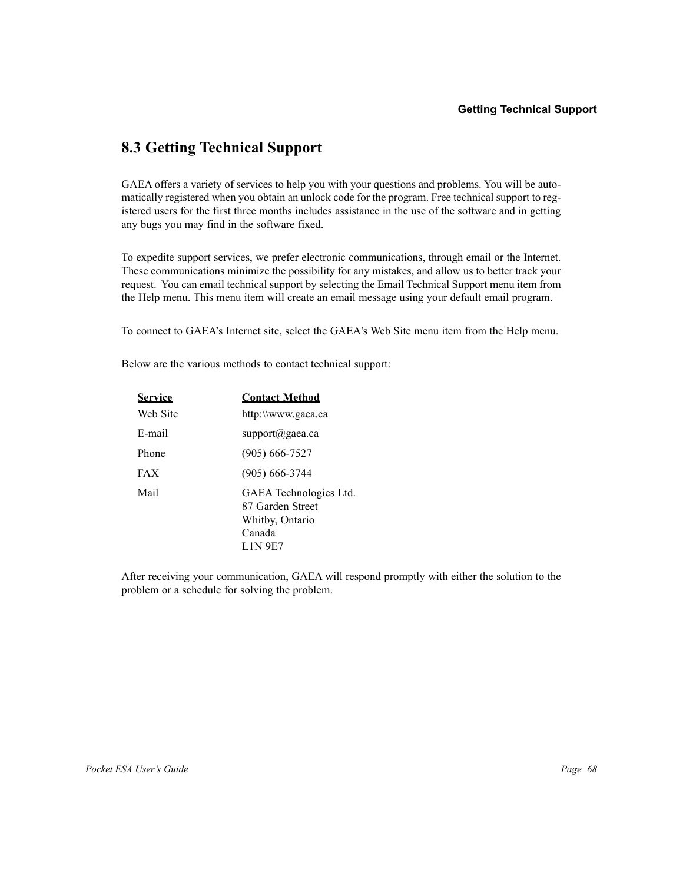### **8.3 Getting Technical Support**

GAEA offers a variety of services to help you with your questions and problems. You will be automatically registered when you obtain an unlock code for the program. Free technical support to registered users for the first three months includes assistance in the use of the software and in getting any bugs you may find in the software fixed.

To expedite support services, we prefer electronic communications, through email or the Internet. These communications minimize the possibility for any mistakes, and allow us to better track your request. You can email technical support by selecting the Email Technical Support menu item from the Help menu. This menu item will create an email message using your default email program.

To connect to GAEA's Internet site, select the GAEA's Web Site menu item from the Help menu.

Below are the various methods to contact technical support:

| <b>Service</b> | <b>Contact Method</b>                                                                     |
|----------------|-------------------------------------------------------------------------------------------|
| Web Site       | http:\\www.gaea.ca                                                                        |
| E-mail         | $support(a)$ gaea.ca                                                                      |
| Phone          | $(905) 666 - 7527$                                                                        |
| <b>FAX</b>     | $(905) 666 - 3744$                                                                        |
| Mail           | GAEA Technologies Ltd.<br>87 Garden Street<br>Whitby, Ontario<br>Canada<br><b>LIN 9E7</b> |

After receiving your communication, GAEA will respond promptly with either the solution to the problem or a schedule for solving the problem.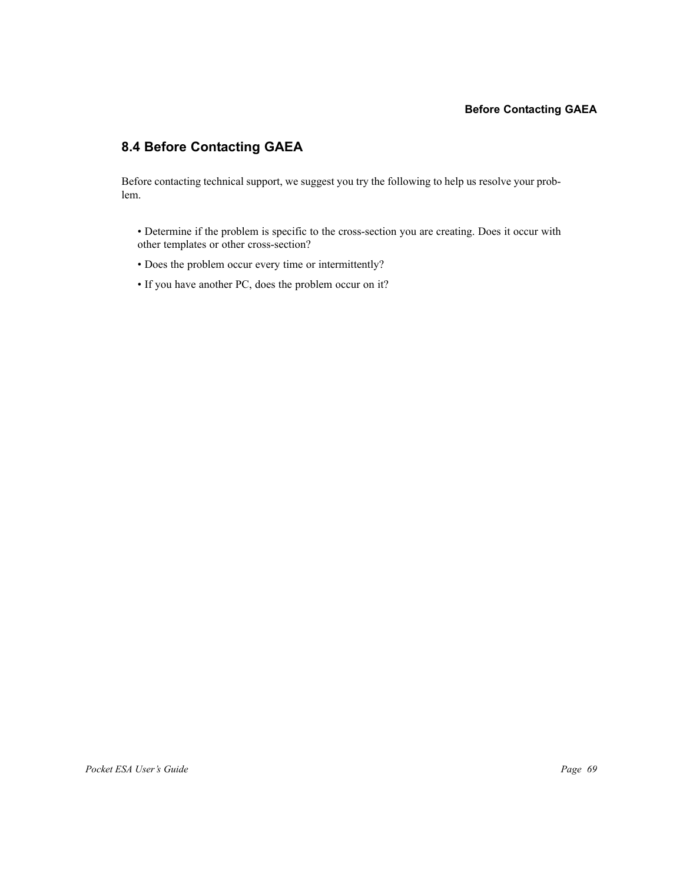### **Before Contacting GAEA**

### **8.4 Before Contacting GAEA**

Before contacting technical support, we suggest you try the following to help us resolve your problem.

- Determine if the problem is specific to the cross-section you are creating. Does it occur with other templates or other cross-section?
- Does the problem occur every time or intermittently?
- If you have another PC, does the problem occur on it?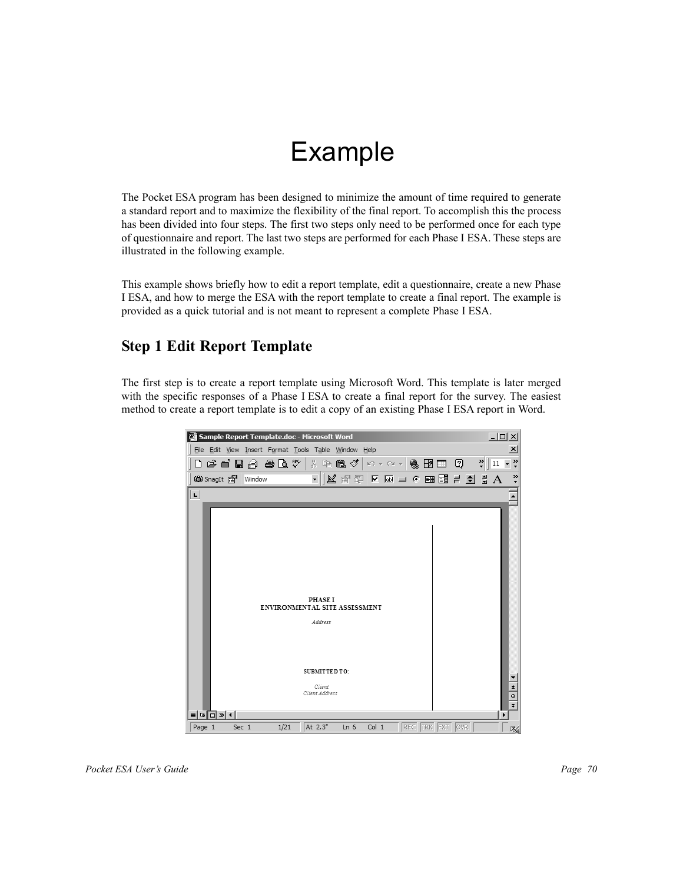### Example

The Pocket ESA program has been designed to minimize the amount of time required to generate a standard report and to maximize the flexibility of the final report. To accomplish this the process has been divided into four steps. The first two steps only need to be performed once for each type of questionnaire and report. The last two steps are performed for each Phase I ESA. These steps are illustrated in the following example.

This example shows briefly how to edit a report template, edit a questionnaire, create a new Phase I ESA, and how to merge the ESA with the report template to create a final report. The example is provided as a quick tutorial and is not meant to represent a complete Phase I ESA.

### **Step 1 Edit Report Template**

The first step is to create a report template using Microsoft Word. This template is later merged with the specific responses of a Phase I ESA to create a final report for the survey. The easiest method to create a report template is to edit a copy of an existing Phase I ESA report in Word.

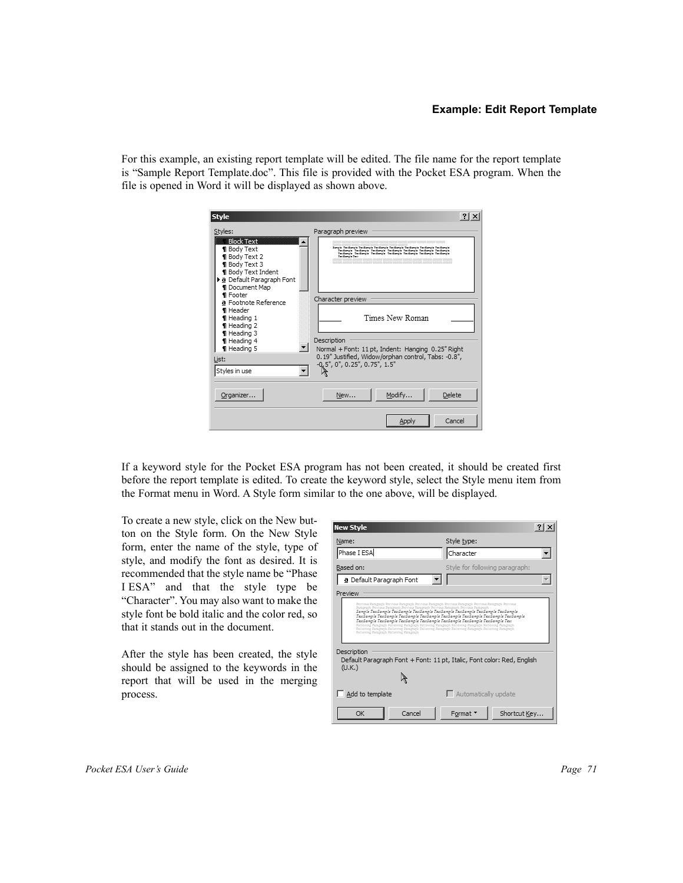#### **Example: Edit Report Template**

For this example, an existing report template will be edited. The file name for the report template is "Sample Report Template.doc". This file is provided with the Pocket ESA program. When the file is opened in Word it will be displayed as shown above.

| <b>Style</b>                                                                                                                                                              | $?$   $\times$                                                                                                                                                                                                                                                    |
|---------------------------------------------------------------------------------------------------------------------------------------------------------------------------|-------------------------------------------------------------------------------------------------------------------------------------------------------------------------------------------------------------------------------------------------------------------|
| Styles:<br><b>Block Text</b><br><b>1</b> Body Text<br><b>1</b> Body Text 2<br>Body Text 3<br><b>Body Text Indent</b><br>▶ a Default Paragraph Font<br><b>Document Map</b> | Paragraph preview<br>Iangle Terdangle Terdangle Terdangle Terdangle Terdangle Terdangle Terdangle<br>Tentamelo Tentamelo Tentamelo Tentamelo Tentamelo Tentamelo Tentamelo<br>Tendanck Tendanck Tendanck Tendanck Tendanck Tendanck Tendanck<br>Tax Game in Tax 4 |
| <b>1</b> Footer<br>a Footnote Reference<br>1 Header<br>1 Heading 1<br>1 Heading 2<br>1 Heading 3<br>1 Heading 4<br>1 Heading 5                                            | Character preview<br>Times New Roman<br>Description<br>Normal + Font: 11 pt, Indent: Hanging 0.25" Right                                                                                                                                                          |
| List:<br>Styles in use<br>Organizer                                                                                                                                       | 0.19" Justified, Widow/orphan control, Tabs: -0.8",<br>-0, 5", 0", 0.25", 0.75", 1.5"<br>Modify<br>Delete<br>New                                                                                                                                                  |
|                                                                                                                                                                           | Cancel<br>Apply                                                                                                                                                                                                                                                   |

If a keyword style for the Pocket ESA program has not been created, it should be created first before the report template is edited. To create the keyword style, select the Style menu item from the Format menu in Word. A Style form similar to the one above, will be displayed.

To create a new style, click on the New button on the Style form. On the New Style form, enter the name of the style, type of style, and modify the font as desired. It is recommended that the style name be "Phase I ESA" and that the style type be "Character". You may also want to make the style font be bold italic and the color red, so that it stands out in the document.

After the style has been created, the style should be assigned to the keywords in the report that will be used in the merging process.

| <b>New Style</b>                                                                                                                                                                                                                                                                                                                                                                                                                                                                                                                         |                                | $?$   $\times$ |
|------------------------------------------------------------------------------------------------------------------------------------------------------------------------------------------------------------------------------------------------------------------------------------------------------------------------------------------------------------------------------------------------------------------------------------------------------------------------------------------------------------------------------------------|--------------------------------|----------------|
| Name:                                                                                                                                                                                                                                                                                                                                                                                                                                                                                                                                    | Style type:                    |                |
| Phase I ESA                                                                                                                                                                                                                                                                                                                                                                                                                                                                                                                              | Character                      |                |
| Based on:                                                                                                                                                                                                                                                                                                                                                                                                                                                                                                                                | Style for following paragraph: |                |
| <b>a</b> Default Paragraph Font                                                                                                                                                                                                                                                                                                                                                                                                                                                                                                          |                                |                |
| Preview                                                                                                                                                                                                                                                                                                                                                                                                                                                                                                                                  |                                |                |
| TexiSample TexiSample TexiSample TexiSample TexiSample TexiSample TexiSample TexiSample<br>TexiSample TexiSample TexiSample TexiSample TexiSample TexiSample TexiSample Texi<br>Following Faragraph Following Faragraph Following Faragraph Following Faragraph Following Faragraph<br>Following Paragraph Following Paragraph Following Paragraph Following Paragraph Following Paragraph<br>Following Paragraph Following Paragraph<br>Description<br>Default Paragraph Font + Font: 11 pt, Italic, Font color: Red, English<br>(U.K.) |                                |                |
| Add to template                                                                                                                                                                                                                                                                                                                                                                                                                                                                                                                          | $\Box$ Automatically update    |                |
| OK<br>Cancel                                                                                                                                                                                                                                                                                                                                                                                                                                                                                                                             |                                |                |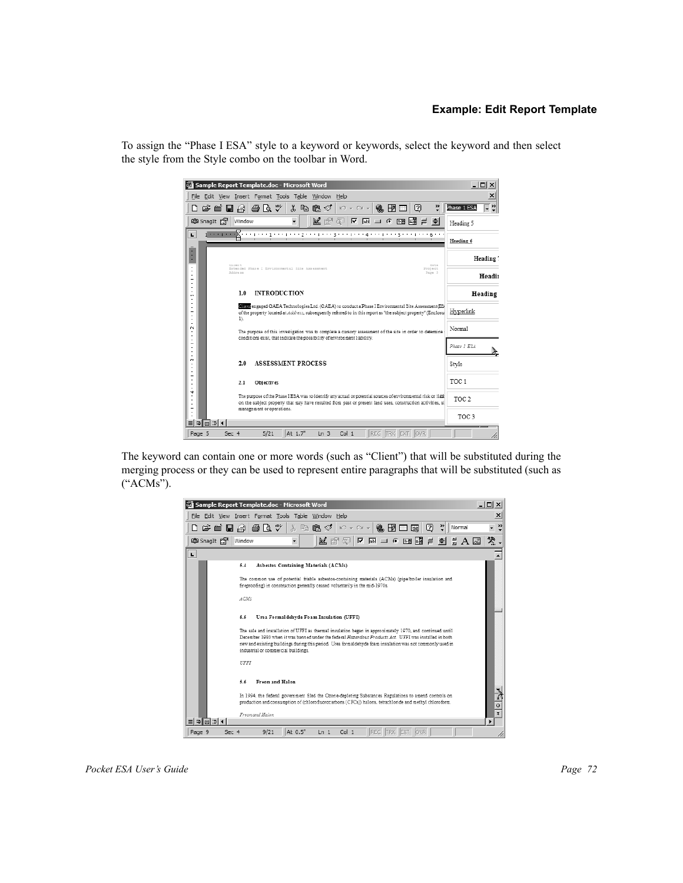### **Example: Edit Report Template**

To assign the "Phase I ESA" style to a keyword or keywords, select the keyword and then select the style from the Style combo on the toolbar in Word.



The keyword can contain one or more words (such as "Client") that will be substituted during the merging process or they can be used to represent entire paragraphs that will be substituted (such as ("ACMs").

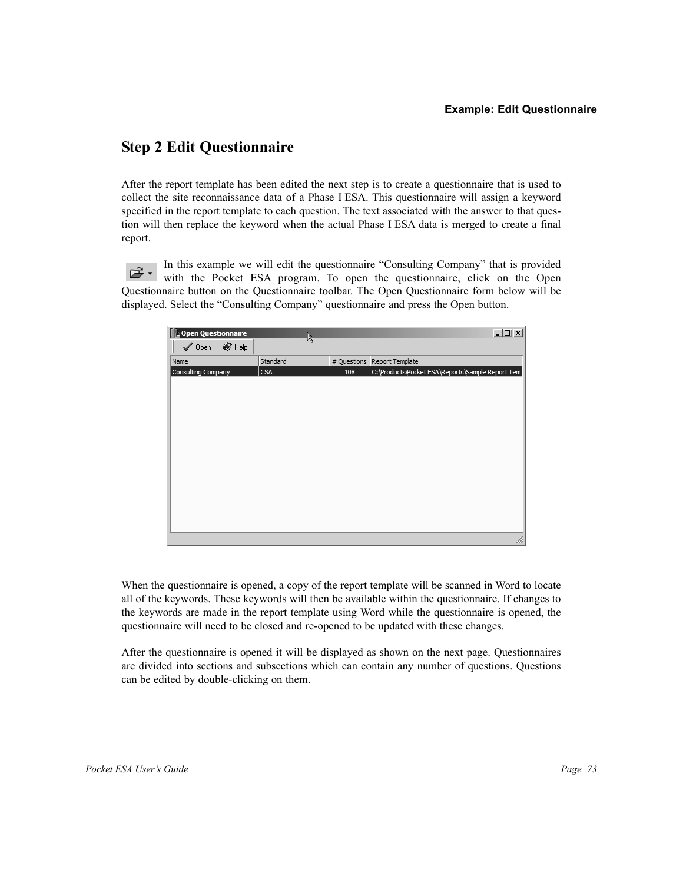## **Step 2 Edit Questionnaire**

After the report template has been edited the next step is to create a questionnaire that is used to collect the site reconnaissance data of a Phase I ESA. This questionnaire will assign a keyword specified in the report template to each question. The text associated with the answer to that question will then replace the keyword when the actual Phase I ESA data is merged to create a final report.

In this example we will edit the questionnaire "Consulting Company" that is provided 2. with the Pocket ESA program. To open the questionnaire, click on the Open Questionnaire button on the Questionnaire toolbar. The Open Questionnaire form below will be displayed. Select the "Consulting Company" questionnaire and press the Open button.



When the questionnaire is opened, a copy of the report template will be scanned in Word to locate all of the keywords. These keywords will then be available within the questionnaire. If changes to the keywords are made in the report template using Word while the questionnaire is opened, the questionnaire will need to be closed and re-opened to be updated with these changes.

After the questionnaire is opened it will be displayed as shown on the next page. Questionnaires are divided into sections and subsections which can contain any number of questions. Questions can be edited by double-clicking on them.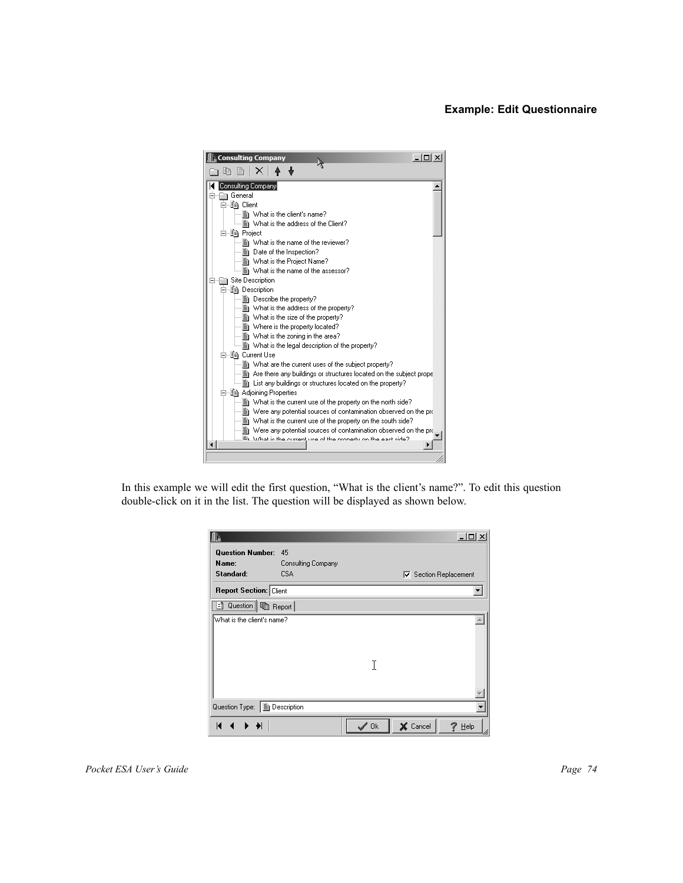

In this example we will edit the first question, "What is the client's name?". To edit this question double-click on it in the list. The question will be displayed as shown below.

|                                  |                          |      |                              | $ \Box$ $\times$ |
|----------------------------------|--------------------------|------|------------------------------|------------------|
| <b>Question Number:</b><br>Name: | 45<br>Consulting Company |      |                              |                  |
| Standard:                        | CSA                      |      | <b>▽</b> Section Replacement |                  |
| <b>Report Section: Client</b>    |                          |      |                              |                  |
| B Question   h Report            |                          |      |                              |                  |
| What is the client's name?       |                          |      |                              |                  |
|                                  |                          | I    |                              |                  |
|                                  |                          |      |                              |                  |
| Question Type:                   | ■ Description            |      |                              |                  |
| K                                |                          | ″ Ok | X Cancel                     | Help             |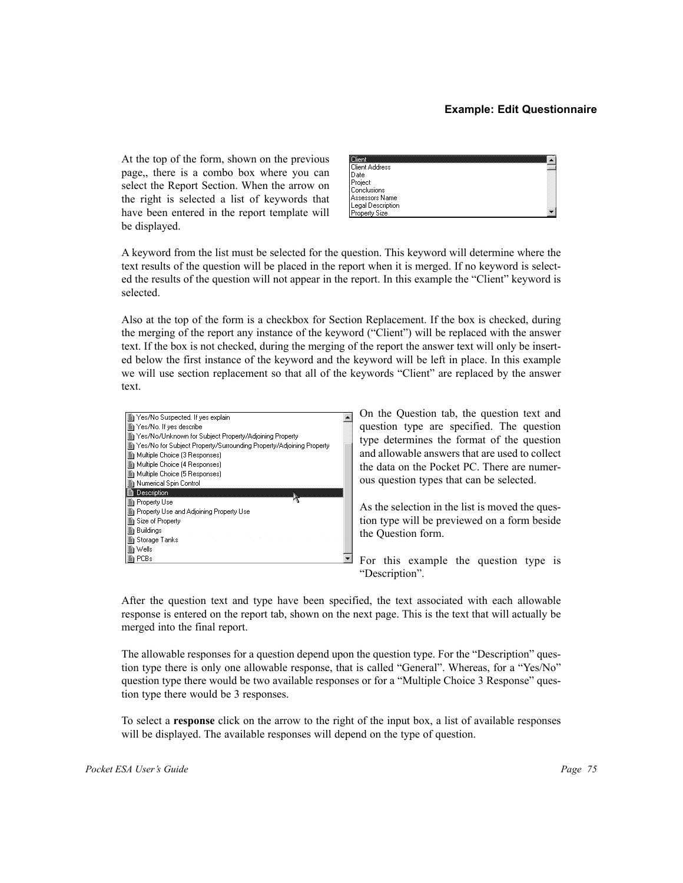At the top of the form, shown on the previous page,, there is a combo box where you can select the Report Section. When the arrow on the right is selected a list of keywords that have been entered in the report template will be displayed.

A keyword from the list must be selected for the question. This keyword will determine where the text results of the question will be placed in the report when it is merged. If no keyword is selected the results of the question will not appear in the report. In this example the "Client" keyword is selected.

Also at the top of the form is a checkbox for Section Replacement. If the box is checked, during the merging of the report any instance of the keyword ("Client") will be replaced with the answer text. If the box is not checked, during the merging of the report the answer text will only be inserted below the first instance of the keyword and the keyword will be left in place. In this example we will use section replacement so that all of the keywords "Client" are replaced by the answer text.



On the Question tab, the question text and question type are specified. The question type determines the format of the question and allowable answers that are used to collect the data on the Pocket PC. There are numerous question types that can be selected.

As the selection in the list is moved the question type will be previewed on a form beside the Question form.

For this example the question type is "Description".

After the question text and type have been specified, the text associated with each allowable response is entered on the report tab, shown on the next page. This is the text that will actually be merged into the final report.

The allowable responses for a question depend upon the question type. For the "Description" question type there is only one allowable response, that is called "General". Whereas, for a "Yes/No" question type there would be two available responses or for a "Multiple Choice 3 Response" question type there would be 3 responses.

To select a **response** click on the arrow to the right of the input box, a list of available responses will be displayed. The available responses will depend on the type of question.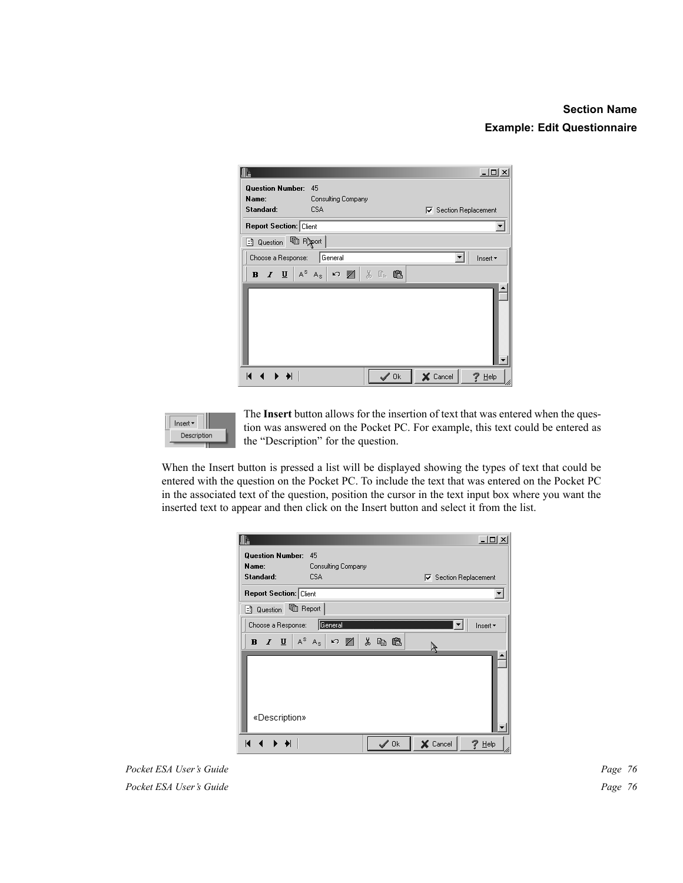## **Section Name Example: Edit Questionnaire**

|                               |                                                         | $-10 \times$                 |
|-------------------------------|---------------------------------------------------------|------------------------------|
| <b>Question Number:</b>       | 45                                                      |                              |
| Name:                         | Consulting Company                                      |                              |
| Standard:                     | <b>CSA</b>                                              | <b>▽</b> Section Replacement |
| <b>Report Section: Client</b> |                                                         |                              |
|                               |                                                         |                              |
| Choose a Response:   General  |                                                         | Insert *<br>▼                |
|                               | B / U A $^{\text{s}}$ A $_{\text{s}}$   の 暑   巻   卷   亀 |                              |
| $\blacksquare$<br>$\big\ $    | $\mathscr{S}$ Ok                                        | X Cancel<br>$7$ Help         |



The **Insert** button allows for the insertion of text that was entered when the question was answered on the Pocket PC. For example, this text could be entered as the "Description" for the question.

When the Insert button is pressed a list will be displayed showing the types of text that could be entered with the question on the Pocket PC. To include the text that was entered on the Pocket PC in the associated text of the question, position the cursor in the text input box where you want the inserted text to appear and then click on the Insert button and select it from the list.

|                               |                             | $-1$ $-1$ $\times$           |
|-------------------------------|-----------------------------|------------------------------|
| <b>Question Number:</b>       | 45                          |                              |
| Name:                         | Consulting Company          |                              |
| Standard:                     | <b>CSA</b>                  | <b>▽</b> Section Replacement |
| <b>Report Section: Client</b> |                             |                              |
| <b>h</b> Report<br>리 Question |                             |                              |
| Choose a Response:            | General                     | Insert *                     |
| $I \perp$<br>$\bf{B}$         | $A^S$ $A_S$<br>人名追<br>│ ∽ 鬐 |                              |
| «Description»                 |                             |                              |
| K.                            | ″ Ok                        | X Cancel<br>Help             |

*Pocket ESA User's Guide* Page 76 **Pocket ESA User's Guide** Page 76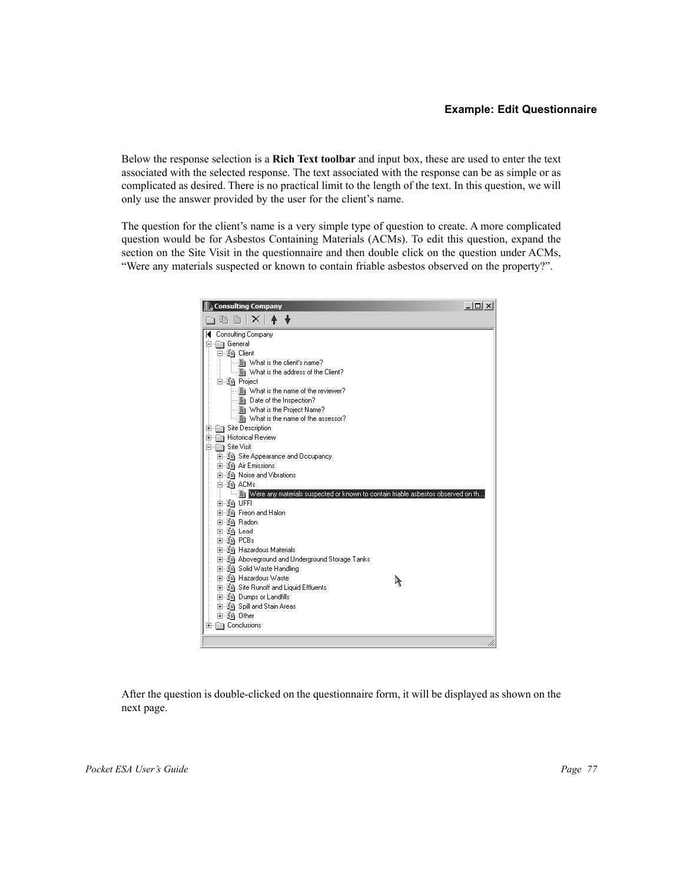Below the response selection is a **Rich Text toolbar** and input box, these are used to enter the text associated with the selected response. The text associated with the response can be as simple or as complicated as desired. There is no practical limit to the length of the text. In this question, we will only use the answer provided by the user for the client's name.

The question for the client's name is a very simple type of question to create. A more complicated question would be for Asbestos Containing Materials (ACMs). To edit this question, expand the section on the Site Visit in the questionnaire and then double click on the question under ACMs, "Were any materials suspected or known to contain friable asbestos observed on the property?".



After the question is double-clicked on the questionnaire form, it will be displayed as shown on the next page.

*Pocket ESA User's Guide Page 77*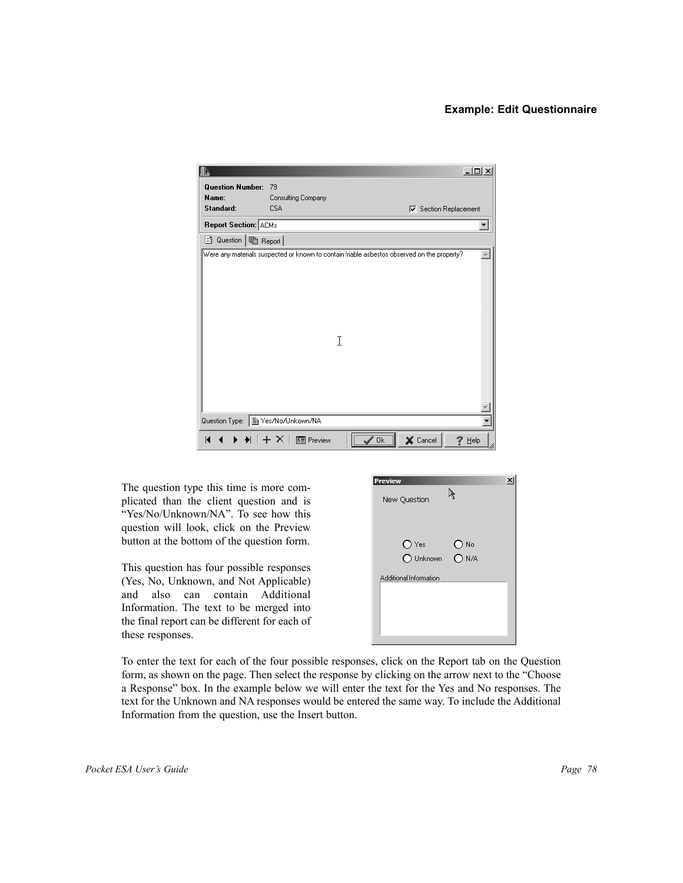

The question type this time is more complicated than the client question and is "Yes/No/Unknown/NA". To see how this question will look, click on the Preview button at the bottom of the question form.

This question has four possible responses (Yes, No, Unknown, and Not Applicable) and also can contain Additional Information. The text to be merged into the final report can be different for each of these responses.

To enter the text for each of the four possible responses, click on the Report tab on the Question form, as shown on the page. Then select the response by clicking on the arrow next to the "Choose a Response" box. In the example below we will enter the text for the Yes and No responses. The text for the Unknown and NA responses would be entered the same way. To include the Additional Information from the question, use the Insert button.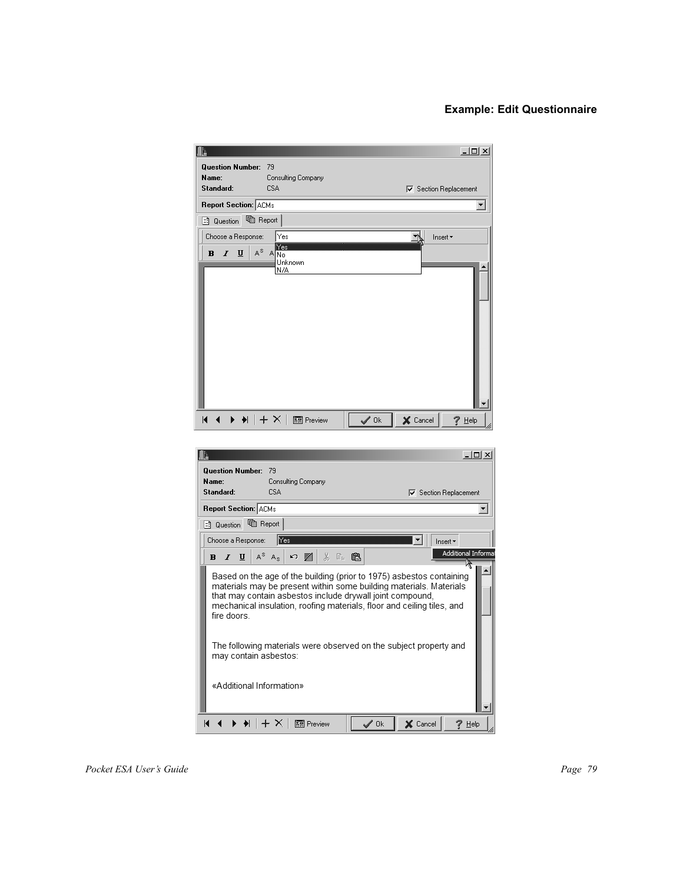|                                   |                                                                                                                                 |                  |          | <u>니미×</u>                        |
|-----------------------------------|---------------------------------------------------------------------------------------------------------------------------------|------------------|----------|-----------------------------------|
| <b>Question Number:</b>           | 79                                                                                                                              |                  |          |                                   |
| Name:<br>Standard:                | Consulting Company<br><b>CSA</b>                                                                                                |                  |          | <b>▽</b> Section Replacement      |
| <b>Report Section: ACMs</b>       |                                                                                                                                 |                  |          |                                   |
| heport<br>-1 Question             |                                                                                                                                 |                  |          |                                   |
| Choose a Response:                | Yes                                                                                                                             |                  |          | Insert *                          |
| $A^{\otimes}$<br>U<br>B<br>I      | Yes<br>ANO                                                                                                                      |                  |          |                                   |
|                                   | Unknown<br>N/A                                                                                                                  |                  |          |                                   |
|                                   |                                                                                                                                 |                  |          |                                   |
|                                   |                                                                                                                                 |                  |          |                                   |
|                                   |                                                                                                                                 |                  |          |                                   |
|                                   |                                                                                                                                 |                  |          |                                   |
|                                   |                                                                                                                                 |                  |          |                                   |
|                                   |                                                                                                                                 |                  |          |                                   |
|                                   |                                                                                                                                 |                  |          |                                   |
| K                                 | $\blacklozenge \parallel + \times \parallel \text{min}$ Preview                                                                 | $\sqrt{0k}$      | X Cancel | 7<br>Help                         |
|                                   |                                                                                                                                 |                  |          |                                   |
| ľΔ                                |                                                                                                                                 |                  |          | $ \Box$ $\times$                  |
| <b>Question Number:</b>           | 79                                                                                                                              |                  |          |                                   |
| Name:<br>Standard:                | Consulting Company<br><b>CSA</b>                                                                                                |                  |          |                                   |
| <b>Report Section: ACMs</b>       |                                                                                                                                 |                  |          | <b>▽</b> Section Replacement<br>▼ |
| tig Report<br>-1 Question         |                                                                                                                                 |                  |          |                                   |
| Choose a Response:                | ∥Yes                                                                                                                            |                  |          | Insert *                          |
| B<br>I<br>$\overline{\mathbf{u}}$ | $A^S$ $A_S$<br>$\texttt{X} \triangleq \texttt{C}$<br>い 屠                                                                        |                  |          | Additional Informat               |
|                                   | Based on the age of the building (prior to 1975) asbestos containing                                                            |                  |          | ₩                                 |
|                                   | materials may be present within some building materials. Materials<br>that may contain asbestos include drywall joint compound, |                  |          |                                   |
|                                   | mechanical insulation, roofing materials, floor and ceiling tiles, and                                                          |                  |          |                                   |
| fire doors.                       |                                                                                                                                 |                  |          |                                   |
|                                   | The following materials were observed on the subject property and                                                               |                  |          |                                   |
| may contain asbestos:             |                                                                                                                                 |                  |          |                                   |
|                                   |                                                                                                                                 |                  |          |                                   |
| «Additional Information»          |                                                                                                                                 |                  |          |                                   |
|                                   |                                                                                                                                 |                  |          |                                   |
| KI.<br>◀                          | $\blacktriangleright$ $\blacklozenge$ $\parallel$ $\pm$ $\times$ $\parallel$ $\blacksquare$ Preview                             | $\mathscr{S}$ Ok | X Cancel | ? Help                            |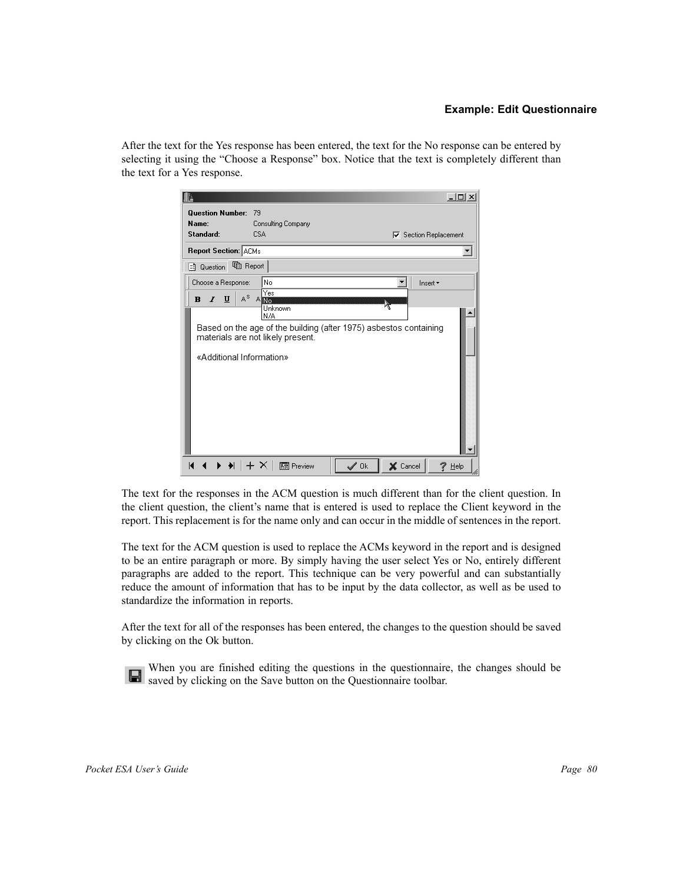After the text for the Yes response has been entered, the text for the No response can be entered by selecting it using the "Choose a Response" box. Notice that the text is completely different than the text for a Yes response.

|                             | $-10 \times$                                                                                           |
|-----------------------------|--------------------------------------------------------------------------------------------------------|
| <b>Question Number:</b>     | -79                                                                                                    |
| Name:                       | Consulting Company                                                                                     |
| Standard:                   | <b>CSA</b><br><b>▽</b> Section Replacement                                                             |
| <b>Report Section: ACMs</b> |                                                                                                        |
|                             |                                                                                                        |
| Choose a Response:          | No<br>Insert *                                                                                         |
| $I$ U<br>$\bf{B}$           | Yes<br>$A^{\circ}$ AND                                                                                 |
|                             | Unknown<br>N/A                                                                                         |
|                             | Based on the age of the building (after 1975) asbestos containing<br>materials are not likely present. |
| «Additional Information»    |                                                                                                        |
| К                           | X Cancel<br>$\mathscr{I}$ Ok<br>Help                                                                   |

The text for the responses in the ACM question is much different than for the client question. In the client question, the client's name that is entered is used to replace the Client keyword in the report. This replacement is for the name only and can occur in the middle of sentences in the report.

The text for the ACM question is used to replace the ACMs keyword in the report and is designed to be an entire paragraph or more. By simply having the user select Yes or No, entirely different paragraphs are added to the report. This technique can be very powerful and can substantially reduce the amount of information that has to be input by the data collector, as well as be used to standardize the information in reports.

After the text for all of the responses has been entered, the changes to the question should be saved by clicking on the Ok button.

When you are finished editing the questions in the questionnaire, the changes should be saved by clicking on the Save button on the Questionnaire toolbar.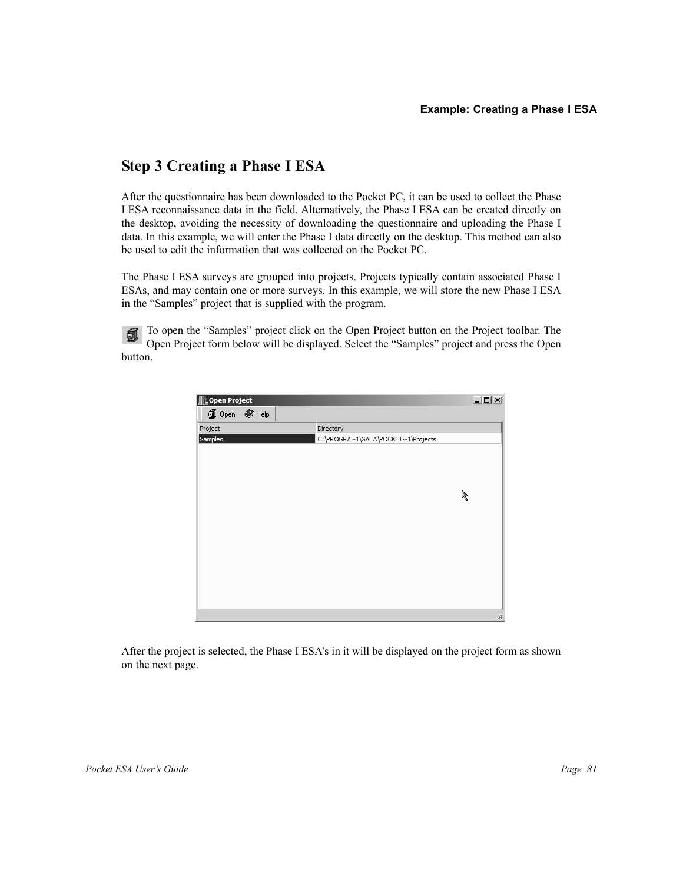# **Step 3 Creating a Phase I ESA**

After the questionnaire has been downloaded to the Pocket PC, it can be used to collect the Phase I ESA reconnaissance data in the field. Alternatively, the Phase I ESA can be created directly on the desktop, avoiding the necessity of downloading the questionnaire and uploading the Phase I data. In this example, we will enter the Phase I data directly on the desktop. This method can also be used to edit the information that was collected on the Pocket PC.

The Phase I ESA surveys are grouped into projects. Projects typically contain associated Phase I ESAs, and may contain one or more surveys. In this example, we will store the new Phase I ESA in the "Samples" project that is supplied with the program.

To open the "Samples" project click on the Open Project button on the Project toolbar. The 鱼 Open Project form below will be displayed. Select the "Samples" project and press the Open button.

| Open Project         |                                    | $\Box$ |
|----------------------|------------------------------------|--------|
| <b>1</b> Open ● Help |                                    |        |
| Project              | Directory                          |        |
| Samples              | C:\PROGRA~1\GAEA\POCKET~1\Projects |        |
|                      |                                    |        |
|                      |                                    |        |
|                      |                                    |        |
|                      |                                    |        |
|                      |                                    | R      |
|                      |                                    |        |
|                      |                                    |        |
|                      |                                    |        |
|                      |                                    |        |
|                      |                                    |        |
|                      |                                    |        |
|                      |                                    |        |
|                      |                                    |        |
|                      |                                    |        |
|                      |                                    | h      |

After the project is selected, the Phase I ESA's in it will be displayed on the project form as shown on the next page.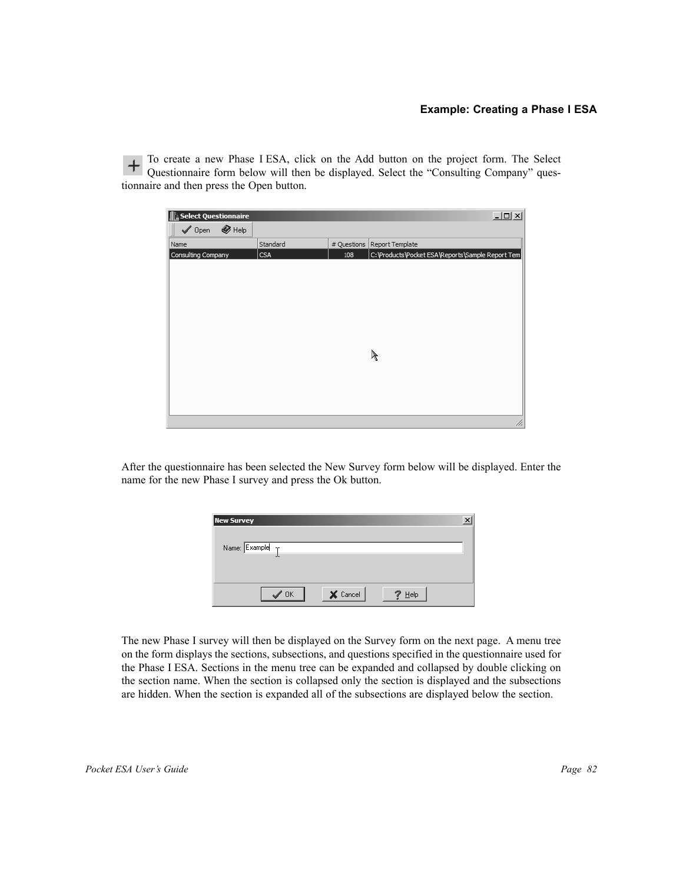To create a new Phase I ESA, click on the Add button on the project form. The Select<br>Ouestionnaire form below will then be directed in Columbus 1.000 Questionnaire form below will then be displayed. Select the "Consulting Company" questionnaire and then press the Open button.

| Select Questionnaire                 |          |             | $\Box$                                           |
|--------------------------------------|----------|-------------|--------------------------------------------------|
| $\bigotimes$ Help<br>$\sqrt{ }$ Open |          |             |                                                  |
| Name                                 | Standard | # Questions | Report Template                                  |
| Consulting Company                   | CSA      | 108         | C:\Products\Pocket ESA\Reports\Sample Report Tem |
|                                      |          |             |                                                  |
|                                      |          |             |                                                  |
|                                      |          |             |                                                  |
|                                      |          |             |                                                  |
|                                      |          |             |                                                  |
|                                      |          |             |                                                  |
|                                      |          |             |                                                  |
|                                      |          |             |                                                  |
|                                      |          |             |                                                  |
|                                      |          |             | P                                                |
|                                      |          |             |                                                  |
|                                      |          |             |                                                  |
|                                      |          |             |                                                  |
|                                      |          |             |                                                  |
|                                      |          |             |                                                  |
|                                      |          |             | 11                                               |

After the questionnaire has been selected the New Survey form below will be displayed. Enter the name for the new Phase I survey and press the Ok button.

| <b>New Survey</b>           |          |      |  |
|-----------------------------|----------|------|--|
|                             |          |      |  |
| Name: $Example \t_T$        |          |      |  |
|                             |          |      |  |
|                             |          |      |  |
| $\overline{\phantom{a}}$ OK | X Cancel | Help |  |
|                             |          |      |  |

The new Phase I survey will then be displayed on the Survey form on the next page. A menu tree on the form displays the sections, subsections, and questions specified in the questionnaire used for the Phase I ESA. Sections in the menu tree can be expanded and collapsed by double clicking on the section name. When the section is collapsed only the section is displayed and the subsections are hidden. When the section is expanded all of the subsections are displayed below the section.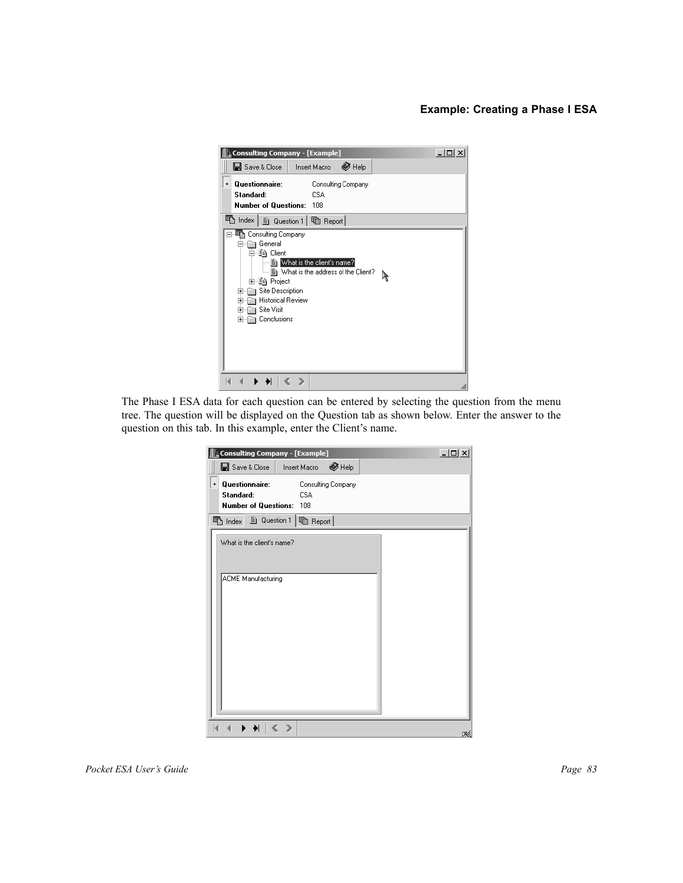#### **Example: Creating a Phase I ESA**



The Phase I ESA data for each question can be entered by selecting the question from the menu tree. The question will be displayed on the Question tab as shown below. Enter the answer to the question on this tab. In this example, enter the Client's name.

|           | Consulting Company - [Example]                      |                   |                    | $-12X$ |
|-----------|-----------------------------------------------------|-------------------|--------------------|--------|
|           | B Save & Close                                      | Insert Macro      | $\bigotimes$ Help  |        |
| $\pmb{+}$ | Questionnaire:<br>Standard:<br>Number of Questions: | <b>CSA</b><br>108 | Consulting Company |        |
|           | <sup>晒</sup> Index<br><b>■ Question 1</b>           | heport            |                    |        |
|           | What is the client's name?                          |                   |                    |        |
|           | <b>ACME Manufacturing</b>                           |                   |                    |        |
|           |                                                     |                   |                    | ĸ.     |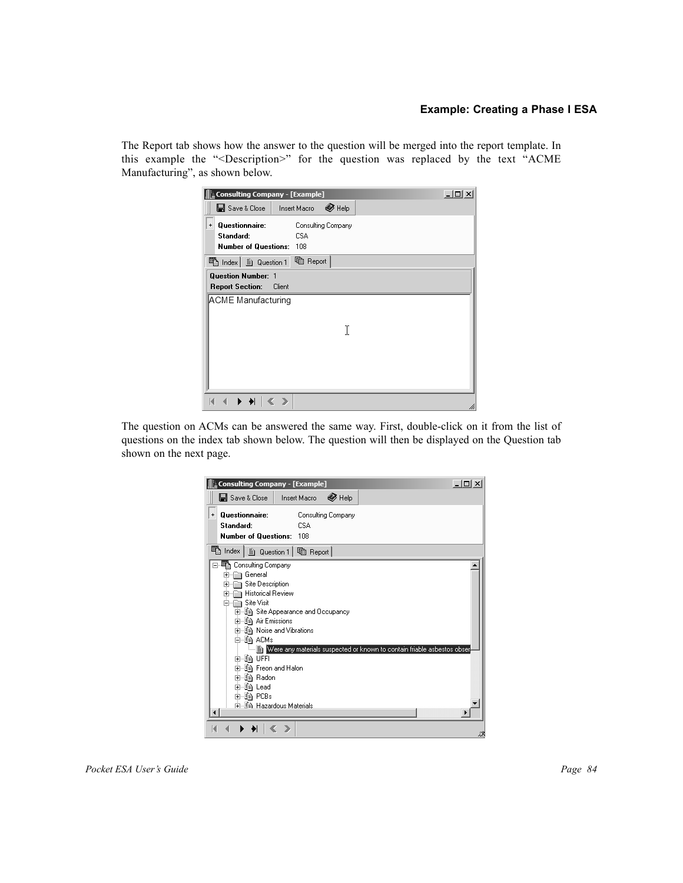#### **Example: Creating a Phase I ESA**

The Report tab shows how the answer to the question will be merged into the report template. In this example the "<Description>" for the question was replaced by the text "ACME Manufacturing", as shown below.

| <b>Consulting Company - [Example]</b>                                       |                                  | -101<br>$\times$ |
|-----------------------------------------------------------------------------|----------------------------------|------------------|
| BI Save & Close   Insert Macro                                              | $\otimes$ Help                   |                  |
| Questionnaire:<br>$\ddot{}$<br>Standard:<br><b>Number of Questions: 108</b> | Consulting Company<br><b>CSA</b> |                  |
| <sup>酯</sup> Index   m Question 1                                           | heport                           |                  |
| <b>Question Number: 1</b><br><b>Report Section:</b>                         | Client                           |                  |
| ACME Manufacturing                                                          | T                                |                  |
|                                                                             | $\rightarrow$                    | hi               |

The question on ACMs can be answered the same way. First, double-click on it from the list of questions on the index tab shown below. The question will then be displayed on the Question tab shown on the next page.

| Consulting Company - [Example]                                                                                                                                                                                                                                                                                                                                                                                                     | $ \Box$ $\times$ $\Box$ |
|------------------------------------------------------------------------------------------------------------------------------------------------------------------------------------------------------------------------------------------------------------------------------------------------------------------------------------------------------------------------------------------------------------------------------------|-------------------------|
| B Save & Close  <br>$\otimes$ Help<br><b>Insert Macro</b>                                                                                                                                                                                                                                                                                                                                                                          |                         |
| Questionnaire:<br>Consulting Company<br>$\ddot{}$<br>Standard:<br><b>CSA</b><br><b>Number of Questions: 108</b>                                                                                                                                                                                                                                                                                                                    |                         |
| <sup>电</sup> Index   m Question 1   hm Report                                                                                                                                                                                                                                                                                                                                                                                      |                         |
| 職 Consulting Company<br>General<br>[∓]…<br>Site Description<br>$\overline{+}$<br>Historical Review<br>$\boxed{+}$<br><b>Site Visit</b><br>⊟<br>由 图 Site Appearance and Occupancy<br>由唱 Air Emissions<br>由 值) Noise and Vibrations<br>白 , 自 ACMs<br>ं Were any materials suspected or known to contain friable asbestos obser<br>n la UFFI<br>由…国)Freon and Halon<br>由 ∭ Radon<br>⊞ે∯ો Lead<br>⊞-≸à PCBs<br>中国語 Hazardous Materials |                         |
|                                                                                                                                                                                                                                                                                                                                                                                                                                    |                         |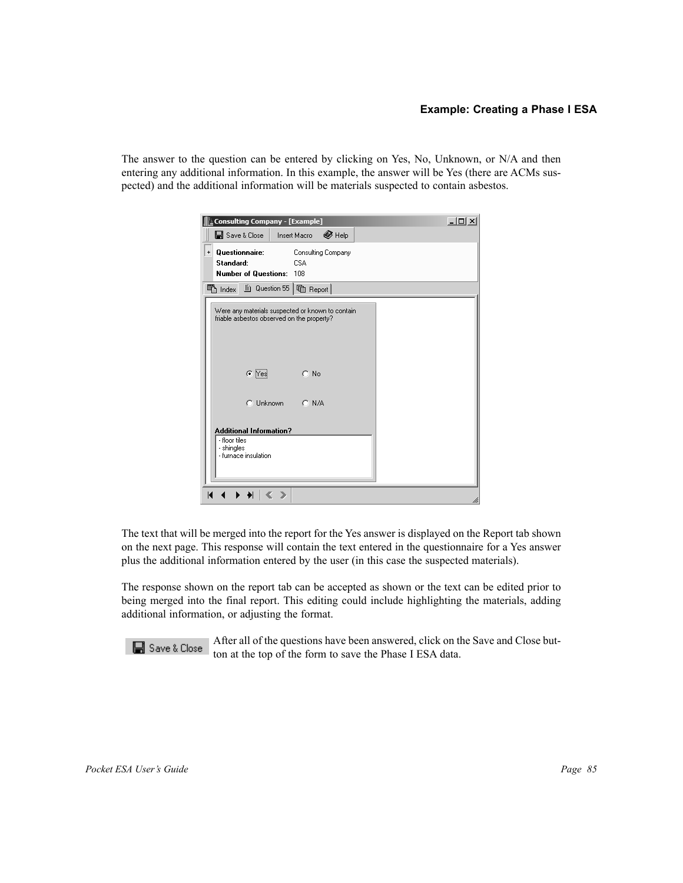The answer to the question can be entered by clicking on Yes, No, Unknown, or N/A and then entering any additional information. In this example, the answer will be Yes (there are ACMs suspected) and the additional information will be materials suspected to contain asbestos.

| Consulting Company - [Example]                                                                 |                                  | $-10 \times$ |
|------------------------------------------------------------------------------------------------|----------------------------------|--------------|
| B Save & Close                                                                                 | $\otimes$ Help<br>Insert Macro   |              |
| Questionnaire:<br>$\pmb{+}$<br>Standard:<br><b>Number of Questions: 108</b>                    | Consulting Company<br><b>CSA</b> |              |
| ■ Question 55<br><sup>晒</sup> index                                                            | heport                           |              |
| Were any materials suspected or known to contain<br>friable asbestos observed on the property? |                                  |              |
| $C$ Yes                                                                                        | $C$ No                           |              |
| C Unknown                                                                                      | $C$ N/A                          |              |
| <b>Additional Information?</b>                                                                 |                                  |              |
| - floor tiles<br>- shingles<br>- furnace insulation                                            |                                  |              |
| K<br>$\rightarrow$ $\rightarrow$<br>⋗                                                          |                                  | hi           |

The text that will be merged into the report for the Yes answer is displayed on the Report tab shown on the next page. This response will contain the text entered in the questionnaire for a Yes answer plus the additional information entered by the user (in this case the suspected materials).

The response shown on the report tab can be accepted as shown or the text can be edited prior to being merged into the final report. This editing could include highlighting the materials, adding additional information, or adjusting the format.

After all of the questions have been answered, click on the Save and Close button at the top of the form to save the Phase I ESA data.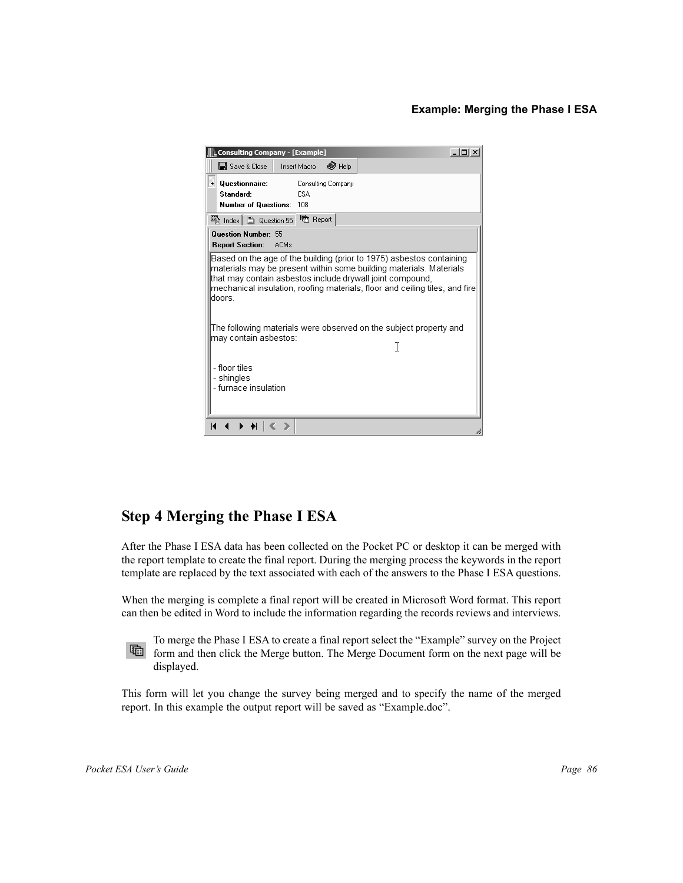#### **Example: Merging the Phase I ESA**

| Consulting Company - [Example]                                                                                                                                                                                                                                                                  |                                   | $ \Box$ $\times$ |  |  |
|-------------------------------------------------------------------------------------------------------------------------------------------------------------------------------------------------------------------------------------------------------------------------------------------------|-----------------------------------|------------------|--|--|
| B Save & Close                                                                                                                                                                                                                                                                                  | $\bigotimes$ Help<br>Insert Macro |                  |  |  |
| Questionnaire:<br>$\ddot{}$<br>Standard:<br><b>Number of Questions: 108</b>                                                                                                                                                                                                                     | Consulting Company<br><b>CSA</b>  |                  |  |  |
| <sup>晒</sup> Index   A Question 55   html Report                                                                                                                                                                                                                                                |                                   |                  |  |  |
| Question Number: 55<br><b>Report Section:</b>                                                                                                                                                                                                                                                   | – ACMs                            |                  |  |  |
| Based on the age of the building (prior to 1975) asbestos containing<br>materials may be present within some building materials. Materials<br>that may contain asbestos include drywall joint compound,<br>mechanical insulation, roofing materials, floor and ceiling tiles, and fire<br>doors |                                   |                  |  |  |
| The following materials were observed on the subject property and<br>may contain asbestos:                                                                                                                                                                                                      |                                   |                  |  |  |
| - floor tiles<br>- shingles<br>- furnace insulation                                                                                                                                                                                                                                             |                                   |                  |  |  |
| К                                                                                                                                                                                                                                                                                               |                                   | h                |  |  |

# **Step 4 Merging the Phase I ESA**

After the Phase I ESA data has been collected on the Pocket PC or desktop it can be merged with the report template to create the final report. During the merging process the keywords in the report template are replaced by the text associated with each of the answers to the Phase I ESA questions.

When the merging is complete a final report will be created in Microsoft Word format. This report can then be edited in Word to include the information regarding the records reviews and interviews.



To merge the Phase I ESA to create a final report select the "Example" survey on the Project form and then click the Merge button. The Merge Document form on the next page will be displayed.

This form will let you change the survey being merged and to specify the name of the merged report. In this example the output report will be saved as "Example.doc".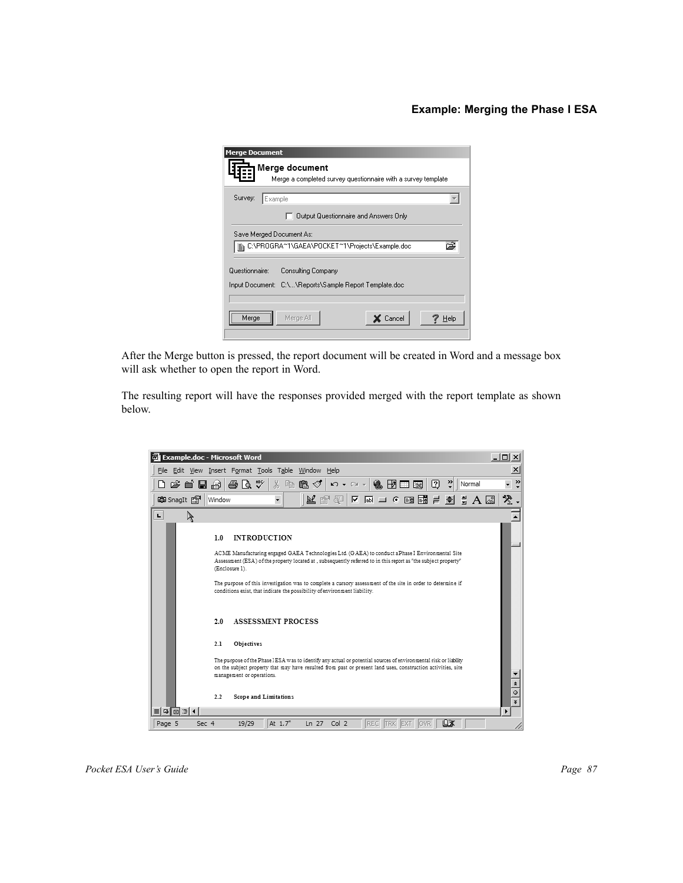#### **Example: Merging the Phase I ESA**

| <b>Merge Document</b>    |                                                               |
|--------------------------|---------------------------------------------------------------|
|                          | Merge document                                                |
|                          | Merge a completed survey questionnaire with a survey template |
| Survey:<br>Example       |                                                               |
|                          | Output Questionnaire and Answers Only                         |
| Save Merged Document As: |                                                               |
| Ð                        | C:\PROGRA*1\GAEA\POCKET*1\Projects\Example.doc                |
| Questionnaire:           | Consulting Company                                            |
|                          | Input Document: C:\\Reports\Sample Report Template.doc        |
|                          |                                                               |
| Merge                    | X Cancel<br>Merge All<br>Help                                 |
|                          |                                                               |

After the Merge button is pressed, the report document will be created in Word and a message box will ask whether to open the report in Word.

The resulting report will have the responses provided merged with the report template as shown below.

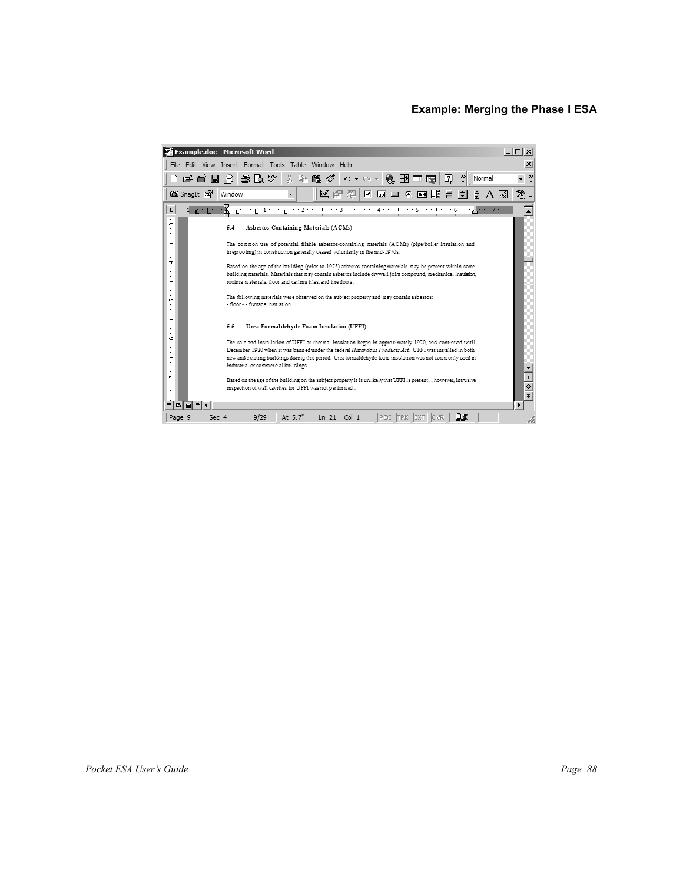#### **Example: Merging the Phase I ESA**

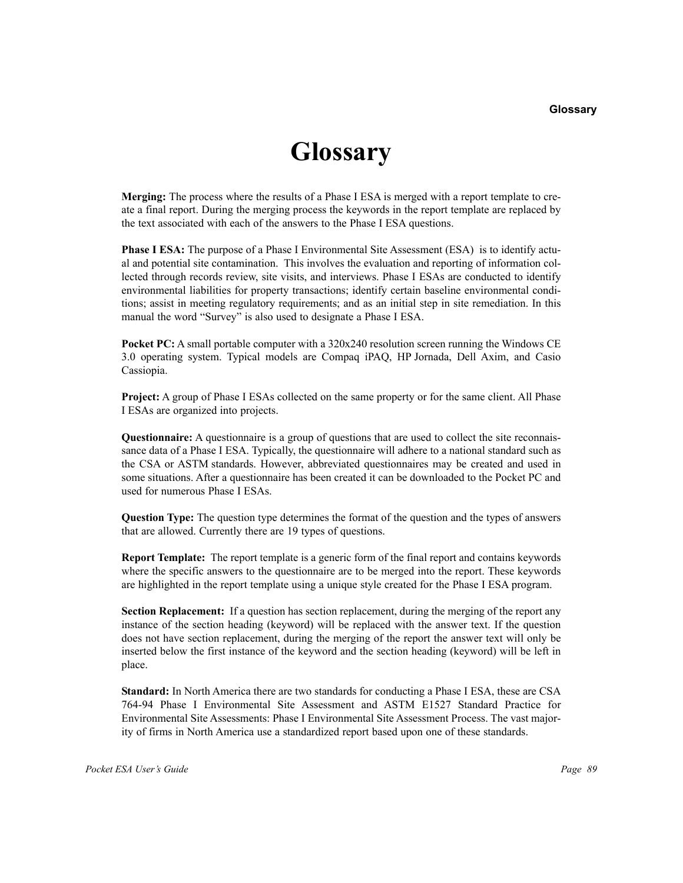# **Glossary**

**Merging:** The process where the results of a Phase I ESA is merged with a report template to create a final report. During the merging process the keywords in the report template are replaced by the text associated with each of the answers to the Phase I ESA questions.

**Phase I ESA:** The purpose of a Phase I Environmental Site Assessment (ESA) is to identify actual and potential site contamination. This involves the evaluation and reporting of information collected through records review, site visits, and interviews. Phase I ESAs are conducted to identify environmental liabilities for property transactions; identify certain baseline environmental conditions; assist in meeting regulatory requirements; and as an initial step in site remediation. In this manual the word "Survey" is also used to designate a Phase I ESA.

**Pocket PC:** A small portable computer with a 320x240 resolution screen running the Windows CE 3.0 operating system. Typical models are Compaq iPAQ, HP Jornada, Dell Axim, and Casio Cassiopia.

**Project:** A group of Phase I ESAs collected on the same property or for the same client. All Phase I ESAs are organized into projects.

**Questionnaire:** A questionnaire is a group of questions that are used to collect the site reconnaissance data of a Phase I ESA. Typically, the questionnaire will adhere to a national standard such as the CSA or ASTM standards. However, abbreviated questionnaires may be created and used in some situations. After a questionnaire has been created it can be downloaded to the Pocket PC and used for numerous Phase I ESAs.

**Question Type:** The question type determines the format of the question and the types of answers that are allowed. Currently there are 19 types of questions.

**Report Template:** The report template is a generic form of the final report and contains keywords where the specific answers to the questionnaire are to be merged into the report. These keywords are highlighted in the report template using a unique style created for the Phase I ESA program.

**Section Replacement:** If a question has section replacement, during the merging of the report any instance of the section heading (keyword) will be replaced with the answer text. If the question does not have section replacement, during the merging of the report the answer text will only be inserted below the first instance of the keyword and the section heading (keyword) will be left in place.

**Standard:** In North America there are two standards for conducting a Phase I ESA, these are CSA 764-94 Phase I Environmental Site Assessment and ASTM E1527 Standard Practice for Environmental Site Assessments: Phase I Environmental Site Assessment Process. The vast majority of firms in North America use a standardized report based upon one of these standards.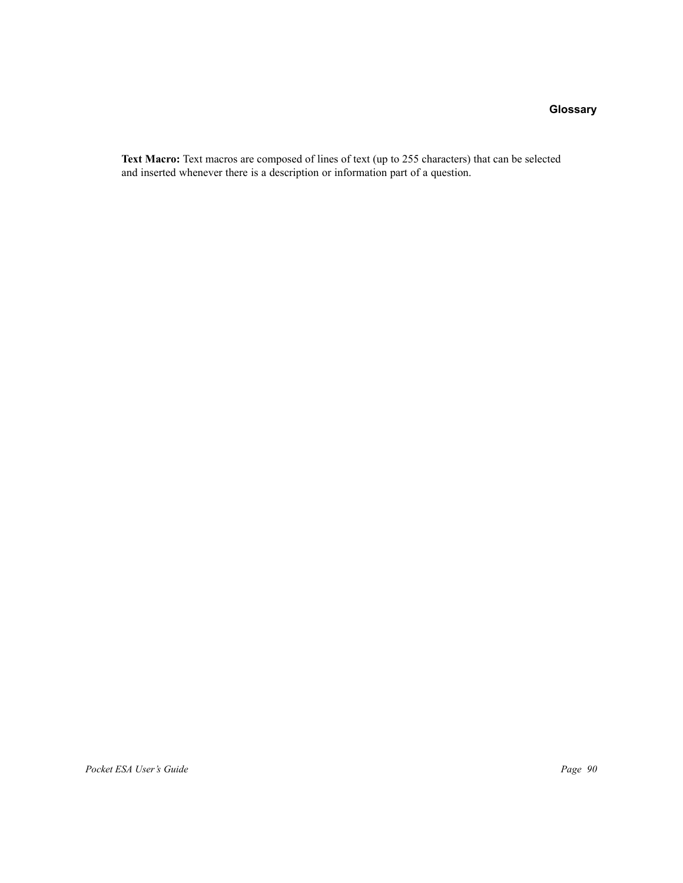### **Glossary**

**Text Macro:** Text macros are composed of lines of text (up to 255 characters) that can be selected and inserted whenever there is a description or information part of a question.